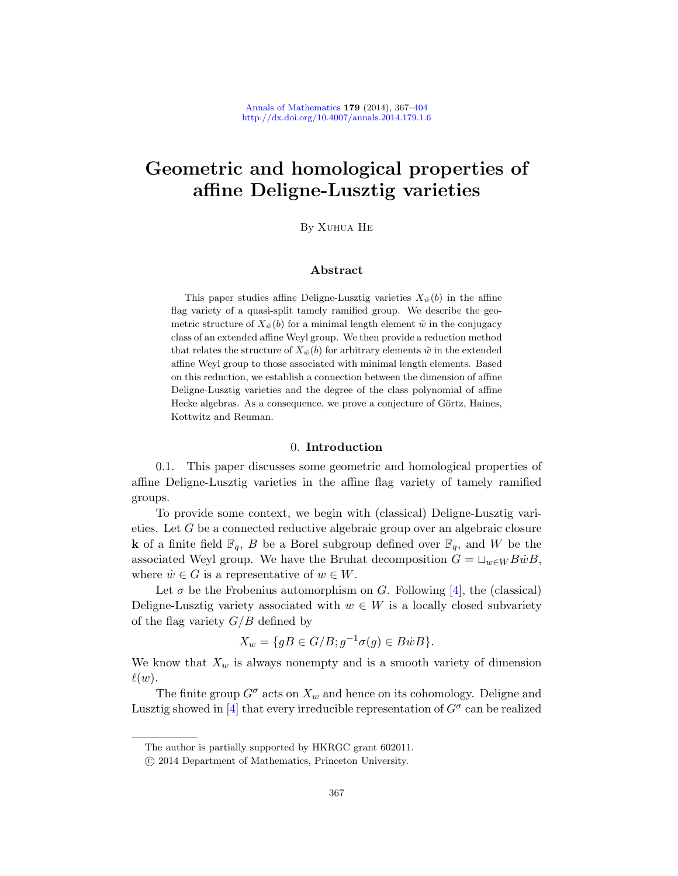# Geometric and homological properties of affine Deligne-Lusztig varieties

By Xuhua He

# Abstract

This paper studies affine Deligne-Lusztig varieties  $X_{\tilde{w}}(b)$  in the affine flag variety of a quasi-split tamely ramified group. We describe the geometric structure of  $X_{\tilde{w}}(b)$  for a minimal length element  $\tilde{w}$  in the conjugacy class of an extended affine Weyl group. We then provide a reduction method that relates the structure of  $X_{\tilde{w}}(b)$  for arbitrary elements  $\tilde{w}$  in the extended affine Weyl group to those associated with minimal length elements. Based on this reduction, we establish a connection between the dimension of affine Deligne-Lusztig varieties and the degree of the class polynomial of affine Hecke algebras. As a consequence, we prove a conjecture of Görtz, Haines, Kottwitz and Reuman.

### 0. Introduction

0.1. This paper discusses some geometric and homological properties of affine Deligne-Lusztig varieties in the affine flag variety of tamely ramified groups.

To provide some context, we begin with (classical) Deligne-Lusztig varieties. Let G be a connected reductive algebraic group over an algebraic closure **k** of a finite field  $\mathbb{F}_q$ , B be a Borel subgroup defined over  $\mathbb{F}_q$ , and W be the associated Weyl group. We have the Bruhat decomposition  $G = \sqcup_{w \in W} B\dot{w}B$ , where  $\dot{w} \in G$  is a representative of  $w \in W$ .

Let  $\sigma$  be the Frobenius automorphism on G. Following [4], the (classical) Deligne-Lusztig variety associated with  $w \in W$  is a locally closed subvariety of the flag variety  $G/B$  defined by

$$
X_w = \{ gB \in G/B; g^{-1}\sigma(g) \in B\dot{w}B \}.
$$

We know that  $X_w$  is always nonempty and is a smooth variety of dimension  $\ell(w)$ .

The finite group  $G^{\sigma}$  acts on  $X_w$  and hence on its cohomology. Deligne and Lusztig showed in [4] that every irreducible representation of  $G^{\sigma}$  can be realized

The author is partially supported by HKRGC grant 602011.

c 2014 Department of Mathematics, Princeton University.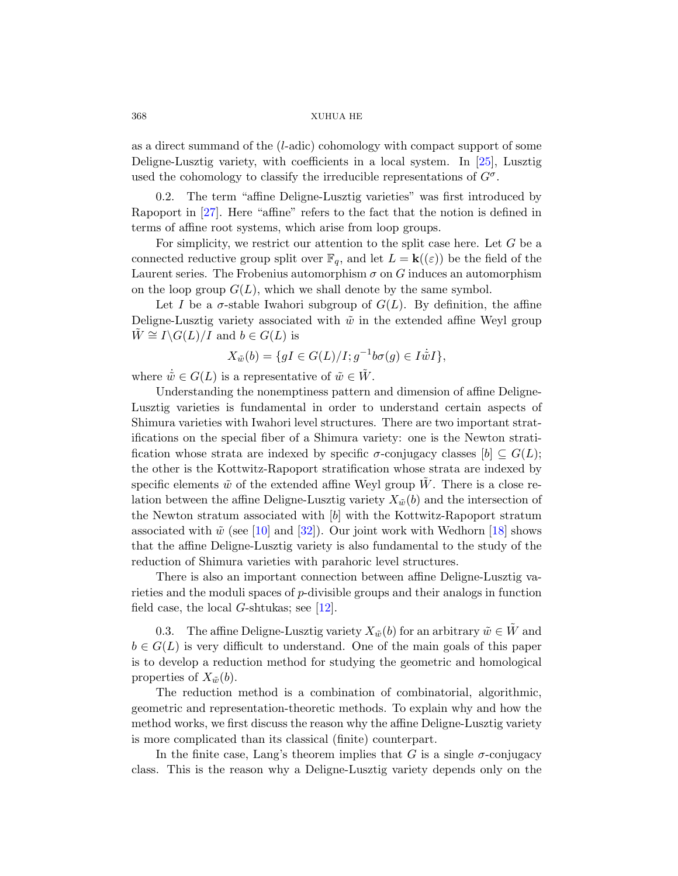as a direct summand of the (l-adic) cohomology with compact support of some Deligne-Lusztig variety, with coefficients in a local system. In [25], Lusztig used the cohomology to classify the irreducible representations of  $G^{\sigma}$ .

0.2. The term "affine Deligne-Lusztig varieties" was first introduced by Rapoport in [27]. Here "affine" refers to the fact that the notion is defined in terms of affine root systems, which arise from loop groups.

For simplicity, we restrict our attention to the split case here. Let  $G$  be a connected reductive group split over  $\mathbb{F}_q$ , and let  $L = \mathbf{k}(\epsilon)$  be the field of the Laurent series. The Frobenius automorphism  $\sigma$  on G induces an automorphism on the loop group  $G(L)$ , which we shall denote by the same symbol.

Let I be a  $\sigma$ -stable Iwahori subgroup of  $G(L)$ . By definition, the affine Deligne-Lusztig variety associated with  $\tilde{w}$  in the extended affine Weyl group  $W \cong I \backslash G(L)/I$  and  $b \in G(L)$  is

$$
X_{\tilde{w}}(b) = \{ gI \in G(L)/I; g^{-1}b\sigma(g) \in I\dot{\tilde{w}}I \},
$$

where  $\tilde{w} \in G(L)$  is a representative of  $\tilde{w} \in \tilde{W}$ .

Understanding the nonemptiness pattern and dimension of affine Deligne-Lusztig varieties is fundamental in order to understand certain aspects of Shimura varieties with Iwahori level structures. There are two important strat[ific](#page-35-0)ation[s on](#page-37-0) the special fiber of a Shimurav[arie](#page-36-0)ty: one is the Newton stratification whose strata are indexed by specific  $\sigma$ -conjugacy classes  $[b] \subseteq G(L)$ ; the other is the Kottwitz-Rapoport stratification whose strata are indexed by specific elements  $\tilde{w}$  of the extended affine Weyl group W. There is a close relation between the affine Deligne-Lusztig variety  $X_{\tilde{w}}(b)$  and the intersection of the Newton [str](#page-35-1)atum associated with [b] with the Kottwitz-Rapoport stratum associated with  $\tilde{w}$  (see [10] and [32]). Our joint work with Wedhorn [18] shows that the affine Deligne-Lusztig variety is also fundamental to the study of the reduction of Shimura varieties with parahoric level structures.

There is also an important connection between affine Deligne-Lusztig varieties and the moduli spaces of p-divisible groups and their analogs in function field case, the local  $G$ -shtukas; see [12].

0.3. The affine Deligne-Lusztig variety  $X_{\tilde{w}}(b)$  for an arbitrary  $\tilde{w} \in W$  and  $b \in G(L)$  is very difficult to understand. One of the main goals of this paper is to develop a reduction method for studying the geometric and homological properties of  $X_{\tilde{w}}(b)$ .

The reduction method is a combination of combinatorial, algorithmic, geometric and representation-theoretic methods. To explain why and how the method works, we first discuss the reason why the affine Deligne-Lusztig variety is more complicated than its classical (finite) counterpart.

In the finite case, Lang's theorem implies that G is a single  $\sigma$ -conjugacy class. This is the reason why a Deligne-Lusztig variety depends only on the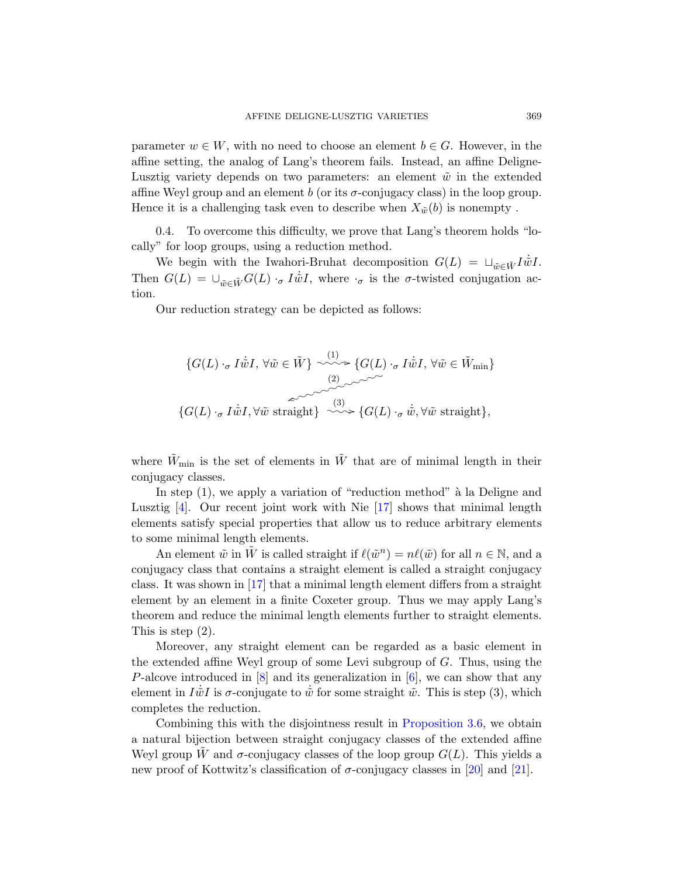<span id="page-2-0"></span>parameter  $w \in W$ , with no need to choose an element  $b \in G$ . However, in the affine setting, the analog of Lang's theorem fails. Instead, an affine Deligne-Lusztig variety depends on two parameters: an element  $\tilde{w}$  in the extended affine Weyl group and an element b (or its  $\sigma$ -conjugacy class) in the loop group. Hence it is a challenging task even to describe when  $X_{\tilde{w}}(b)$  is nonempty.

0.4. To overcome this difficulty, we prove that Lang's theorem holds "locally" for loop groups, using a reduction method.

We begin with the Iwahori-Bruhat decomposition  $G(L) = \Box_{\tilde{w} \in \tilde{W}} I \dot{\tilde{w}} I$ . Then  $G(L) = \bigcup_{\tilde{w} \in \tilde{W}} G(L) \cdot_{\sigma} I \dot{\tilde{w}} I$ , where  $\cdot_{\sigma}$  is the  $\sigma$ -twisted conjugation action.

Our reduction strategy can be depicted as follows:

$$
\{G(L) \cdot_{\sigma} I\dot{\tilde{w}}I, \forall \tilde{w} \in \tilde{W} \} \xrightarrow{\langle 1 \rangle} \{G(L) \cdot_{\sigma} I\dot{\tilde{w}}I, \forall \tilde{w} \in \tilde{W}_{\min} \}
$$
  

$$
\{\widetilde{G(L)} \cdot_{\sigma} I\dot{\tilde{w}}I, \forall \tilde{w} \text{ straight} \} \xrightarrow{\langle 3 \rangle} \{G(L) \cdot_{\sigma} \dot{\tilde{w}}, \forall \tilde{w} \text{ straight} \},\
$$

where  $\tilde{W}_{\text{min}}$  is the set of elements in  $\tilde{W}$  that are of minimal length in their conjugacy classes.

In step  $(1)$ , we apply a variation of "reduction method" à la Deligne and Lusztig  $[4]$ . Our recent joint work with Nie  $[17]$  shows that minimal length elements satisfy special properties that allow us to reduce arbitrary elements to some minimal length elements.

An element  $\tilde{w}$  in  $\tilde{W}$  is called straight if  $\ell(\tilde{w}^n) = n\ell(\tilde{w})$  for all  $n \in \mathbb{N}$ , and a conjugacy class that contains a straight element is called a straight conjugacy [cla](#page-35-2)ss. It was shown in [17] th[at a](#page-35-3) minimal length element differs from a straight element by an element in a finite Coxeter group. Thus we may apply Lang's theorem and reduce the mi[nimal length elem](#page-12-0)ents further to straight elements. This is step (2).

Moreover, any straight element can be regarded as a basic element in the extended affine Weyl group of some Levi subgroup of G. Thus, using the P-alcove introduced in [8] and its gener[aliz](#page-36-2)ation [in \[](#page-36-3)6], we can show that any element in  $I\dot{\tilde{w}}I$  is  $\sigma$ -conjugate to  $\dot{\tilde{w}}$  for some straight  $\tilde{w}$ . This is step (3), which completes the reduction.

Combining this with the disjointness result in Proposition 3.6, we obtain a natural bijection between straight conjugacy classes of the extended affine Weyl group W and  $\sigma$ -conjugacy classes of the loop group  $G(L)$ . This yields a new proof of Kottwitz's classification of  $\sigma$ -conjugacy classes in [20] and [21].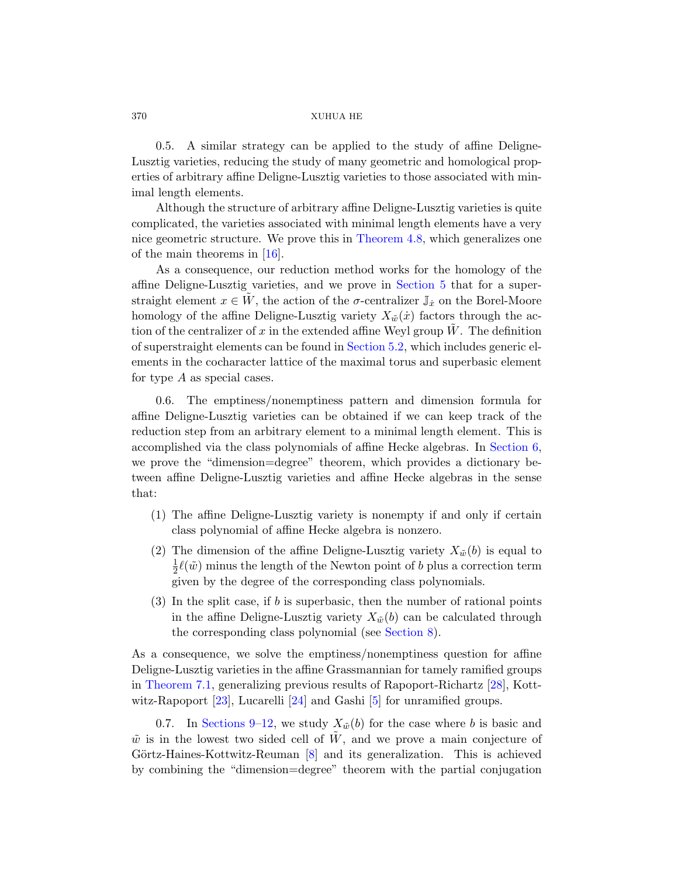0.5. A simila[r strategy can](#page-15-0) be applied to the study of affine Deligne-L[uszt](#page-36-4)ig varieties, reducing the study of many geometric and homological properties of arbitrary affine Deligne-Lusztig varieties to those associated with minimal length elements.

Although the structure of arbitrary affine Deligne-Lusztig varieties is quite complicated, the varieties associated with minimal length elements have a very nice geometric structure. We prove this in Theorem 4.8, which generalizes one of the main theor[ems in \[16\].](#page-19-0)

As a consequence, our reduction method works for the homology of the affine Deligne-Lusztig varieties, and we prove in Section 5 that for a superstraight element  $x \in W$ , the action of the  $\sigma$ -centralizer  $\mathbb{J}_x$  on the Borel-Moore homology of the affine Deligne-Lusztig variety  $X_{\tilde{w}}(\dot{x})$  factors through the action of the centralizer of x in the extended affine Weyl group  $\hat{W}$ . The definition of superstraight elements can be found in Sec[tion 5.2, w](#page-19-1)hich includes generic elements in the cocharacter lattice of the maximal torus and superbasic element for type A as special cases.

0.6. The emptiness/nonemptiness pattern and dimension formula for affine Deligne-Lusztig varieties can be obtained if we can keep track of the reduction step from an arbitrary element to a minimal length element. This is accomplished via the class polynomials of affine Hecke algebras. In Section 6, we prove the "dimension=degree" theorem, which provides a dictionary between affine Deligne-Lusztig varieties and affine Hecke algebras in the sense that:

- (1) The affine Deligne-Lusztig variety is nonempty if and only if certain class polynomial [of affine H](#page-23-0)ecke algebra is nonzero.
- (2) The dimension of the affine Deligne-Lusztig variety  $X_{\tilde{w}}(b)$  is equal to 1  $\frac{1}{2}\ell(\tilde{w})$  minus the length of the Newton point of b plus a correction term given by the degree of the correspon[ding](#page-36-5) class polynomials.
- $(3)$  [In](#page-36-6) the split ca[se,](#page-35-4) if b is superbasic, then the number of rational points in the affine Deligne-Lusztig variety  $X_{\tilde{w}}(b)$  can be calculated through the corresponding class polynomial (see Section 8).

As a cons[eq](#page-35-2)uence, we solve the emptiness/nonemptiness question for affine Deligne-Lusztig varieties in the affine Grassmannian for tamely ramified groups in Theorem 7.1, generalizing previous results of Rapoport-Richartz [28], Kottwitz-Rapoport [23], Lucarelli [24] and Gashi [5] for unramified groups.

0.7. In Sections 9–12, we study  $X_{\tilde{w}}(b)$  for the case where b is basic and  $\tilde{w}$  is in the lowest two sided cell of W, and we prove a main conjecture of Görtz-Haines-Kottwitz-Reuman  $[8]$  and its generalization. This is achieved by combining the "dimension=degree" theorem with the partial conjugation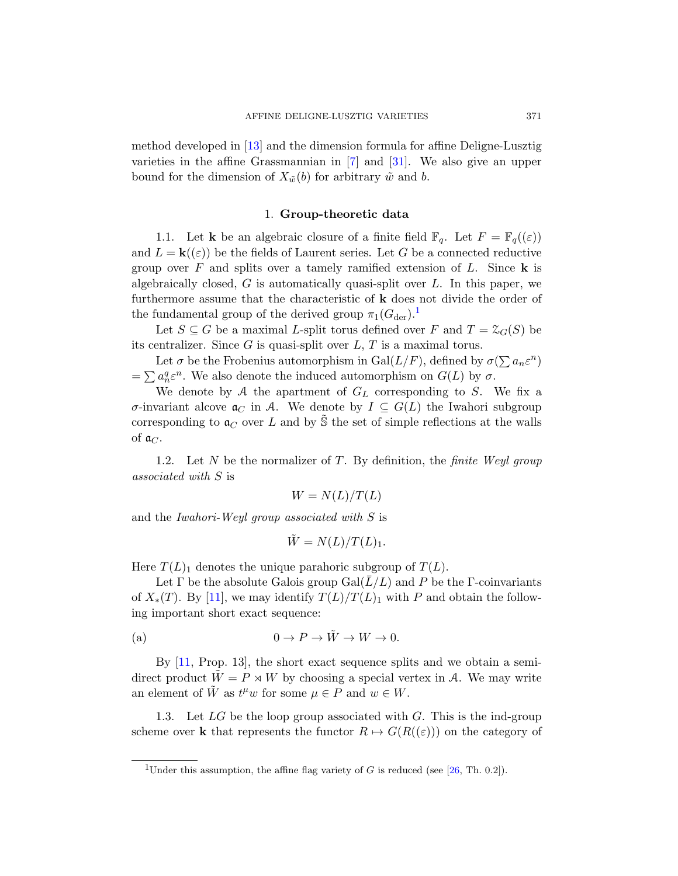method developed in [13] and the dimension formula for affine Deligne-Lusztig varieties in the affine Grassmannian in [7] and [31]. We also give an upper bound for the dimension of  $X_{\tilde{w}}(b)$  for arbitrary  $\tilde{w}$  and b.

# 1. G[ro](#page-4-0)up-theoretic data

1.1. Let **k** be an algebraic closure of a finite field  $\mathbb{F}_q$ . Let  $F = \mathbb{F}_q((\varepsilon))$ and  $L = \mathbf{k}(\epsilon)$  be the fields of Laurent series. Let G be a connected reductive group over  $F$  and splits over a tamely ramified extension of  $L$ . Since  $\bf{k}$  is algebraically closed,  $G$  is automatically quasi-split over  $L$ . In this paper, we furthermore assume that the characteristic of k does not divide the order of the fundamental group of the derived group  $\pi_1(G_{\text{der}})^{1}$ .

Let  $S \subseteq G$  be a maximal *L*-split torus defined over F and  $T = \mathcal{Z}_G(S)$  be its centralizer. Since  $G$  is quasi-split over  $L, T$  is a maximal torus.

<span id="page-4-1"></span>Let  $\sigma$  be the Frobenius automorphism in  $Gal(L/F)$ , defined by  $\sigma(\sum a_n \varepsilon^n)$  $=\sum a_n^q \varepsilon^n$ . We also denote the induced automorphism on  $G(L)$  by  $\sigma$ .

We denote by  $A$  the apartment of  $G_L$  corresponding to  $S$ . We fix a σ-invariant alcove  $\mathfrak{a}_C$  in A. We denote by  $I \subseteq G(L)$  the Iwahori subgroup corresponding to  $\mathfrak{a}_C$  over L and by S the set of simple reflections at the walls of  $\mathfrak{a}_C$ .

1.2. Let N be the normalizer of T. By definition, the *finite Weyl group* associated with S is

$$
W = N(L)/T(L)
$$

and the Iwahori-Weyl group associated with S is

$$
\tilde{W} = N(L)/T(L)_1.
$$

Here  $T(L)$ <sub>1</sub> denotes the unique parahoric subgroup of  $T(L)$ .

Let  $\Gamma$  be the absolute Galois group  $Gal(L/L)$  and P be the  $\Gamma$ -coinvariants of  $X_*(T)$ . By [11], we may identify  $T(L)/T(L)$ <sub>1</sub> with P and obtain the following important short exact sequence:

(a) 
$$
0 \to P \to \tilde{W} \to W \to 0.
$$

<span id="page-4-0"></span>By [11, Prop. 13], the short exact sequence splits and we obtain a semidirect product  $W = P \rtimes W$  by choo[sing](#page-36-7) a special vertex in A. We may write an element of  $\tilde{W}$  as  $t^{\mu}w$  for some  $\mu \in P$  and  $w \in W$ .

1.3. Let  $LG$  be the loop group associated with  $G$ . This is the ind-group scheme over **k** that represents the functor  $R \mapsto G(R((\varepsilon)))$  on the category of

<sup>&</sup>lt;sup>1</sup>Under this assumption, the affine flag variety of G is reduced (see [26, Th. 0.2]).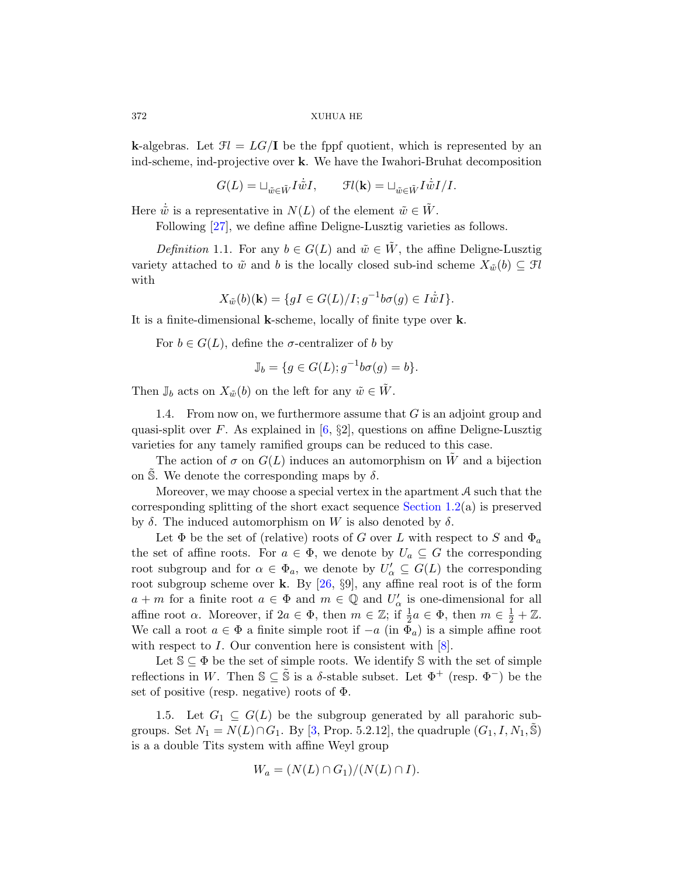**k**-algebras. Let  $\mathcal{F}l = LG/\mathbf{I}$  be the fppf quotient, which is represented by an ind-scheme, ind-projective over k. We have the Iwahori-Bruhat decomposition

 $G(L) = \sqcup_{\tilde{w} \in \tilde{W}} I \dot{\tilde{w}} I, \qquad \mathfrak{F}l(\mathbf{k}) = \sqcup_{\tilde{w} \in \tilde{W}} I \dot{\tilde{w}} I / I.$ 

Here  $\dot{\tilde{w}}$  is a representative in  $N(L)$  of the element  $\tilde{w} \in \tilde{W}$ .

Following [27], we define affine Deligne-Lusztig varieties as follows.

Definition 1.1. For any  $b \in G(L)$  and  $\tilde{w} \in \tilde{W}$ , the affine Deligne-Lusztig variety attached to  $\tilde{w}$  and b is the locally closed sub-ind scheme  $X_{\tilde{w}}(b) \subseteq \mathcal{F}l$ with

$$
X_{\tilde{w}}(b)(\mathbf{k}) = \{ gI \in G(L)/I; g^{-1}b\sigma(g) \in I\dot{\tilde{w}}I \}.
$$

It is a finite-dimensional k-scheme, locally of finite type over k.

For  $b \in G(L)$  $b \in G(L)$  $b \in G(L)$ , define the *σ*-centralizer of *b* by

$$
\mathbb{J}_b = \{ g \in G(L); g^{-1}b\sigma(g) = b \}.
$$

Then  $\mathbb{J}_b$  acts on  $X_{\tilde{w}}(b)$  on the left for any  $\tilde{w} \in \tilde{W}$ .

1.4. From now on, we [furthermore](#page-4-1) assume that  $G$  is an adjoint group and quasi-split over F. As explained in  $[6, \S2]$ , questions on affine Deligne-Lusztig varieties for any tamely ramified groups can be reduced to this case.

The action of  $\sigma$  on  $G(L)$  induces an automorphism on W and a bijection on S. We denote the corresponding maps by  $\delta$ .

Moreov[er, w](#page-36-7)e may choose a special vertex in the apartment  $A$  such that the corresponding splitting of the short exact sequence Section 1.2(a) is preserved by  $\delta$ . The induced automorphism on W is also denoted by  $\delta$ .

Let  $\Phi$  be the set of (relative) roots of G over L with respect to S and  $\Phi_a$ the set of affine roots. For  $a \in \Phi$ , [w](#page-35-2)e denote by  $U_a \subseteq G$  the corresponding root subgroup and for  $\alpha \in \Phi_a$ , we denote by  $U'_\alpha \subseteq G(L)$  the corresponding root subgroup scheme over **k**. By  $[26, 89]$ , any affine real root is of the form  $a + m$  for a finite root  $a \in \Phi$  and  $m \in \mathbb{Q}$  and  $U'_\alpha$  is one-dimensional for all affine root  $\alpha$ . Moreover, if  $2a \in \Phi$ , then  $m \in \mathbb{Z}$ ; if  $\frac{1}{2}a \in \Phi$ , then  $m \in \frac{1}{2} + \mathbb{Z}$ . We call a [ro](#page-35-5)ot  $a \in \Phi$  a finite simple root if  $-a$  (in  $\Phi_a$ ) is a simple affine root with respect to I. Our convention here is consistent with  $[8]$ .

Let  $\mathbb{S} \subseteq \Phi$  be the set of simple roots. We identify  $\mathbb{S}$  with the set of simple reflections in W. Then  $\mathbb{S} \subseteq \tilde{\mathbb{S}}$  is a  $\delta$ -stable subset. Let  $\Phi^+$  (resp.  $\Phi^-$ ) be the set of positive (resp. negative) roots of  $\Phi$ .

1.5. Let  $G_1 \subseteq G(L)$  be the subgroup generated by all parahoric subgroups. Set  $N_1 = N(L) \cap G_1$ . By [3, Prop. 5.2.12], the quadruple  $(G_1, I, N_1, \tilde{S})$ is a a double Tits system with affine Weyl group

$$
W_a = (N(L) \cap G_1)/(N(L) \cap I).
$$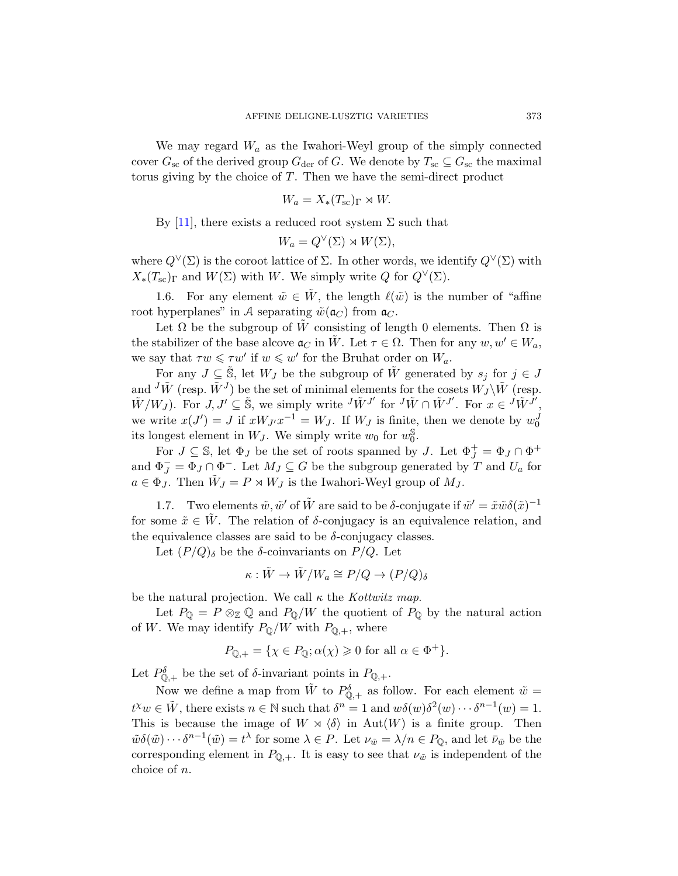We may regard  $W_a$  as the Iwahori-Weyl group of the simply connected cover  $G_{\rm sc}$  of the derived group  $G_{\rm der}$  of G. We denote by  $T_{\rm sc} \subseteq G_{\rm sc}$  the maximal torus giving by the choice of T. Then we have the semi-direct product

$$
W_a = X_*(T_{\rm sc})_{\Gamma} \rtimes W.
$$

By [11], there exists a reduced root system  $\Sigma$  such that

$$
W_a = Q^{\vee}(\Sigma) \rtimes W(\Sigma),
$$

where  $Q^{\vee}(\Sigma)$  is the coroot lattice of  $\Sigma$ . In other words, we identify  $Q^{\vee}(\Sigma)$  with  $X_*(T_{sc})_\Gamma$  and  $W(\Sigma)$  with W. We simply write Q for  $Q^\vee(\Sigma)$ .

1.6. For any element  $\tilde{w} \in \tilde{W}$ , the length  $\ell(\tilde{w})$  is the number of "affine" root hyperplanes" in A separating  $\tilde{w}(\mathfrak{a}_C)$  from  $\mathfrak{a}_C$ .

Let  $\Omega$  be the subgroup of W consisting of length 0 elements. Then  $\Omega$  is the stabilizer of the base alcove  $\mathfrak{a}_C$  in  $\tilde{W}$ . Let  $\tau \in \Omega$ . Then for any  $w, w' \in W_a$ , we say that  $\tau w \leq \tau w'$  if  $w \leq w'$  for the Bruhat order on  $W_a$ .

For any  $J \subseteq \tilde{S}$ , let  $W_J$  be the subgroup of  $\tilde{W}$  generated by  $s_j$  for  $j \in J$ and  ${}^J\tilde{W}$  (resp.  $\tilde{W}^J$ ) be the set of minimal elements for the cosets  $\tilde{W_J}\backslash \tilde{W}$  (resp.  $\tilde{W}/W_J$ ). For  $J, J' \subseteq \tilde{\mathbb{S}}$ , we simply write  $\overline{J} \tilde{W}^{J'}$  for  $\overline{J} \tilde{W}^{J'}$ . For  $x \in \overline{J} \tilde{W}^{J'}$ , we write  $x(J') = J$  if  $xW_Jx^{-1} = W_J$ . If  $W_J$  is finite, then we denote by  $w_0^J$ its longest element in  $W_J$ . We simply write  $w_0$  for  $w_0^{\mathbb{S}}$  $_{0}^{\mathbb{S}}.$ 

For  $J \subseteq \mathbb{S}$ , let  $\Phi_J$  be the set of roots spanned by  $J$ . Let  $\Phi_J^+ = \Phi_J \cap \Phi^+$ and  $\Phi_J^- = \Phi_J \cap \Phi^-.$  Let  $M_J \subseteq G$  be the subgroup generated by T and  $U_a$  for  $a \in \Phi_J$ . Then  $\tilde{W}_J = P \rtimes W_J$  is the Iwahori-Weyl group of  $M_J$ .

1.7. Two elements  $\tilde{w}, \tilde{w}'$  of  $\tilde{W}$  are said to be  $\delta$ -conjugate if  $\tilde{w}' = \tilde{x}\tilde{w}\delta(\tilde{x})^{-1}$ for some  $\tilde{x} \in W$ . The relation of  $\delta$ -conjugacy is an equivalence relation, and the equivalence classes are said to be  $\delta$ -conjugacy classes.

Let  $(P/Q)_{\delta}$  be the  $\delta$ -coinvariants on  $P/Q$ . Let

$$
\kappa: \tilde{W} \to \tilde{W}/W_a \cong P/Q \to (P/Q)_{\delta}
$$

be the natural projection. We call  $\kappa$  the *Kottwitz map*.

Let  $P_{\mathbb{Q}} = P \otimes_{\mathbb{Z}} \mathbb{Q}$  and  $P_{\mathbb{Q}}/W$  the quotient of  $P_{\mathbb{Q}}$  by the natural action of W. We may identify  $P_{\mathbb{Q}}/W$  with  $P_{\mathbb{Q},+}$ , where

$$
P_{\mathbb{Q},+} = \{ \chi \in P_{\mathbb{Q}}; \alpha(\chi) \geq 0 \text{ for all } \alpha \in \Phi^+ \}.
$$

Let  $P_{\mathbb{Q},+}^{\delta}$  be the set of  $\delta$ -invariant points in  $P_{\mathbb{Q},+}$ .

Now we define a map from  $\tilde{W}$  to  $P_{\mathbb{Q},+}^{\delta}$  as follow. For each element  $\tilde{w} =$  $t^{\chi}w \in \tilde{W}$ , there exists  $n \in \mathbb{N}$  such that  $\delta^{n} = 1$  and  $w\delta(w)\delta^{2}(w) \cdots \delta^{n-1}(w) = 1$ . This is because the image of  $W \rtimes \langle \delta \rangle$  in Aut $(W)$  is a finite group. Then  $\tilde{w}\delta(\tilde{w})\cdots\delta^{n-1}(\tilde{w})=t^{\lambda}$  for some  $\lambda\in P$ . Let  $\nu_{\tilde{w}}=\lambda/n\in P_{\mathbb{Q}}$ , and let  $\bar{\nu}_{\tilde{w}}$  be the corresponding element in  $P_{\mathbb{Q},+}$ . It is easy to see that  $\nu_{\tilde{w}}$  is independent of the choice of n.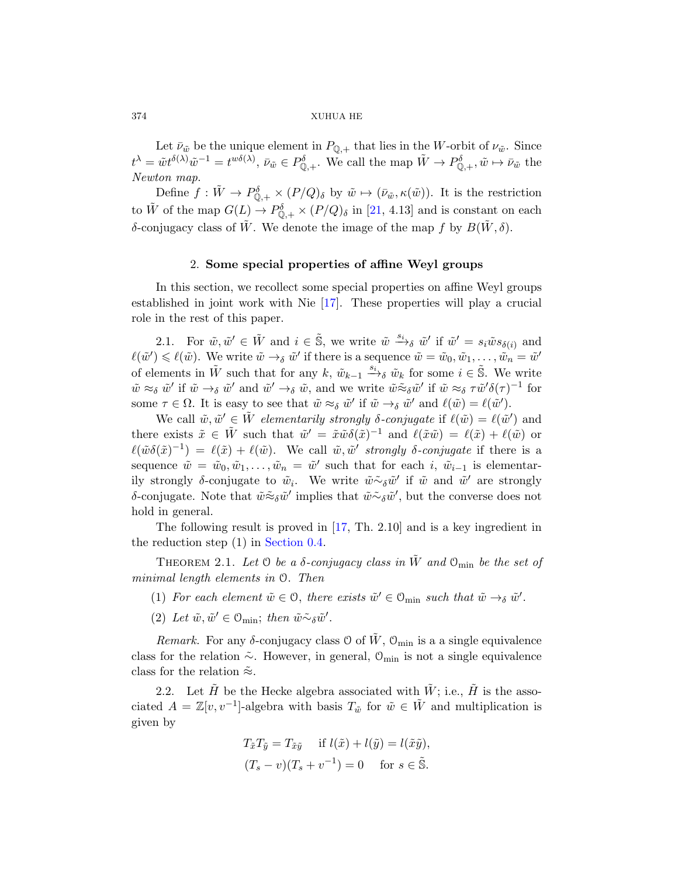Let  $\bar{\nu}_{\tilde{w}}$  be the unique element in  $P_{\mathbb{Q},+}$  that lies in the W-orbit of  $\nu_{\tilde{w}}$ . Since  $t^{\lambda} = \tilde{w} t^{\delta(\lambda)} \tilde{w}^{-1} = t^{w\delta(\lambda)}, \ \bar{\nu}_{\tilde{w}} \in P^{\delta}_{\mathbb{Q},+}.$  We call the map  $\tilde{W} \to P^{\delta}_{\mathbb{Q},+}, \tilde{w} \mapsto \bar{\nu}_{\tilde{w}}$  the Newton map.

Define  $f: \tilde{W} \to P_{\mathbb{Q},+}^{\delta} \times (P/Q)_{\delta}$  by  $\tilde{w} \mapsto (\bar{\nu}_{\tilde{w}}, \kappa(\tilde{w}))$ . It is the restriction to  $\tilde{W}$  of the [map](#page-36-1)  $G(L) \to P_{\mathbb{Q},+}^{\delta} \times (P/Q)_{\delta}$  in [21, 4.13] and is constant on each δ-conjugacy class of  $\tilde{W}$ . We denote the image of the map f by  $B(\tilde{W}, \delta)$ .

## 2. Some special properties of affine Weyl groups

In this section, we recollect some special properties on affine Weyl groups established in joint work with Nie [17]. These properties will play a crucial role in the rest of this paper.

2.1. For  $\tilde{w}, \tilde{w}' \in \tilde{W}$  and  $i \in \tilde{\mathbb{S}}$ , we write  $\tilde{w} \stackrel{s_i}{\longrightarrow}_{\delta} \tilde{w}'$  if  $\tilde{w}' = s_i \tilde{w} s_{\delta(i)}$  and  $\ell(\tilde{w}') \leqslant \ell(\tilde{w})$ . We write  $\tilde{w} \to_{\delta} \tilde{w}'$  if there is a sequence  $\tilde{w} = \tilde{w}_0, \tilde{w}_1, \ldots, \tilde{w}_n = \tilde{w}'$ of elements in  $\tilde{W}$  such that for any  $k, \tilde{w}_{k-1} \stackrel{s_i}{\longrightarrow} \tilde{w}_k$  for some  $i \in \tilde{S}$ . We write  $\tilde{w} \approx_{\delta} \tilde{w}'$  if  $\tilde{w} \to_{\delta} \tilde{w}'$  and  $\tilde{w}' \to_{\delta} \tilde{w}$ , and we write  $\tilde{w} \approx_{\delta} \tilde{w}'$  if  $\tilde{w} \approx_{\delta} \tau \tilde{w}' \delta(\tau)^{-1}$  for some  $\tau \in \Omega$ . It is easy to see that  $\tilde{w} \approx_{\delta} \tilde{w}'$  if  $\tilde{w} \to_{\delta} \tilde{w}'$  and  $\ell(\tilde{w}) = \ell(\tilde{w}')$ .

<span id="page-7-0"></span>We call  $\tilde{w}, \tilde{w}' \in \tilde{W}$  elementarily strongly  $\delta$ -conjugate if  $\ell(\tilde{w}) = \ell(\tilde{w}')$  and there exists  $\tilde{x} \in \tilde{W}$  such that  $\tilde{w}' = \tilde{x}\tilde{w}\delta(\tilde{x})^{-1}$  and  $\ell(\tilde{x}\tilde{w}) = \ell(\tilde{x}) + \ell(\tilde{w})$  or  $\ell(\tilde{w}\delta(\tilde{x})^{-1}) = \ell(\tilde{x}) + \ell(\tilde{w})$  $\ell(\tilde{w}\delta(\tilde{x})^{-1}) = \ell(\tilde{x}) + \ell(\tilde{w})$  $\ell(\tilde{w}\delta(\tilde{x})^{-1}) = \ell(\tilde{x}) + \ell(\tilde{w})$ . We call  $\tilde{w}, \tilde{w}'$  strongly  $\delta$ -conjugate if there is a sequence  $\tilde{w} = \tilde{w}_0, \tilde{w}_1, \dots, \tilde{w}_n = \tilde{w}'$  such that for each i,  $\tilde{w}_{i-1}$  is elementarily strongly  $\delta$ -conjugate to  $\tilde{w}_i$ . We write  $\tilde{w} \tilde{\sim} \delta \tilde{w}'$  if  $\tilde{w}$  and  $\tilde{w}'$  are strongly δ-conjugate. Note that  $\tilde{w} \tilde{\approx}_{\delta} \tilde{w}'$  implies that  $\tilde{w} \tilde{\sim}_{\delta} \tilde{w}'$ , but the converse does not hold in general.

The following result is proved in [17, Th. 2.10] and is a key ingredient in the reduction step (1) in Section 0.4.

THEOREM 2.1. Let  $\Theta$  be a  $\delta$ -conjugacy class in  $\tilde{W}$  and  $\mathcal{O}_{\min}$  be the set of minimal length elements in O. Then

- (1) For each element  $\tilde{w} \in \mathcal{O}$ , there exists  $\tilde{w}' \in \mathcal{O}_{\text{min}}$  such that  $\tilde{w} \to_{\delta} \tilde{w}'$ .
- (2) Let  $\tilde{w}, \tilde{w}' \in \mathcal{O}_{\text{min}}$ ; then  $\tilde{w} \tilde{\sim}_{\delta} \tilde{w}'$ .

Remark. For any  $\delta$ -conjugacy class 0 of  $\tilde{W}$ ,  $\mathcal{O}_{\text{min}}$  is a a single equivalence class for the relation  $\tilde{\sim}$ . However, in general, O<sub>min</sub> is not a single equivalence class for the relation  $\tilde{\approx}$ .

2.2. Let  $\tilde{H}$  be the Hecke algebra associated with  $\tilde{W}$ ; i.e.,  $\tilde{H}$  is the associated  $A = \mathbb{Z}[v, v^{-1}]$ -algebra with basis  $T_{\tilde{w}}$  for  $\tilde{w} \in \tilde{W}$  and multiplication is given by

$$
T_{\tilde{x}}T_{\tilde{y}} = T_{\tilde{x}\tilde{y}} \quad \text{if } l(\tilde{x}) + l(\tilde{y}) = l(\tilde{x}\tilde{y}),
$$
  

$$
(T_s - v)(T_s + v^{-1}) = 0 \quad \text{for } s \in \tilde{\mathbb{S}}.
$$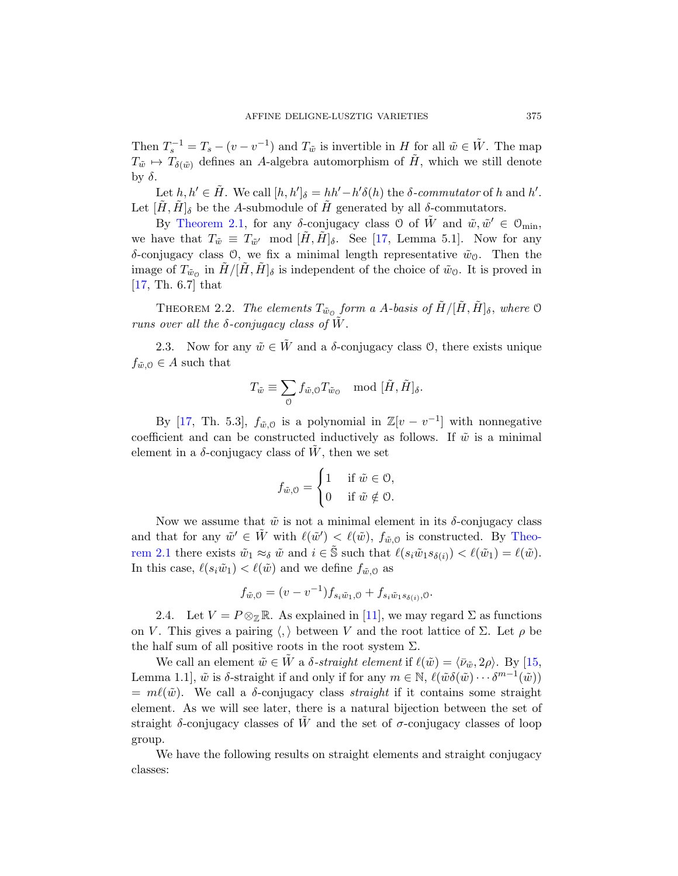Then  $T_s^{-1} = T_s - (v - v^{-1})$  and  $T_{\tilde{w}}$  is invertible in H for all  $\tilde{w} \in \tilde{W}$ . The map  $T_{\tilde{w}} \mapsto T_{\delta(\tilde{w})}$  defines an A-algebra automorphism of  $\tilde{H}$ , which we still denote by  $\delta$ .

Let  $h, h' \in \tilde{H}$ . We call  $[h, h']_{\delta} = hh' - h' \delta(h)$  the  $\delta$ -commutator of h and h'. Let  $[\tilde{H}, \tilde{H}]_{\delta}$  be the A-submodule of  $\tilde{H}$  generated by all  $\delta$ -commutators.

<span id="page-8-1"></span>By Theorem 2.1, for any  $\delta$ -conjugacy class 0 of  $\tilde{W}$  and  $\tilde{w}, \tilde{w}' \in \mathcal{O}_{\text{min}}$ , we have that  $T_{\tilde{w}} \equiv T_{\tilde{w}'} \mod [\tilde{H}, \tilde{H}]_{\delta}$ . See [17, Lemma 5.1]. Now for any δ-conjugacy class 0, we fix a minimal length representative  $\tilde{w}_0$ . Then the image of  $T_{\tilde{w}_0}$  in  $\tilde{H}/[\tilde{H}, \tilde{H}]_{\delta}$  is independent of the choice of  $\tilde{w}_0$ . It is proved in [17, Th. 6.7] that

THEOREM 2.2. The elements  $T_{\tilde{w}_0}$  form a A-basis of  $\tilde{H}/[\tilde{H}, \tilde{H}]_{\delta}$ , where  $\mathcal O$ runs over all the  $\delta$ -conjugacy class of W.

2.3. Now for any  $\tilde{w} \in \tilde{W}$  and a  $\delta$ -conjugacy class 0, there exists unique  $f_{\tilde{w},0} \in A$  such that

$$
T_{\tilde{w}} \equiv \sum_{\mathcal{O}} f_{\tilde{w},\mathcal{O}} T_{\tilde{w}_{\mathcal{O}}} \mod [\tilde{H},\tilde{H}]_{\delta}.
$$

By [17, Th. 5.3],  $f_{\tilde{w},0}$  is a polynomial in  $\mathbb{Z}[v-v^{-1}]$  with nonnegative coefficient and can be constructed inductively [as follo](#page-7-0)ws. If  $\tilde{w}$  is a minimal element in a  $\delta$ -conjugacy class of W, then we set

$$
f_{\tilde{w},0} = \begin{cases} 1 & \text{if } \tilde{w} \in \mathcal{O}, \\ 0 & \text{if } \tilde{w} \notin \mathcal{O}. \end{cases}
$$

<span id="page-8-0"></span>Now we assume [tha](#page-35-6)t  $\tilde{w}$  is not a minimal element in its  $\delta$ -conjugacy class and that for any  $\tilde{w}' \in \tilde{W}$  with  $\ell(\tilde{w}') < \ell(\tilde{w})$ ,  $f_{\tilde{w},0}$  is constructed. By Theorem 2.1 there exists  $\tilde{w}_1 \approx_{\delta} \tilde{w}$  and  $i \in \tilde{\mathbb{S}}$  such that  $\ell(s_i \tilde{w}_1 s_{\delta(i)}) < \ell(\tilde{w}_1) = \ell(\tilde{w})$ . In this case,  $\ell(s_i\tilde{w}_1) < \ell(\tilde{w})$  and we define  $f_{\tilde{w},0}$  as

$$
f_{\tilde{w},0} = (v - v^{-1}) f_{s_i \tilde{w}_1,0} + f_{s_i \tilde{w}_1 s_{\delta(i)},0}.
$$

2.4. Let  $V = P \otimes_{\mathbb{Z}} \mathbb{R}$ . As explained in [11], we may regard  $\Sigma$  as functions on V. This gives a pairing  $\langle , \rangle$  between V and the root lattice of  $\Sigma$ . Let  $\rho$  be the half sum of all positive roots in the root system  $\Sigma$ .

We call an element  $\tilde{w} \in \tilde{W}$  a  $\delta$ -straight element if  $\ell(\tilde{w}) = \langle \bar{\nu}_{\tilde{w}}, 2\rho \rangle$ . By [15, Lemma 1.1,  $\tilde{w}$  is  $\delta$ -straight if and only if for any  $m \in \mathbb{N}$ ,  $\ell(\tilde{w}\delta(\tilde{w}) \cdots \delta^{m-1}(\tilde{w}))$  $= m\ell(\tilde{w})$ . We call a  $\delta$ -conjugacy class *straight* if it contains some straight element. As we will see later, there is a natural bijection between the set of straight  $\delta$ -conjugacy classes of  $\tilde{W}$  and the set of  $\sigma$ -conjugacy classes of loop group.

We have the following results on straight elements and straight conjugacy classes: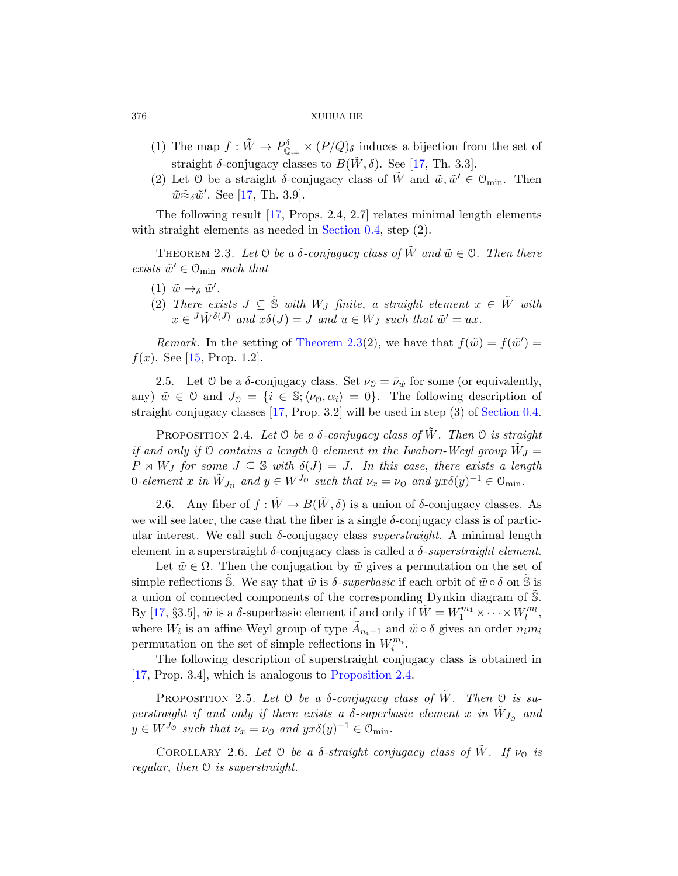- (1) The map  $f: \tilde{W} \to P_{\mathbb{Q}_{++}}^{\delta} \times (P/Q)_{\delta}$  induces a bijection from the set of straight  $\delta$ -conjugacy classes to  $B(\tilde{W}, \delta)$ . See [17, Th. 3.3].
- (2) Let 0 be a straight  $\delta$ -conjugacy class of  $\tilde{W}$  and  $\tilde{w}, \tilde{w}' \in \mathcal{O}_{min}$ . Then  $\tilde{w} \tilde{\approx}_{\delta} \tilde{w}'$ . See [17, Th. 3.9].

The following result [17, Props. 2.4, 2.7] relates minimal length elements with straight elements as needed in Section 0.4, step  $(2)$ .

THEOREM 2.3. Let  $\mathcal O$  be a  $\delta$ -conjugacy class of  $\tilde W$  and  $\tilde w \in \mathcal O$ . Then there exists  $\tilde{w}' \in \mathcal{O}_{\text{min}}$  such that

- (1)  $\tilde{w} \rightarrow_{\delta} \tilde{w}'$ .
- (2) There exists  $J \subseteq \tilde{S}$  with  $W_J$  finite, a straight element  $x \in \tilde{W}$  with  $x \in {}^{J}\tilde{W}^{\delta(J)}$  and  $x\delta(J) = J$  and  $u \in W_J$  [such th](#page-2-0)at  $\tilde{w}' = ux$ .

<span id="page-9-1"></span>Remark. In the setting of Theorem 2.3(2), we have that  $f(\tilde{w}) = f(\tilde{w}') =$  $f(x)$ . See [15, Prop. 1.2].

2.5. Let 0 be a  $\delta$ -conjugacy class. Set  $\nu_0 = \bar{\nu}_{\tilde{w}}$  for some (or equivalently, any)  $\tilde{w} \in \mathcal{O}$  and  $J_{\mathcal{O}} = \{i \in \mathbb{S}; \langle \nu_{\mathcal{O}}, \alpha_i \rangle = 0\}.$  The following description of straight conjugacy classes [17, Prop. 3.2] will be used in step (3) of Section 0.4.

PROPOSITION 2.4. Let  $\mathcal O$  be a  $\delta$ -conjugacy class of W. Then  $\mathcal O$  is straight if and only if 0 contains a length 0 element in the Iwahori-Weyl group  $\tilde{W}_J =$  $P \rtimes W_J$  for some  $J \subseteq \mathbb{S}$  with  $\delta(J) = J$ . In this case, there exists a length 0-element x in  $\tilde{W}_{J_0}$  and  $y \in W^{J_0}$  such that  $\nu_x = \nu_0$  and  $yx\delta(y)^{-1} \in \mathcal{O}_{\text{min}}$ .

2.6. Any fiber of  $f : \tilde{W} \to B(\tilde{W}, \delta)$  is a union of  $\delta$ -conjugacy classes. As we will see later, the case that the fiber is a single  $\delta$ -conjugacy class is of particular interest. We call such  $\delta$ -conjugacy class *superstraight*. A minimal length element in a superstraight  $\delta$ -conjugacy class is called a  $\delta$ -superstraight element.

<span id="page-9-2"></span>Let  $\tilde{w} \in \Omega$ . Then the conjugation by  $\tilde{w}$  gives a permutation on the set of simple reflections S. We say that  $\tilde{w}$  is  $\delta$ -superbasic if each orbit of  $\tilde{w} \circ \delta$  on S is a union of connected components of the corresponding Dynkin diagram of S. By [17, §3.5],  $\tilde{w}$  is a  $\delta$ -superbasic element if and only if  $\tilde{W} = W_1^{m_1} \times \cdots \times W_l^{m_l}$ , where  $W_i$  is an affine Weyl group of type  $\tilde{A}_{n_i-1}$  and  $\tilde{w} \circ \delta$  gives an order  $n_i m_i$ permutation on the set of simple reflections in  $W_i^{m_i}$ .

The following description of superstraight conjugacy class is obtained in [17, Prop. 3.4], which is analogous to Proposition 2.4.

PROPOSITION 2.5. Let  $\Theta$  be a  $\delta$ -conjugacy class of  $\tilde{W}$ . Then  $\Theta$  is su- $\emph{perstraight if and only if there exists a $\delta$-superbasic element $x$ in $\tilde{W}_{J_{\mathbb{O}}}$ and}$  $y \in W^{J_{\mathcal{O}}}$  such that  $\nu_x = \nu_{\mathcal{O}}$  and  $yx\delta(y)^{-1} \in \mathcal{O}_{\text{min}}$ .

COROLLARY 2.6. Let  $\heartsuit$  be a  $\delta$ -straight conjugacy class of  $\tilde{W}$ . If  $\nu_{\heartsuit}$  is regular, then O is superstraight.

<span id="page-9-0"></span>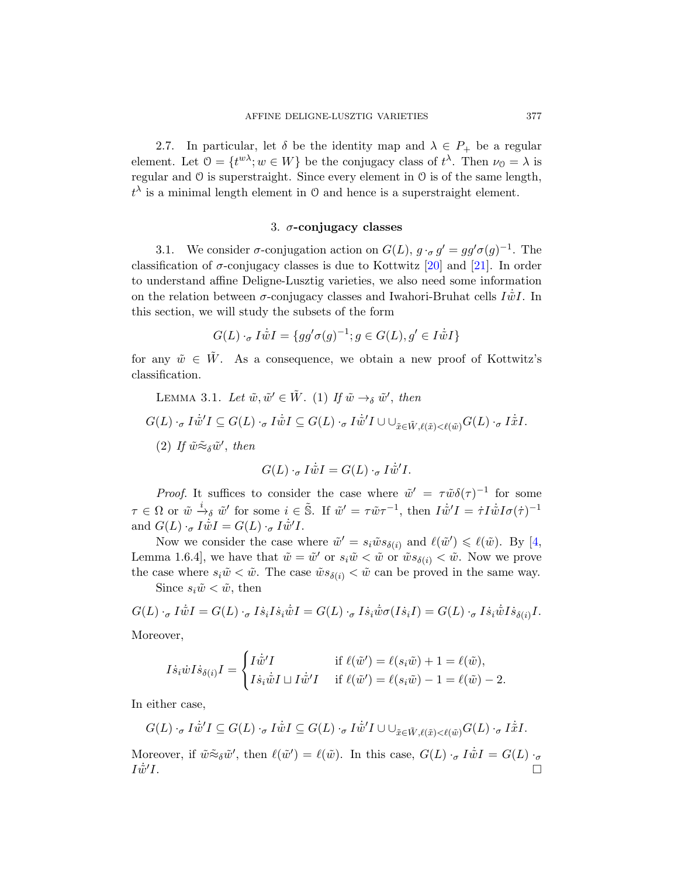2.7. In particular, let  $\delta$  be the identity map and  $\lambda \in P_+$  be a regular element. Let  $0 = \{t^{w\lambda}; w \in W\}$  be the c[onju](#page-36-3)gacy class of  $t^{\lambda}$ . Then  $\nu_0 = \lambda$  is regular and O is superstraight.S[inc](#page-36-2)e every element in O is of the same length,  $t^{\lambda}$  is a minimal length element in O and hence is a superstraight element.

### 3.  $\sigma$ -conjugacy classes

<span id="page-10-0"></span>3.1. We consider  $\sigma$ -conjugation action on  $G(L)$ ,  $g \cdot_{\sigma} g' = gg'\sigma(g)^{-1}$ . The classification of  $\sigma$ -conjugacy classes is due to Kottwitz [20] and [21]. In order to understand affine Deligne-Lusztig varieties, we also need some information on the relation between  $\sigma$ -conjugacy classes and Iwahori-Bruhat cells  $I\dot{\tilde{w}}I$ . In this section, we will study the subsets of the form

$$
G(L) \cdot_{\sigma} I \dot{\tilde{w}} I = \{ gg' \sigma(g)^{-1}; g \in G(L), g' \in I \dot{\tilde{w}} I \}
$$

for any  $\tilde{w} \in \tilde{W}$ . As a consequence, we obtain a new proof of Kottwitz's classification.

LEMMA 3.1. Let 
$$
\tilde{w}, \tilde{w}' \in \tilde{W}
$$
. (1) If  $\tilde{w} \to_{\delta} \tilde{w}'$ , then  
\n
$$
G(L) \cdot_{\sigma} I \dot{\tilde{w}}' I \subseteq G(L) \cdot_{\sigma} I \dot{\tilde{w}} I \subseteq G(L) \cdot_{\sigma} I \dot{\tilde{w}}' I \cup \bigcup_{\tilde{x} \in \tilde{W}, \ell(\tilde{x}) < \ell(\tilde{w})} G(L) \cdot_{\sigma} I \dot{\tilde{x}} I.
$$
\n(2) If  $\tilde{w} \approx_{\delta} \tilde{w}'$ , then

$$
G(L) \cdot_{\sigma} I \dot{\tilde{w}} I = G(L) \cdot_{\sigma} I \dot{\tilde{w}}' I.
$$

*Proof.* It suffices to consider the case where  $\tilde{w}' = \tau \tilde{w} \delta(\tau)^{-1}$  for some  $\tau \in \Omega$  or  $\tilde{w} \stackrel{i}{\rightarrow} \delta \tilde{w}'$  for some  $i \in \tilde{\mathbb{S}}$ . If  $\tilde{w}' = \tau \tilde{w} \tau^{-1}$ , then  $I\dot{\tilde{w}}'I = \dot{\tau}I\dot{\tilde{w}}I\sigma(\dot{\tau})^{-1}$ and  $G(L) \cdot_{\sigma} I \dot{\tilde{w}} I = G(L) \cdot_{\sigma} I \dot{\tilde{w}}' I$ .

Now we consider the case where  $\tilde{w}' = s_i \tilde{w} s_{\delta(i)}$  and  $\ell(\tilde{w}') \leq \ell(\tilde{w})$ . By [4, Lemma 1.6.4, we have that  $\tilde{w} = \tilde{w}'$  or  $s_i\tilde{w} < \tilde{w}$  or  $\tilde{w}s_{\delta(i)} < \tilde{w}$ . Now we prove the case where  $s_i\tilde{w} < \tilde{w}$ . The case  $\tilde{w}s_{\delta(i)} < \tilde{w}$  can be proved in the same way. Since  $s_i\tilde{w} < \tilde{w}$ , then

 $G(T)$   $\vec{r}$   $\vec{r}$   $G(T)$   $\vec{r}$   $\vec{r}$   $G(T)$   $\vec{r}$   $\vec{r}$   $G(T)$   $\vec{r}$   $G(T)$ 

$$
G(L) \cdot_{\sigma} I \tilde{w} I = G(L) \cdot_{\sigma} I \dot{s}_i I \dot{s}_i \tilde{w} I = G(L) \cdot_{\sigma} I \dot{s}_i \tilde{w} \sigma(I \dot{s}_i I) = G(L) \cdot_{\sigma} I \dot{s}_i \tilde{w} I \dot{s}_{\delta(i)} I.
$$

Moreover,

$$
I\dot{s}_i\dot{w}I\dot{s}_{\delta(i)}I = \begin{cases} I\dot{\tilde{w}}'I & \text{if } \ell(\tilde{w}') = \ell(s_i\tilde{w}) + 1 = \ell(\tilde{w}), \\ I\dot{s}_i\dot{\tilde{w}}I \sqcup I\dot{\tilde{w}}'I & \text{if } \ell(\tilde{w}') = \ell(s_i\tilde{w}) - 1 = \ell(\tilde{w}) - 2. \end{cases}
$$

In either case,

$$
G(L) \cdot_{\sigma} I\dot{\tilde{w}}' I \subseteq G(L) \cdot_{\sigma} I\dot{\tilde{w}} I \subseteq G(L) \cdot_{\sigma} I\dot{\tilde{w}}' I \cup \cup_{\tilde{x} \in \tilde{W}, \ell(\tilde{x}) < \ell(\tilde{w})} G(L) \cdot_{\sigma} I\dot{\tilde{x}} I.
$$

Moreover, if  $\tilde{w} \tilde{\approx}_{\delta} \tilde{w}'$ , then  $\ell(\tilde{w}') = \ell(\tilde{w})$ . In this case,  $G(L) \cdot_{\sigma} I \dot{\tilde{w}} I = G(L) \cdot_{\sigma}$  $I\dot{\tilde{w}}'I.$  $I.$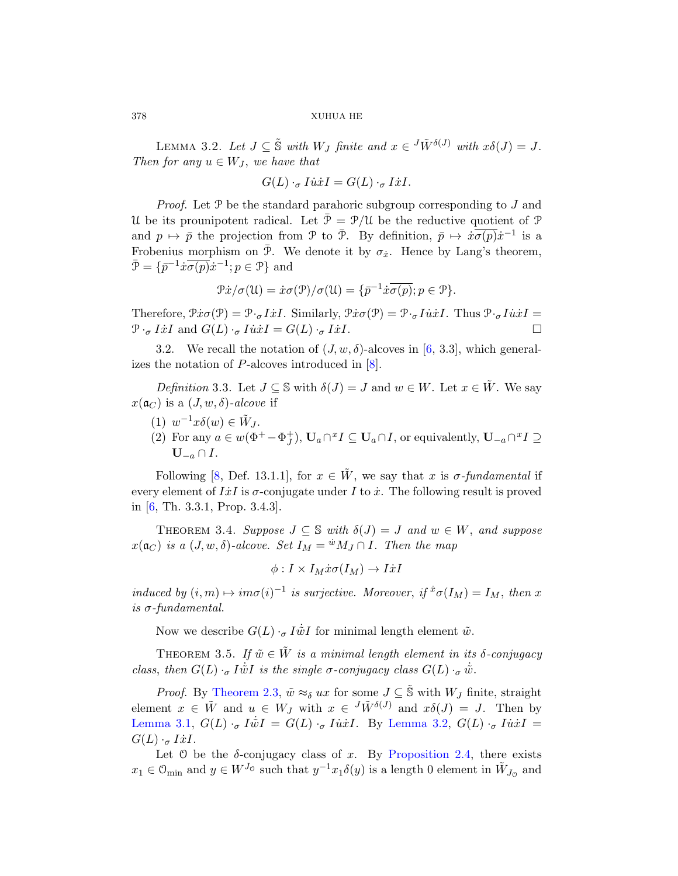LEMMA 3.2. Let  $J \subseteq \tilde{S}$  with  $W_J$  finite and  $x \in {}^J \tilde{W}^{\delta(J)}$  with  $x \delta(J) = J$ . Then for any  $u \in W_J$ , we have that

$$
G(L) \cdot_{\sigma} I \dot{u} \dot{x} I = G(L) \cdot_{\sigma} I \dot{x} I.
$$

*Proof.* Let  $P$  be the standard parahoric subgroup corresponding to  $J$  and U be its prounipotent radical. Let  $\bar{\mathcal{P}} = \mathcal{P}/\mathcal{U}$  be the reductive quotient of  $\mathcal{P}$ and  $p \mapsto \bar{p}$  the projection from P to  $\bar{P}$ . By definition,  $\bar{p} \mapsto \dot{x}\overline{\sigma(p)}\dot{x}^{-1}$  is a Frobenius morphism on  $\bar{P}$ . We [d](#page-35-3)enote it by  $\sigma_{\dot{x}}$ . Hence by Lang's theorem,  $\bar{\mathcal{P}} = \{ \bar{p}^{-1} \dot{x} \overline{\sigma(p)} \dot{x}^{-1}; p \in \mathcal{P} \}$  and

$$
\mathcal{P}\dot{x}/\sigma(\mathfrak{U}) = \dot{x}\sigma(\mathcal{P})/\sigma(\mathfrak{U}) = {\overline{p}}^{-1}\dot{x}\overline{\sigma(p)}; p \in \mathcal{P}.
$$

Therefore,  $\mathcal{P}x\sigma(\mathcal{P}) = \mathcal{P}\sigma\{xI\}$ . Similarly,  $\mathcal{P}x\sigma(\mathcal{P}) = \mathcal{P}\sigma\{xI\}$ . Thus  $\mathcal{P}\sigma\{xI\} =$  $\mathcal{P} \cdot_{\sigma} I \dot{x} I$  and  $G(L) \cdot_{\sigma} I \dot{u} \dot{x} I = G(L) \cdot_{\sigma} I \dot{x} I$ .

3.2. We recall the notation of  $(J, w, \delta)$ -alcoves in [6, 3.3], which generalizes the notation of P-alcoves introduced in [8].

Definition 3.3. Let  $J \subseteq \mathbb{S}$  with  $\delta(J) = J$  and  $w \in W$ . Let  $x \in W$ . We say  $x(\mathfrak{a}_C)$  is a  $(J, w, \delta)$ -alcove if

- (1)  $w^{-1}x\delta(w) \in \tilde{W}_J$ .
- (2) For any  $a \in w(\Phi^+ \Phi_J^+)$ ,  $U_a \cap {}^x I \subseteq U_a \cap I$ , or equivalently,  $U_{-a} \cap {}^x I \supseteq$  $\mathbf{U}_{-a} \cap I$ .

Following [8, Def. 13.1.1], for  $x \in \tilde{W}$ , we say that x is  $\sigma$ -fundamental if every element of  $I\dot{x}I$  is  $\sigma$ -conjugate under I to  $\dot{x}$ . The following result is proved in [6, Th. 3.3.1, Prop. 3.4.3].

<span id="page-11-1"></span>THEOREM 3.4. Suppose  $J \subseteq \mathbb{S}$  with  $\delta(J) = J$  and  $w \in W$ , and suppose  $x(\mathfrak{a}_C)$  is a  $(J, w, \delta)$ -alcove. Set  $I_M = {^w}M_J \cap I$ . Then the map

$$
\phi: I \times I_M \dot{x} \sigma(I_M) \to I \dot{x} I
$$

[induc](#page-9-0)ed by  $(i, m) \mapsto im\sigma(i)^{-1}$  is surjective. Moreover, if  ${}^{\dot{x}}\sigma(I_M) = I_M$ , then x is  $\sigma$ -fundamental.

Now we describe  $G(L) \cdot_{\sigma} I \dot{\tilde{w}} I$  for minimal length element  $\tilde{w}$ .

THEOREM 3.5. If  $\tilde{w} \in \tilde{W}$  [is a minim](#page-9-1)al length element in its  $\delta$ -conjugacy class, then  $G(L) \cdot_{\sigma} I \dot{\tilde{w}} I$  is the single  $\sigma$ -conjugacy class  $G(L) \cdot_{\sigma} \dot{\tilde{w}}$ .

*Proof.* By Theorem 2.3,  $\tilde{w} \approx_{\delta} u x$  for some  $J \subseteq \tilde{\mathbb{S}}$  with  $W_J$  finite, straight element  $x \in \tilde{W}$  and  $u \in W_J$  with  $x \in {}^J \tilde{W}^{\delta(J)}$  and  $x \delta(J) = J$ . Then by Lemma 3.1,  $G(L) \cdot_{\sigma} I \dot{\tilde{w}} I = G(L) \cdot_{\sigma} I \dot{\tilde{w}} I$ . By Lemma 3.2,  $G(L) \cdot_{\sigma} I \dot{\tilde{w}} I =$  $G(L) \cdot_{\sigma} I\dot{x}I.$ 

Let  $\circ$  be the  $\delta$ -conjugacy class of x. By Proposition 2.4, there exists  $x_1 \in \mathcal{O}_{\text{min}}$  and  $y \in W^{J_0}$  such that  $y^{-1}x_1\delta(y)$  is a length 0 element in  $\tilde{W}_{J_0}$  and

<span id="page-11-0"></span>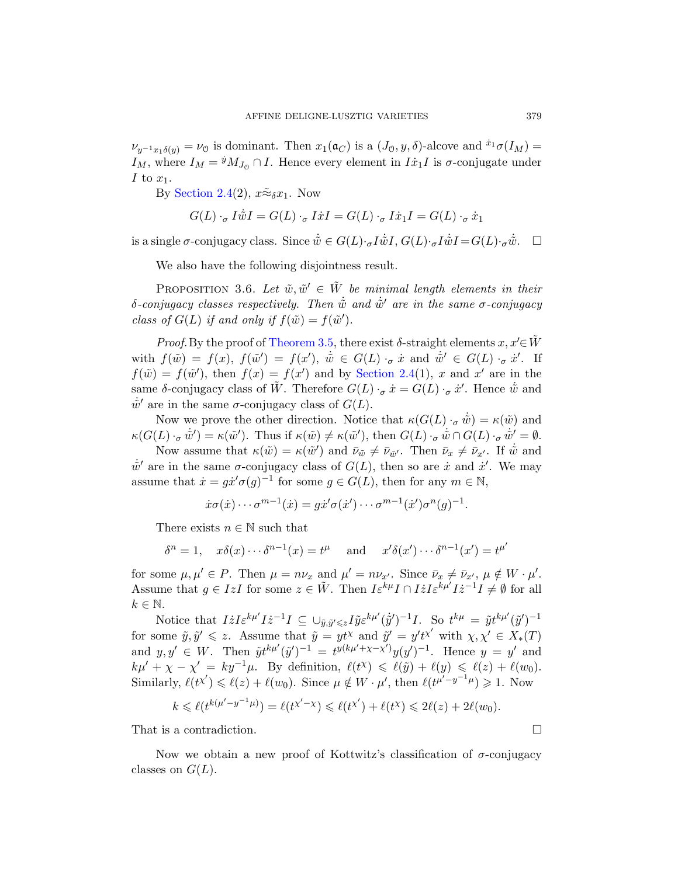<span id="page-12-0"></span> $\nu_{y^{-1}x_1\delta(y)} = \nu_{\mathcal{O}}$  is dominant. Then  $x_1(\mathfrak{a}_C)$  is a  $(J_0, y, \delta)$ -alcove and  $x_1\sigma(I_M) =$  $I_M$ , where  $I_M = {}^{\dot{y}} M_{J_0} \cap I$ . Hence every element in  $I\dot{x}_1I$  is  $\sigma$ -conjugate under I to  $x_1$ .

By Section 2.4(2),  $x\tilde{\approx}_{\delta}x_1$ . Now

$$
G(L) \cdot_{\sigma} I \dot{\tilde{w}} I = G(L) \cdot_{\sigma} I \dot{x} I = G(L) \cdot_{\sigma} I \dot{x}_1 I = G(L) \cdot_{\sigma} \dot{x}_1
$$

is [a single](#page-11-1)  $\sigma$ -conjugacy class. Since  $\dot{\tilde{w}} \in G(L) \cdot_{\sigma} I \dot{\tilde{w}} I$ ,  $G(L) \cdot_{\sigma} I \dot{\tilde{w}} I = G(L) \cdot_{\sigma} \dot{\tilde{w}}$ .  $\Box$ 

We also have the following disjointness result.

PROPOSITION [3.6.](#page-8-0) Let  $\tilde{w}, \tilde{w}' \in \tilde{W}$  be minimal length elements in their δ-conjugacy classes respectively. Then  $\dot{\tilde{w}}$  and  $\dot{\tilde{w}}'$  are in the same σ-conjugacy class of  $G(L)$  if and only if  $f(\tilde{w}) = f(\tilde{w}')$ .

*Proof.* By the proof of Theorem 3.5, there exist  $\delta$ -straight elements  $x, x' \in \tilde{W}$ with  $f(\tilde w) = f(x)$ ,  $f(\tilde w') = f(x')$ ,  $\dot{\tilde w} \in G(L)$   $\cdot_{\sigma} \dot{x}$  and  $\dot{\tilde w}' \in G(L)$   $\cdot_{\sigma} \dot{x}'$ . If  $f(\tilde{w}) = f(\tilde{w}')$ , then  $f(x) = f(x')$  and by Section 2.4(1), x and x' are in the same  $\delta$ -conjugacy class of  $\tilde{W}$ . Therefore  $G(L) \cdot_{\sigma} \dot{x} = G(L) \cdot_{\sigma} \dot{x}'$ . Hence  $\dot{\tilde{w}}$  and  $\dot{w}'$  are in the same  $\sigma$ -conjugacy class of  $G(L)$ .

Now we prove the other direction. Notice that  $\kappa(G(L) \cdot_{\sigma} \dot{\tilde{w}}) = \kappa(\tilde{w})$  and  $\kappa(G(L) \cdot_{\sigma} \dot{\tilde{w}}') = \kappa(\tilde{w}')$ . Thus if  $\kappa(\tilde{w}) \neq \kappa(\tilde{w}')$ , then  $G(L) \cdot_{\sigma} \dot{\tilde{w}} \cap G(L) \cdot_{\sigma} \dot{\tilde{w}}' = \emptyset$ .

Now assume that  $\kappa(\tilde{w}) = \kappa(\tilde{w}')$  and  $\bar{\nu}_{\tilde{w}} \neq \bar{\nu}_{\tilde{w}'}$ . Then  $\bar{\nu}_x \neq \bar{\nu}_{x'}$ . If  $\dot{\tilde{w}}$  and  $\dot{\tilde{w}}'$  are in the same  $\sigma$ -conjugacy class of  $G(L)$ , then so are  $\dot{x}$  and  $\dot{x}'$ . We may assume that  $\dot{x} = g\dot{x}'\sigma(g)^{-1}$  for some  $g \in G(L)$ , then for any  $m \in \mathbb{N}$ ,

$$
\dot{x}\sigma(\dot{x})\cdots\sigma^{m-1}(\dot{x})=g\dot{x}'\sigma(\dot{x}')\cdots\sigma^{m-1}(\dot{x}')\sigma^n(g)^{-1}.
$$

There exists  $n \in \mathbb{N}$  such that

$$
\delta^n = 1, \quad x\delta(x)\cdots\delta^{n-1}(x) = t^{\mu} \quad \text{and} \quad x'\delta(x')\cdots\delta^{n-1}(x') = t^{\mu'}
$$

for some  $\mu, \mu' \in P$ . Then  $\mu = n\nu_x$  and  $\mu' = n\nu_{x'}$ . Since  $\bar{\nu}_x \neq \bar{\nu}_{x'}$ ,  $\mu \notin W \cdot \mu'$ . Assume that  $g \in IzI$  for some  $z \in \tilde{W}$ . Then  $I\varepsilon^{k\mu}I \cap IzI\varepsilon^{k\mu'}Iz^{-1}I \neq \emptyset$  for all  $k \in \mathbb{N}$ .

Notice that  $I\dot{z}I\varepsilon^{k\mu'}I\dot{z}^{-1}I \subseteq \cup_{\tilde{y},\tilde{y}'\leqslant z}I\tilde{y}\varepsilon^{k\mu'}(\dot{\tilde{y}}')^{-1}I$ . So  $t^{k\mu} = \tilde{y}t^{k\mu'}(\tilde{y}')^{-1}$ for some  $\tilde{y}, \tilde{y}' \leq z$ . Assume that  $\tilde{y} = y t^{\chi}$  and  $\tilde{y}' = y' t^{\chi'}$  with  $\chi, \chi' \in X_*(T)$ and  $y, y' \in W$ . Then  $\tilde{y}t^{k\mu'}(\tilde{y}')^{-1} = t^{y(k\mu' + \chi - \chi')}y(y')^{-1}$ . Hence  $y = y'$  and  $k\mu' + \chi - \chi' = ky^{-1}\mu$ . By definition,  $\ell(t^{\chi}) \leq \ell(\tilde{y}) + \ell(y) \leq \ell(z) + \ell(w_0)$ . Similarly,  $\ell(t^{\chi'}) \leq \ell(z) + \ell(w_0)$ . Since  $\mu \notin W \cdot \mu'$ , then  $\ell(t^{\mu'-y^{-1}}\mu) \geq 1$ . Now

$$
k \leq \ell(t^{k(\mu'-y^{-1}\mu)}) = \ell(t^{\chi'-\chi}) \leq \ell(t^{\chi'}) + \ell(t^{\chi}) \leq 2\ell(z) + 2\ell(w_0).
$$

That is a contradiction.

Now we obtain a new proof of Kottwitz's classification of  $σ$ -conjugacy classes on  $G(L)$ .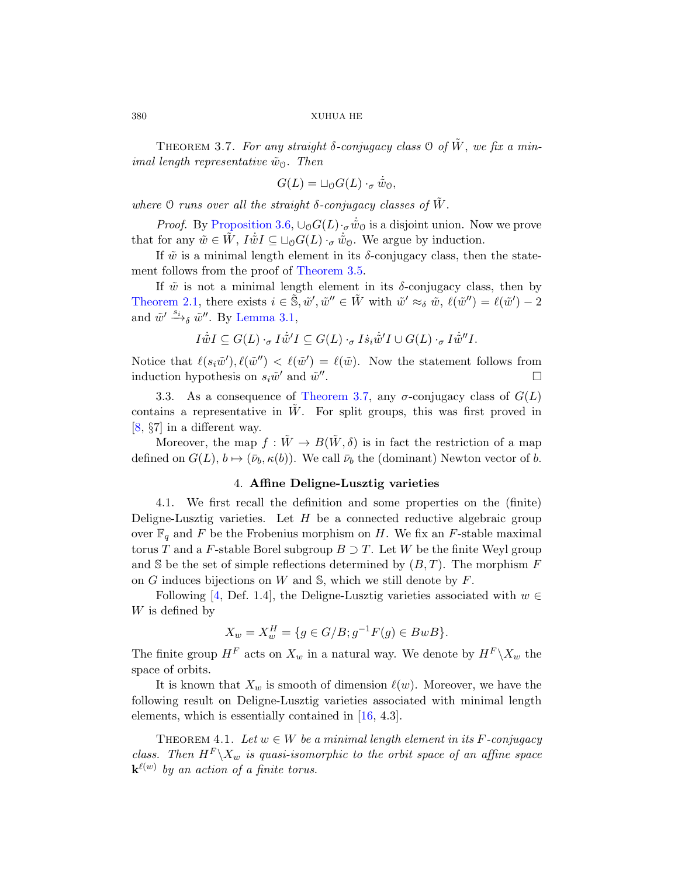THEOREM 3.7. For any straight  $\delta$ -conjugacy class  $\Theta$  of  $\tilde{W}$ , we fix a minimal length representative  $\tilde{w}_0$ . Then

$$
G(L) = \sqcup_{\mathcal{O}} G(L) \cdot_{\sigma} \dot{\tilde{w}}_{\mathcal{O}},
$$

where  $\mathcal O$  runs over all the straight  $\delta$ -conjugacy classes of  $\tilde W$ .

*[Pro](#page-10-0)of.* By Proposition 3.6,  $\cup_{\mathcal{O}} G(L) \cdot_{\sigma} \dot{\tilde{w}}_{\mathcal{O}}$  is a disjoint union. Now we prove that for any  $\tilde{w} \in \tilde{W}$ ,  $I\dot{\tilde{w}}I \subseteq \Box_{\mathcal{O}}G(L) \cdot_{\sigma} \dot{\tilde{w}}_{\mathcal{O}}$ . We argue by induction.

If  $\tilde{w}$  is a minimal length element in its  $\delta$ -conjugacy class, then the statement follows from the proof of Theorem 3.5.

If  $\tilde{w}$  is not a minimal length element in its  $\delta$ -conjugacy class, then by Theore[m 2.1, there ex](#page-13-0)ists  $i \in \tilde{\mathbb{S}}, \tilde{w}', \tilde{w}'' \in \tilde{W}$  with  $\tilde{w}' \approx_{\delta} \tilde{w}, \ell(\tilde{w}'') = \ell(\tilde{w}') - 2$ and  $\tilde{w}' \xrightarrow{s_i} \tilde{w}''$ . By Lemma 3.1,

$$
I \dot{\tilde{w}} I \subseteq G(L) \cdot_{\sigma} I \dot{\tilde{w}}' I \subseteq G(L) \cdot_{\sigma} I \dot{s}_i \dot{\tilde{w}}' I \cup G(L) \cdot_{\sigma} I \dot{\tilde{w}}'' I.
$$

Notice that  $\ell(s_i\tilde{w}')$ ,  $\ell(\tilde{w}'') < \ell(\tilde{w}') = \ell(\tilde{w})$ . Now the statement follows from induction hypothesis on  $s_i\tilde{w}'$  and  $\tilde{w}''$ .

3.3. As a consequence of Theorem 3.7, any  $\sigma$ -conjugacy class of  $G(L)$ contains a representative in  $W$ . For split groups, this was first proved in [8, §7] in a different way.

Moreover, the map  $f: \tilde{W} \to B(\tilde{W}, \delta)$  is in fact the restriction of a map defined on  $G(L)$ ,  $b \mapsto (\bar{\nu}_b, \kappa(b))$ . We call  $\bar{\nu}_b$  the (dominant) Newton vector of b.

# 4. Affine Deligne-Lusztig varieties

4.1. We first recall the definition and some properties on the (finite) Deligne-Lusztig varieties. Let  $H$  be a connected reductive algebraic group over  $\mathbb{F}_q$  and F be the Frobenius morphism on H. We fix an F-stable maximal torus T and a F-stable Borel subgroup  $B \supset T$ . Let W be the finite Weyl group and S be the set of simple reflections determined by  $(B, T)$ . The morphism F on G induces bijections on W and  $\mathbb{S}$ , which we still denote by F.

Following [4, Def. 1.4], the Deligne-Lusztig varieties associated with  $w \in$ W is defined by

$$
X_w = X_w^H = \{ g \in G/B; g^{-1}F(g) \in BwB \}.
$$

<span id="page-13-1"></span>The finite group  $H^F$  acts on  $X_w$  in a natural way. We denote by  $H^F \backslash X_w$  the space of orbits.

It is known that  $X_w$  is smooth of dimension  $\ell(w)$ . Moreover, we have the following result on Deligne-Lusztig varieties associated with minimal length elements, which is essentially contained in [16, 4.3].

THEOREM 4.1. Let  $w \in W$  be a minimal length element in its F-conjugacy class. Then  $H^F \backslash X_w$  is quasi-isomorphic to the orbit space of an affine space  ${\bf k}^{\ell(w)}$  by an action of a finite torus.

<span id="page-13-0"></span>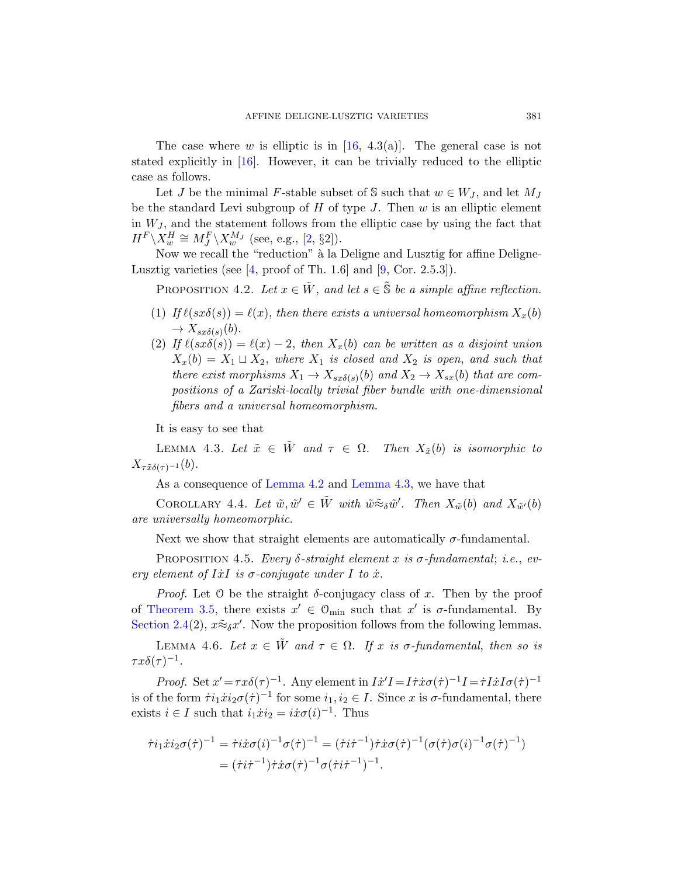The [ca](#page-35-7)se where w is elliptic is in  $[16, 4.3(a)]$ . The general case is not stated explicitly in [16][.](#page-35-9) However, it can be trivially reduced to the elliptic [c](#page-35-8)ase as follows.

<span id="page-14-0"></span>Let J be the minimal F-stable subset of S such that  $w \in W_J$ , and let  $M_J$ be the standard Levi subgroup of  $H$  of type  $J$ . Then  $w$  is an elliptic element in  $W_J$ , and the statement follows from the elliptic case by using the fact that  $H^F \backslash X_w^H \cong M_J^F \backslash X_w^{M_J}$  (see, e.g., [2, §2]).

Now we recall the "reduction" à la Deligne and Lusztig for affine Deligne-Lusztig varieties (see  $[4, \text{proof of Th. 1.6}]$  and  $[9, \text{Cor. 2.5.3}].$ 

PROPOSITION 4.2. Let  $x \in \tilde{W}$ , and let  $s \in \tilde{\mathbb{S}}$  be a simple affine reflection.

- (1) If  $\ell(sx\delta(s)) = \ell(x)$ , then there exists a universal homeomorphism  $X_x(b)$  $\rightarrow X_{sx\delta(s)}(b).$
- <span id="page-14-1"></span>(2) If  $\ell(sx\delta(s)) = \ell(x) - 2$ , then  $X_x(b)$  can be written as a disjoint union  $X_x(b) = X_1 \sqcup X_2$ , where  $X_1$  is closed and  $X_2$  is open, and such that there exist morphisms  $X_1 \to X_{sx\delta(s)}(b)$  and  $X_2 \to X_{sx}(b)$  that are com[positio](#page-14-0)ns o[f a Zariski-l](#page-14-1)ocally trivial fiber bundle with one-dimensional fibers and a universal homeomorphism.

It is easy to see that

<span id="page-14-2"></span>LEMMA 4.3. Let  $\tilde{x} \in \tilde{W}$  and  $\tau \in \Omega$ . Then  $X_{\tilde{x}}(b)$  is isomorphic to  $X_{\tau \tilde{x}\delta(\tau)^{-1}}(b).$ 

As a consequence of Lemma 4.2 and Lemma 4.3, we have that

COROLLARY 4.4. Let  $\tilde{w}, \tilde{w}' \in \tilde{W}$  with  $\tilde{w} \tilde{\approx}_{\delta} \tilde{w}'$ . Then  $X_{\tilde{w}}(b)$  and  $X_{\tilde{w}'}(b)$ are universally homeomorphic.

Next we show that straight elements are automatically  $\sigma$ -fundamental.

PROPOSITION 4.5. Every  $\delta$ -straight element x is  $\sigma$ -fundamental; i.e., every element of IxI is  $\sigma$ -conjugate under I to  $\dot{x}$ .

*Proof.* Let 0 be the straight  $\delta$ -conjugacy class of x. Then by the proof of Theorem 3.5, there exists  $x' \in \mathcal{O}_{\text{min}}$  such that  $x'$  is  $\sigma$ -fundamental. By Section 2.4(2),  $x \tilde{\approx}_{\delta} x'$ . Now the proposition follows from the following lemmas.

LEMMA 4.6. Let  $x \in \tilde{W}$  and  $\tau \in \Omega$ . If x is  $\sigma$ -fundamental, then so is  $\tau x\delta(\tau)^{-1}.$ 

*Proof.* Set  $x' = \tau x \delta(\tau)^{-1}$ . Any element in  $I\dot{x}'I = I\dot{\tau}\dot{x}\sigma(\dot{\tau})^{-1}I = \dot{\tau}I\dot{x}I\sigma(\dot{\tau})^{-1}$ is of the form  $\dot{\tau}i_1\dot{x}i_2\sigma(\dot{\tau})^{-1}$  for some  $i_1, i_2 \in I$ . Since x is  $\sigma$ -fundamental, there exists  $i \in I$  such that  $i_1 \dot{x} i_2 = i \dot{x} \sigma(i)^{-1}$ . Thus

$$
\dot{\tau}i_1\dot{x}i_2\sigma(\dot{\tau})^{-1} = \dot{\tau}i\dot{x}\sigma(i)^{-1}\sigma(\dot{\tau})^{-1} = (\dot{\tau}i\dot{\tau}^{-1})\dot{\tau}\dot{x}\sigma(\dot{\tau})^{-1}(\sigma(\dot{\tau})\sigma(i)^{-1}\sigma(\dot{\tau})^{-1})
$$

$$
= (\dot{\tau}i\dot{\tau}^{-1})\dot{\tau}\dot{x}\sigma(\dot{\tau})^{-1}\sigma(\dot{\tau}i\dot{\tau}^{-1})^{-1}.
$$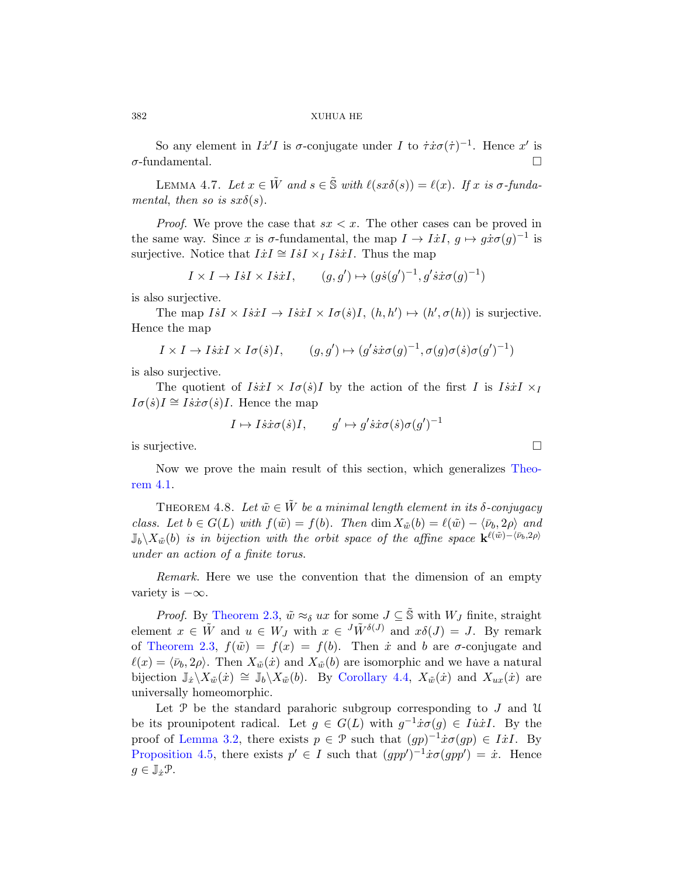So any element in  $I\dot{x}'I$  is  $\sigma$ -conjugate under I to  $\dot{\tau}x\sigma(\dot{\tau})^{-1}$ . Hence  $x'$  is  $\sigma$ -fundamental.

LEMMA 4.7. Let  $x \in \tilde{W}$  and  $s \in \tilde{\mathbb{S}}$  with  $\ell(sx\delta(s)) = \ell(x)$ . If x is  $\sigma$ -fundamental, then so is  $sx\delta(s)$ .

*Proof.* We prove the case that  $sx < x$ . The other cases can be proved in the same way. Since x is  $\sigma$ -fundamental, the map  $I \to I\dot{x}I$ ,  $g \mapsto g\dot{x}\sigma(g)^{-1}$  is surjective. Notice that  $I\dot{x}I \cong I\dot{s}I \times_I I\dot{s}\dot{x}I$ . Thus the map

$$
I \times I \to I \dot{s}I \times I \dot{s}\dot{x}I
$$
,  $(g, g') \mapsto (g\dot{s}(g')^{-1}, g'\dot{s}\dot{x}\sigma(g)^{-1})$ 

is also surjective.

The map  $IsI \times IsirI \rightarrow IsirI \times I\sigma(\dot{s})I$ ,  $(h, h') \mapsto (h', \sigma(h))$  is surjective. Hence the map

$$
I \times I \to I \dot{s} \dot{x} I \times I \sigma(\dot{s}) I,
$$
  $(g, g') \mapsto (g' \dot{s} \dot{x} \sigma(g)^{-1}, \sigma(g) \sigma(\dot{s}) \sigma(g')^{-1})$ 

is also surjective.

<span id="page-15-0"></span>The quotient of  $I\dot{s}\dot{x}I \times I\sigma(\dot{s})I$  by the action of the first I is  $I\dot{s}\dot{x}I \times I$  $I\sigma(\dot{s})I \cong I\dot{s}\dot{x}\sigma(\dot{s})I$ . Hence the map

$$
I \mapsto I \dot{s} \dot{x} \sigma(\dot{s}) I
$$
,  $g' \mapsto g' \dot{s} \dot{x} \sigma(\dot{s}) \sigma(g')^{-1}$ 

is surjective.  $\Box$ 

Now we prove the main result of this section, which generalizes Theorem 4.1.

THEOREM 4.8. Let  $\tilde{w} \in \tilde{W}$  be a minimal length element in its δ-conjugacy [class](#page-9-0). Let  $b \in G(L)$  with  $f(\tilde{w}) = f(b)$ . Then  $\dim X_{\tilde{w}}(b) = \ell(\tilde{w}) - \langle \bar{\nu}_b, 2\rho \rangle$  and  $\mathbb{J}_b \setminus X_{\tilde{w}}(b)$  is in bijection with the orbit space of the affine space  $\mathbf{k}^{\ell(\tilde{w})-\langle \bar{\nu}_b,2\rho\rangle}$ under an action of a finite torus.

Remark. H[ere we use th](#page-14-2)e convention that the dimension of an empty variety is  $-\infty$ .

*Proof.* By Theorem 2.3,  $\tilde{w} \approx_{\delta} u x$  for some  $J \subseteq \tilde{\mathbb{S}}$  with  $W_J$  finite, straight element  $x \in \tilde{W}$  and  $u \in W_J$  with  $x \in {}^{J}\tilde{W}^{\delta(J)}$  and  $x\delta(J) = J$ . By remark of Theorem 2.3,  $f(\tilde{w}) = f(x) = f(b)$ . Then  $\dot{x}$  and b are  $\sigma$ -conjugate and  $\ell(x) = \langle \bar{\nu}_b, 2\rho \rangle$ . Then  $X_{\tilde{w}}(\dot{x})$  and  $X_{\tilde{w}}(b)$  are isomorphic and we have a natural bijection  $\mathbb{J}_x \setminus X_{\tilde{w}}(\dot{x}) \cong \mathbb{J}_b \setminus X_{\tilde{w}}(\dot{b})$ . By Corollary 4.4,  $X_{\tilde{w}}(\dot{x})$  and  $X_{ux}(\dot{x})$  are universally homeomorphic.

Let  $\mathcal P$  be the standard parahoric subgroup corresponding to  $J$  and  $\mathcal U$ be its prounipotent radical. Let  $g \in G(L)$  with  $g^{-1}x\sigma(g) \in I\dot{u}\dot{x}I$ . By the proof of Lemma 3.2, there exists  $p \in \mathcal{P}$  such that  $(gp)^{-1}\dot{x}\sigma(gp) \in I\dot{x}I$ . By Proposition 4.5, there exists  $p' \in I$  such that  $(gpp')^{-1}\dot{x}\sigma(gpp') = \dot{x}$ . Hence  $g \in \mathbb{J}_x \mathcal{P}$ .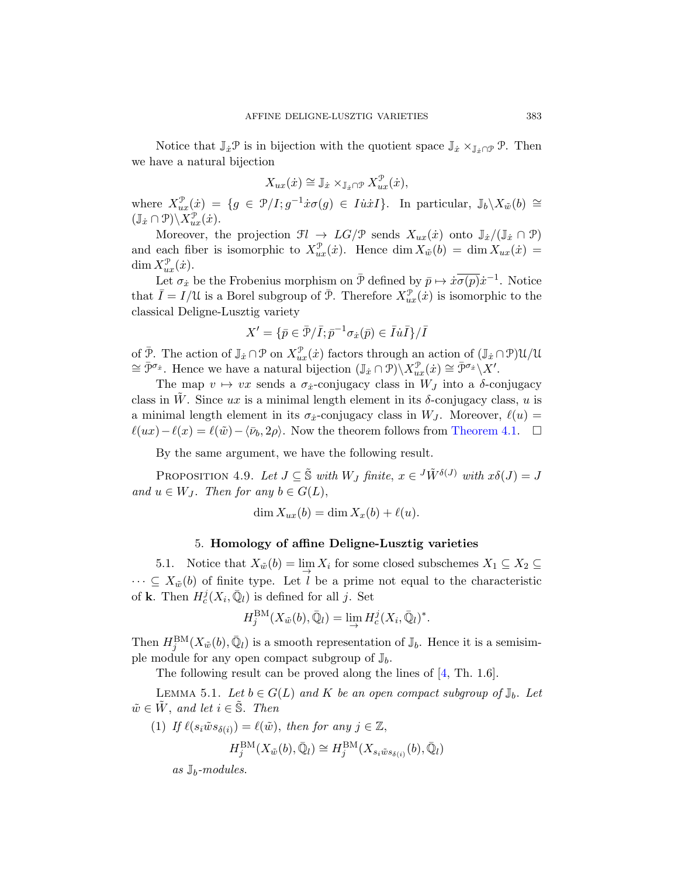Notice that  $\mathbb{J}_x \mathcal{P}$  is in bijection with the quotient space  $\mathbb{J}_x \times_{\mathbb{J}_x \cap \mathcal{P}} \mathcal{P}$ . Then we have a natural bijection

$$
X_{ux}(\dot{x}) \cong \mathbb{J}_{\dot{x}} \times_{\mathbb{J}_{\dot{x}} \cap \mathcal{P}} X_{ux}^{\mathcal{P}}(\dot{x}),
$$

where  $X_{ux}^{\mathcal{P}}(\dot{x}) = \{g \in \mathcal{P}/I; g^{-1}\dot{x}\sigma(g) \in I\dot{u}\dot{x}I\}.$  In particular,  $\mathbb{J}_b \setminus X_{\tilde{w}}(b) \cong$  $(\mathbb{J}_x \cap \mathcal{P}) \backslash X_{ux}^{\mathcal{P}}(\dot{x}).$ 

Moreover, the projection  $\mathfrak{F}l \to LG/\mathfrak{P}$  sends  $X_{ux}(\dot{x})$  onto  $\mathbb{J}_{\dot{x}}/(\mathbb{J}_{\dot{x}} \cap \mathfrak{P})$ and each fiber is isomorphic to  $X_{ux}^{\mathcal{P}}(x)$ . Hence  $\dim X_{\tilde{w}}(b) = \dim X_{ux}(x) =$  $\dim X_{ux}^{\mathcal{P}}(\dot{x}).$ 

Let  $\sigma_x$  be the Frobenius morphism on  $\bar{\mathcal{P}}$  defined by  $\bar{p} \mapsto x \overline{\sigma(p)} x^{-1}$ . Notice that  $\bar{I} = I/\mathcal{U}$  is a Borel subgroup of  $\bar{\mathcal{P}}$ . Therefore  $X_{ux}^{\mathcal{P}}(\dot{x})$  is isomorphic to the classical Deligne-Lusztig variety

$$
X'=\{\bar p\in\bar{\mathcal P}/\bar I; \bar p^{-1}\sigma_{\dot x}(\bar p)\in\bar I\dot u \bar I\}/\bar I
$$

of  $\bar{\mathcal{P}}$ . The action of  $\mathbb{J}_{\dot{x}} \cap \mathcal{P}$  on  $X_{ux}^{\mathcal{P}}(\dot{x})$  factors through an action of  $(\mathbb{J}_{\dot{x}} \cap \mathcal{P})\mathcal{U}/\mathcal{U}$  $\cong \bar{\mathcal{P}}^{\sigma_{\hat{x}}}$ . Hence we have a natural bijection  $(\mathbb{J}_{\hat{x}} \cap \mathcal{P}) \setminus X_{ux}^{\mathcal{P}}(\hat{x}) \cong \bar{\mathcal{P}}^{\sigma_{\hat{x}}} \setminus X'.$ 

<span id="page-16-1"></span>The map  $v \mapsto vx$  sends a  $\sigma_{\dot{x}}$ -conjugacy class in  $W_J$  into a  $\delta$ -conjugacy class in W. Since ux is a minimal length element in its  $\delta$ -conjugacy class, u is a minimal length element in its  $\sigma_{\dot{x}}$ -conjugacy class in  $W_J$ . Moreover,  $\ell(u) =$  $\ell(ux)-\ell(x) = \ell(\tilde{w})-\langle \bar{\nu}_b, 2\rho \rangle$ . Now the theorem follows from Theorem 4.1.  $\Box$ 

By the same argument, we have the following result.

PROPOSITION 4.9. Let  $J \subseteq \tilde{S}$  with  $W_J$  finite,  $x \in {}^J \tilde{W}^{\delta(J)}$  with  $x \delta(J) = J$ and  $u \in W_J$ . Then for any  $b \in G(L)$ ,

$$
\dim X_{ux}(b) = \dim X_x(b) + \ell(u).
$$

## 5. Homology of affine Deligne-Lusztig varieties

<span id="page-16-0"></span>5.1. Notice that  $X_{\tilde{w}}(b) = \lim_{\to} X_i$  for some closed subschemes  $X_1 \subseteq X_2 \subseteq$  $\cdots \subseteq X_{\tilde{w}}(b)$  of finite type. Let l [be](#page-35-8) a prime not equal to the characteristic of **k**. Then  $H_c^j(X_i, \overline{\mathbb{Q}}_l)$  is defined for all j. Set

$$
H_j^{\mathrm{BM}}(X_{\tilde{w}}(b), \bar{\mathbb{Q}}_l) = \lim_{\to} H_c^j(X_i, \bar{\mathbb{Q}}_l)^*.
$$

Then  $H_j^{\text{BM}}(X_{\tilde{w}}(b), \bar{\mathbb{Q}}_l)$  is a smooth representation of  $\mathbb{J}_b$ . Hence it is a semisimple module for any open compact subgroup of  $\mathbb{J}_b$ .

The following result can be proved along the lines of [4, Th. 1.6].

LEMMA 5.1. Let  $b \in G(L)$  and K be an open compact subgroup of  $\mathbb{J}_b$ . Let  $\tilde{w} \in \tilde{W}$ , and let  $i \in \tilde{\mathbb{S}}$ . Then

(1) If 
$$
\ell(s_i \tilde{w}s_{\delta(i)}) = \ell(\tilde{w})
$$
, then for any  $j \in \mathbb{Z}$ ,  
\n
$$
H_j^{\text{BM}}(X_{\tilde{w}}(b), \bar{\mathbb{Q}}_l) \cong H_j^{\text{BM}}(X_{s_i \tilde{w}s_{\delta(i)}}(b), \bar{\mathbb{Q}}_l)
$$

as  $\mathbb{J}_b$ -modules.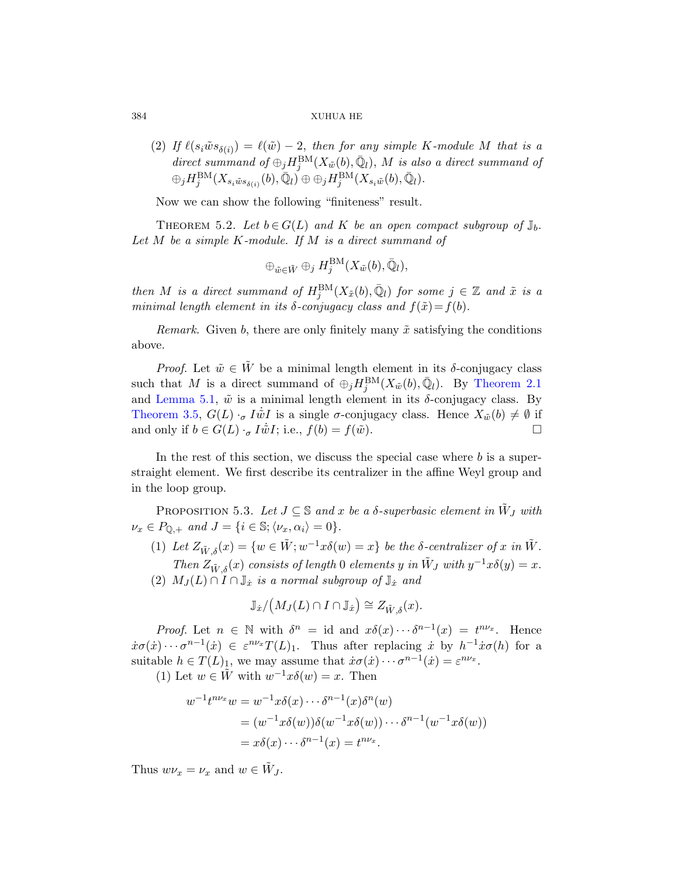(2) If  $\ell(s_i\tilde{w}s_{\delta(i)}) = \ell(\tilde{w}) - 2$ , then for any simple K-module M that is a direct summand of  $\oplus_j H_j^{\text{BM}}(X_{\tilde{w}}(b), \bar{\mathbb{Q}}_l)$ , M is also a direct summand of  $\oplus_j H_j^{\mathrm{BM}}(X_{s_i \tilde{w} s_{\delta(i)}}(b), \bar{\mathbb{Q}}_l) \oplus \oplus_j H_j^{\mathrm{BM}}(X_{s_i \tilde{w}}(b), \bar{\mathbb{Q}}_l).$ 

Now we can show the following "finiteness" result.

THEOREM 5.2. Let  $b \in G(L)$  and K be an open compact subgroup of  $\mathbb{J}_b$ . Let  $M$  be a simple  $K$ -module. If  $M$  is a direct summand of

$$
\oplus_{\tilde{w}\in \tilde{W}} \oplus_j H_j^{\mathrm{BM}}(X_{\tilde{w}}(b),\bar{\mathbb{Q}}_l),
$$

then M is a direct summand of  $H_j^{\text{BM}}(X_{\tilde{x}}(b), \bar{\mathbb{Q}}_l)$  [for s](#page-7-0)ome  $j \in \mathbb{Z}$  and  $\tilde{x}$  is a minimal length element in its  $\delta$ -conjugacy class and  $f(\tilde{x})=f(b)$ .

Remark. Given b, there are only finitely many  $\tilde{x}$  satisfying the conditions above.

<span id="page-17-0"></span>*Proof.* Let  $\tilde{w} \in \tilde{W}$  be a minimal length element in its  $\delta$ -conjugacy class such that M is a direct summand of  $\oplus_j H_j^{\text{BM}}(X_{\tilde{w}}(b), \bar{\mathbb{Q}}_l)$ . By Theorem 2.1 and Lemma 5.1,  $\tilde{w}$  is a minimal length element in its δ-conjugacy class. By Theorem 3.5,  $G(L) \cdot_{\sigma} I \dot{\tilde{w}} I$  is a single  $\sigma$ -conjugacy class. Hence  $X_{\tilde{w}}(b) \neq \emptyset$  if and only if  $b \in G(L) \cdot_{\sigma} I \dot{\tilde{w}} I$ ; i.e.,  $f(b) = f(\tilde{w})$ .

In the rest of this section, we discuss the special case where b is a superstraight element. We first describe its centralizer in the affine Weyl group and in the loop group.

PROPOSITION 5.3. Let  $J \subseteq \mathbb{S}$  and x be a  $\delta$ -superbasic element in  $\tilde{W}_J$  with  $\nu_x \in P_{\mathbb{Q},+}$  and  $J = \{i \in \mathbb{S}; \langle \nu_x, \alpha_i \rangle = 0\}.$ 

(1) Let  $Z_{\tilde{W},\delta}(x) = \{w \in \tilde{W}; w^{-1}x\delta(w) = x\}$  be the  $\delta$ -centralizer of x in  $\tilde{W}$ . Then  $Z_{\tilde{W},\delta}(x)$  consists of length 0 elements y in  $\tilde{W}_J$  with  $y^{-1}x\delta(y) = x$ . (2)  $M_J(L) \cap I \cap \mathbb{J}_x$  is a normal subgroup of  $\mathbb{J}_x$  and

$$
\mathbb{J}_{\dot{x}}/\big(M_J(L)\cap I\cap\mathbb{J}_{\dot{x}}\big)\cong Z_{\tilde{W},\delta}(x).
$$

*Proof.* Let  $n \in \mathbb{N}$  with  $\delta^n = id$  and  $x\delta(x) \cdots \delta^{n-1}(x) = t^{n\nu_x}$ . Hence  $\dot{x}\sigma(\dot{x})\cdots\sigma^{n-1}(\dot{x})\in\varepsilon^{n\nu_x}T(L)_1$ . Thus after replacing  $\dot{x}$  by  $h^{-1}\dot{x}\sigma(h)$  for a suitable  $h \in T(L)_1$ , we may assume that  $\dot{x}\sigma(\dot{x}) \cdots \sigma^{n-1}(\dot{x}) = \varepsilon^{n\nu_x}$ .

(1) Let  $w \in \tilde{W}$  with  $w^{-1}x\delta(w) = x$ . Then

$$
w^{-1}t^{n\nu_x}w = w^{-1}x\delta(x)\cdots\delta^{n-1}(x)\delta^n(w)
$$
  
=  $(w^{-1}x\delta(w))\delta(w^{-1}x\delta(w))\cdots\delta^{n-1}(w^{-1}x\delta(w))$   
=  $x\delta(x)\cdots\delta^{n-1}(x) = t^{n\nu_x}.$ 

Thus  $w\nu_x = \nu_x$  and  $w \in \tilde{W}_J$ .

<span id="page-17-1"></span>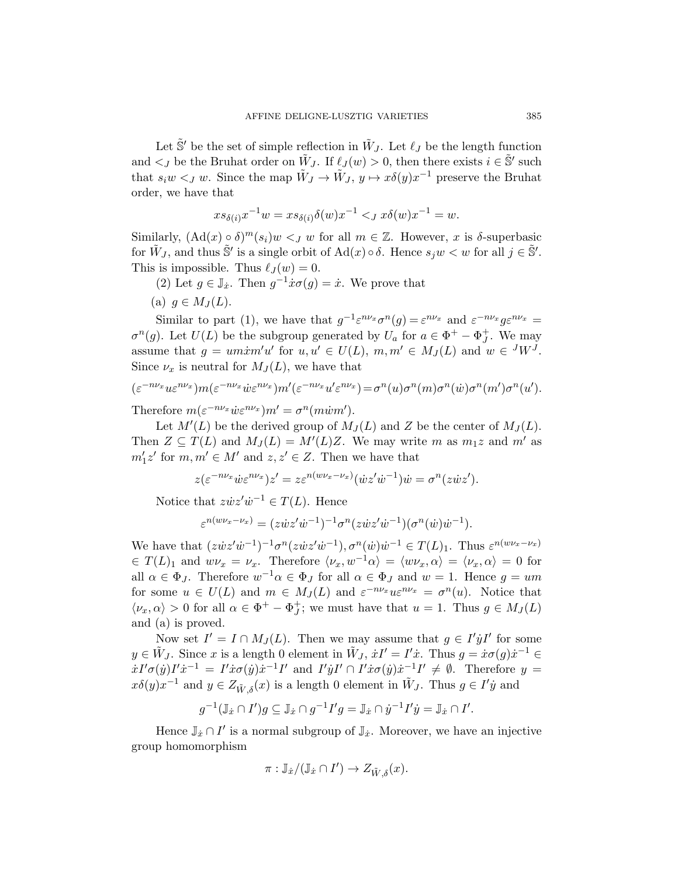Let  $\tilde{\mathbb{S}}'$  be the set of simple reflection in  $\tilde{W}_J$ . Let  $\ell_J$  be the length function and  $\lt_J$  be the Bruhat order on  $\tilde{W}_J$ . If  $\ell_J(w) > 0$ , then there exists  $i \in \tilde{S}'$  such that  $s_i w <_J w$ . Since the map  $\tilde{W}_J \to \tilde{W}_J$ ,  $y \mapsto x \delta(y) x^{-1}$  preserve the Bruhat order, we have that

$$
xs_{\delta(i)}x^{-1}w = xs_{\delta(i)}\delta(w)x^{-1} <_J x\delta(w)x^{-1} = w.
$$

Similarly,  $(\text{Ad}(x) \circ \delta)^m(s_i)w <_J w$  for all  $m \in \mathbb{Z}$ . However, x is  $\delta$ -superbasic for  $\tilde{W}_J$ , and thus  $\tilde{S}'$  is a single orbit of  $\text{Ad}(x) \circ \delta$ . Hence  $s_j w < w$  for all  $j \in \tilde{S}'$ . This is impossible. Thus  $\ell_J (w) = 0$ .

(2) Let  $g \in \mathbb{J}_{\dot{x}}$ . Then  $g^{-1}\dot{x}\sigma(g) = \dot{x}$ . We prove that

(a) 
$$
g \in M_J(L)
$$
.

Similar to part (1), we have that  $g^{-1} \varepsilon^{n \nu_x} \sigma^n(g) = \varepsilon^{n \nu_x}$  and  $\varepsilon^{-n \nu_x} g \varepsilon^{n \nu_x} =$  $\sigma^n(g)$ . Let  $U(L)$  be the subgroup generated by  $U_a$  for  $a \in \Phi^+ - \Phi_J^+$ . We may assume that  $g = um\dot{x}m'u'$  for  $u, u' \in U(L)$ ,  $m, m' \in M_J(L)$  and  $w \in {}^J W^J$ . Since  $\nu_x$  is neutral for  $M_J(L)$ , we have that

$$
(\varepsilon^{-n\nu_x} u \varepsilon^{n\nu_x}) m(\varepsilon^{-n\nu_x} \dot{w} \varepsilon^{n\nu_x}) m'(\varepsilon^{-n\nu_x} u' \varepsilon^{n\nu_x}) = \sigma^n(u) \sigma^n(m) \sigma^n(\dot{w}) \sigma^n(m') \sigma^n(u').
$$
  
The *refence* 
$$
m(\varepsilon^{-n\nu_x} \dot{w} \varepsilon^{n\nu_x}) m'(\varepsilon^{-n\nu_x} u' \varepsilon^{n\nu_x}) = \sigma^n(u) \sigma^n(m) \sigma^n(\dot{w}) \sigma^n(m').
$$

Therefore  $m(\varepsilon^{-n\nu_x}\dot{w}\varepsilon^{n\nu_x})m'=\sigma^n(m\dot{w}m').$ 

Let  $M'(L)$  be the derived group of  $M_J(L)$  and Z be the center of  $M_J(L)$ . Then  $Z \subseteq T(L)$  and  $M_J(L) = M'(L)Z$ . We may write m as  $m_1z$  and m' as  $m_1'z'$  for  $m, m' \in M'$  and  $z, z' \in Z$ . Then we have that

$$
z(\varepsilon^{-n\nu_x}\dot{w}\varepsilon^{n\nu_x})z' = z\varepsilon^{n(w\nu_x-\nu_x)}(\dot{w}z'\dot{w}^{-1})\dot{w} = \sigma^n(z\dot{w}z').
$$

Notice that  $z\dot{w}z'\dot{w}^{-1} \in T(L)$ . Hence

$$
\varepsilon^{n(w\nu_x - \nu_x)} = (z\dot{w}z'\dot{w}^{-1})^{-1} \sigma^n (z\dot{w}z'\dot{w}^{-1}) (\sigma^n(\dot{w})\dot{w}^{-1}).
$$

We have that  $(z\dot{w}z'\dot{w}^{-1})^{-1}\sigma^n(z\dot{w}z'\dot{w}^{-1}), \sigma^n(\dot{w})\dot{w}^{-1} \in T(L)_1$ . Thus  $\varepsilon^{n(w\nu_x-\nu_x)}$  $\in T(L)_1$  and  $w\nu_x = \nu_x$ . Therefore  $\langle \nu_x, w^{-1}\alpha \rangle = \langle w\nu_x, \alpha \rangle = \langle \nu_x, \alpha \rangle = 0$  for all  $\alpha \in \Phi_J$ . Therefore  $w^{-1}\alpha \in \Phi_J$  for all  $\alpha \in \Phi_J$  and  $w = 1$ . Hence  $g = um$ for some  $u \in U(L)$  and  $m \in M_J(L)$  and  $\varepsilon^{-n\nu_x} u \varepsilon^{n\nu_x} = \sigma^n(u)$ . Notice that  $\langle \nu_x, \alpha \rangle > 0$  for all  $\alpha \in \Phi^+ - \Phi_J^+$ ; we must have that  $u = 1$ . Thus  $g \in M_J(L)$ and (a) is proved.

Now set  $I' = I \cap M_J(L)$ . Then we may assume that  $g \in I' \dot{y} I'$  for some  $y \in \tilde{W}_J$ . Since x is a length 0 element in  $\tilde{W}_J$ ,  $\dot{x}I' = I'\dot{x}$ . Thus  $g = \dot{x}\sigma(g)\dot{x}^{-1} \in$  $\dot{x}I'\sigma(\dot{y})I'\dot{x}^{-1} = I'\dot{x}\sigma(\dot{y})\dot{x}^{-1}I'$  and  $I'\dot{y}I' \cap I'\dot{x}\sigma(\dot{y})\dot{x}^{-1}I' \neq \emptyset$ . Therefore  $y =$  $x\delta(y)x^{-1}$  and  $y \in Z_{\tilde{W},\delta}(x)$  is a length 0 element in  $\tilde{W}_J$ . Thus  $g \in I'y$  and

$$
g^{-1}(\mathbb{J}_{\dot{x}}\cap I')g\subseteq \mathbb{J}_{\dot{x}}\cap g^{-1}I'g=\mathbb{J}_{\dot{x}}\cap \dot{y}^{-1}I'\dot{y}=\mathbb{J}_{\dot{x}}\cap I'.
$$

Hence  $\mathbb{J}_{\dot{x}} \cap I'$  is a normal subgroup of  $\mathbb{J}_{\dot{x}}$ . Moreover, we have an injective group homomorphism

$$
\pi: \mathbb{J}_x/(\mathbb{J}_x \cap I') \to Z_{\tilde{W}, \delta}(x).
$$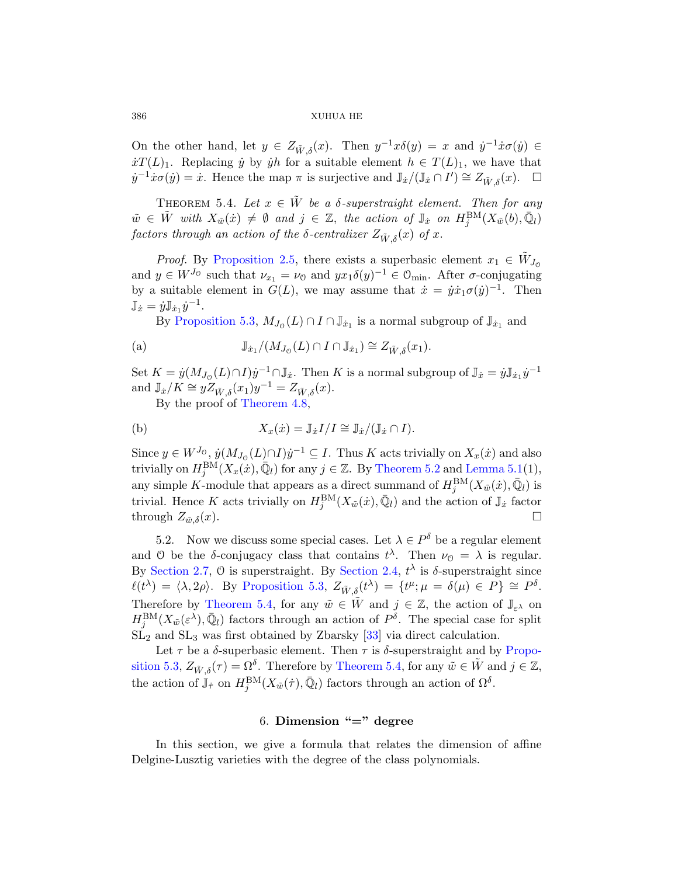On the other hand, let  $y \in Z_{\tilde{W},\delta}(x)$ . Then  $y^{-1}x\delta(y) = x$  and  $\dot{y}^{-1}\dot{x}\sigma(\dot{y}) \in$  $\dot{x}T(L)_1$ . Replacing  $\dot{y}$  by  $\dot{y}h$  for a suitable element  $h \in T(L)_1$ , we have that  $\dot{y}^{-1}\dot{x}\sigma(\dot{y}) = \dot{x}$ . Hence the map  $\pi$  is surjective and  $\mathbb{J}_{\dot{x}}/(\mathbb{J}_{\dot{x}} \cap I') \cong Z_{\tilde{W},\delta}(x)$ .  $\Box$ 

THEOREM 5.4. Let  $x \in \tilde{W}$  be a  $\delta$ -superstraight element. Then for any  $\tilde{w} \in \tilde{W}$  $\tilde{w} \in \tilde{W}$  $\tilde{w} \in \tilde{W}$  with  $X_{\tilde{w}}(\dot{x}) \neq \emptyset$  and  $j \in \mathbb{Z}$ , the action of  $\mathbb{J}_{\dot{x}}$  on  $H_j^{\text{BM}}(X_{\tilde{w}}(b), \bar{\mathbb{Q}}_l)$ factors through an action of the  $\delta$ -centralizer  $Z_{\tilde{W},\delta}(x)$  of x.

*Proof.* By Proposition 2.5, there exists a superbasic element  $x_1 \in \tilde{W}_{J_0}$ and  $y \in W^{J_0}$  such that  $\nu_{x_1} = \nu_0$  and  $yx_1\delta(y)^{-1} \in \mathcal{O}_{\text{min}}$ . After  $\sigma$ -conjugating by a suitable element in  $G(L)$ , we may assume that  $\dot{x} = \dot{y} \dot{x}_1 \sigma(\dot{y})^{-1}$ . Then  $\mathbb{J}_{\dot{x}} = \dot{y}\mathbb{J}_{\dot{x}_1}\dot{y}^{-1}.$ 

By Proposition 5.3,  $M_{J_0}(L) \cap I \cap \mathbb{J}_{\dot{x}_1}$  is a normal subgroup of  $\mathbb{J}_{\dot{x}_1}$  and

(a) 
$$
\mathbb{J}_{\dot{x}_1}/(M_{J_0}(L) \cap I \cap \mathbb{J}_{\dot{x}_1}) \cong Z_{\tilde{W},\delta}(x_1).
$$

Set  $K = \dot{y}(M_{J_0}(L) \cap I) \dot{y}^{-1} \cap \mathbb{J}_{\dot{x}}$ [. The](#page-17-1)n K [is a normal](#page-16-0) subgroup of  $\mathbb{J}_{\dot{x}} = \dot{y} \mathbb{J}_{\dot{x}_1} \dot{y}^{-1}$ and  $\mathbb{J}_{\dot{x}}/K \cong y \overline{Z}_{\tilde{W},\delta}(x_1) y^{-1} = Z_{\tilde{W},\delta}(x)$ .

By the proof of Theorem 4.8,

(b) 
$$
X_x(\dot{x}) = \mathbb{J}_{\dot{x}} I/I \cong \mathbb{J}_{\dot{x}}/(\mathbb{J}_{\dot{x}} \cap I).
$$

<span id="page-19-0"></span>Since  $y \in W^{J_0}$ ,  $\dot{y}(M_{J_0}(L) \cap I)\dot{y}^{-1} \subseteq I$ . Thus K acts trivially on  $X_x(\dot{x})$  and also trivially on  $H_j^{\text{BM}}(X_x(\dot{x}), \bar{\mathbb{Q}}_l)$  for any  $j \in \mathbb{Z}$ . By Theorem 5.2 and Lemma 5.1(1), [any simple](#page-17-0) K-m[odule that a](#page-8-0)ppears as a direct summand of  $H_j^{\text{BM}}(X_{\tilde{w}}(\dot{x}), \bar{\mathbb{Q}}_l)$  is [trivi](#page-19-2)al. Hence K acts trivially on  $H_j^{\text{BM}}(X_{\tilde{w}}(x), \bar{\mathbb{Q}}_l)$  and the action of  $\mathbb{J}_x$  factor through  $Z_{\tilde{w},\delta}(x)$ .

5.2. Now we di[scus](#page-37-1)s some special cases. Let  $\lambda \in P^{\delta}$  be a regular element and 0 be the  $\delta$ -conjugacy class that contains  $t^{\lambda}$ [. Th](#page-17-0)en  $\nu_0 = \lambda$  is regular. By Section 2.7, 0 [is superstr](#page-19-2)aight. By Section 2.4,  $t^{\lambda}$  is  $\delta$ -superstraight since  $\ell(t^{\lambda}) = \langle \lambda, 2\rho \rangle$ . By Proposition 5.3,  $Z_{\tilde{W}, \delta}(t^{\lambda}) = \{t^{\mu}; \mu = \delta(\mu) \in P\} \cong P^{\delta}$ . Therefore by Theorem 5.4, for any  $\tilde{w} \in \tilde{W}$  and  $j \in \mathbb{Z}$ , the action of  $\mathbb{J}_{\varepsilon^{\lambda}}$  on  $H_j^{\text{BM}}(X_{\tilde{w}}(\varepsilon^{\lambda}),\bar{\mathbb{Q}}_l)$  factors through an action of  $P^{\delta}$ . The special case for split  $SL<sub>2</sub>$  and  $SL<sub>3</sub>$  was first obtained by Zbarsky [33] via direct calculation.

<span id="page-19-1"></span>Let  $\tau$  be a  $\delta$ -superbasic element. Then  $\tau$  is  $\delta$ -superstraight and by Proposition 5.3,  $Z_{\tilde{W},\delta}(\tau) = \Omega^{\delta}$ . Therefore by Theorem 5.4, for any  $\tilde{w} \in \tilde{W}$  and  $j \in \mathbb{Z}$ , the action of  $\mathbb{J}_{\tau}$  on  $H_j^{\text{BM}}(X_{\tilde{w}}(\tau), \bar{\mathbb{Q}}_l)$  factors through an action of  $\Omega^{\delta}$ .

# 6. Dimension " $=$ " degree

In this section, we give a formula that relates the dimension of affine Delgine-Lusztig varieties with the degree of the class polynomials.

<span id="page-19-2"></span>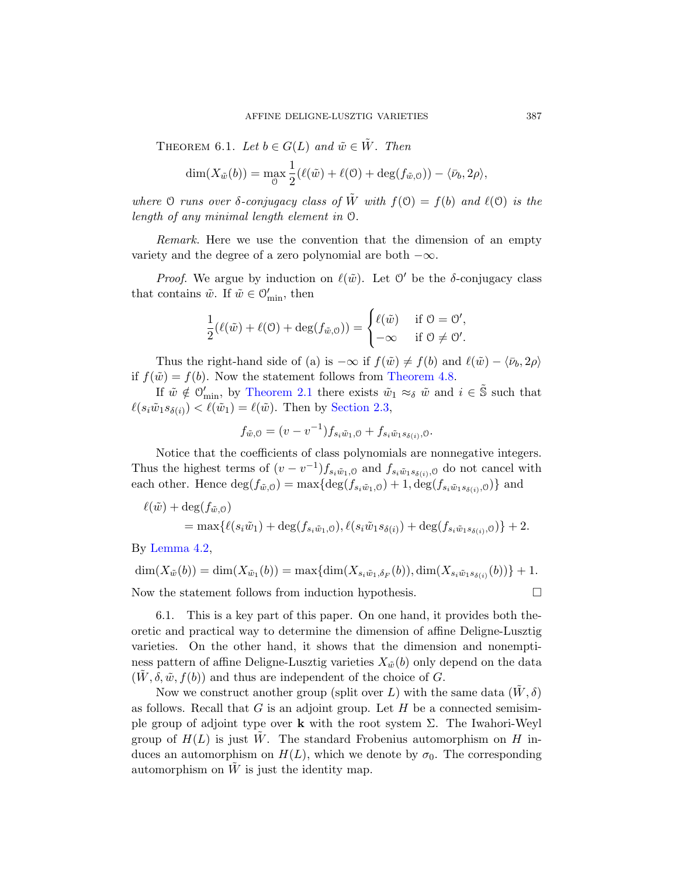<span id="page-20-0"></span>THEOREM 6.1. Let  $b \in G(L)$  and  $\tilde{w} \in \tilde{W}$ . Then

$$
\dim(X_{\tilde{w}}(b)) = \max_{\mathcal{O}} \frac{1}{2} (\ell(\tilde{w}) + \ell(\mathcal{O}) + \deg(f_{\tilde{w},\mathcal{O}})) - \langle \bar{\nu}_b, 2\rho \rangle,
$$

where O runs over  $\delta$ -conjugacy class of  $\tilde{W}$  with  $f(0) = f(b)$  and  $\ell(0)$  is the length of any minimal length element in O.

Remark. Here we use the convention that the dimension of an empty variety and the degree of a zero polynomial are both  $-\infty$ .

*Proof.* We argue by [induction on](#page-15-0)  $\ell(\tilde{w})$ . Let  $\mathcal{O}'$  be the  $\delta$ -conjugacy class [that contain](#page-7-0)s  $\tilde{w}$ . If  $\tilde{w} \in \mathcal{O}'_{\min}$ , then

$$
\frac{1}{2}(\ell(\tilde{w}) + \ell(\mathcal{O}) + \deg(f_{\tilde{w},\mathcal{O}})) = \begin{cases} \ell(\tilde{w}) & \text{if } \mathcal{O} = \mathcal{O}',\\ -\infty & \text{if } \mathcal{O} \neq \mathcal{O}'. \end{cases}
$$

Thus the right-hand side of (a) is  $-\infty$  if  $f(\tilde{w}) \neq f(b)$  and  $\ell(\tilde{w}) - \langle \bar{\nu}_b, 2\rho \rangle$ if  $f(\tilde{w}) = f(b)$ . Now the statement follows from Theorem 4.8.

If  $\tilde{w} \notin \mathcal{O}'_{\min}$ , by Theorem 2.1 there exists  $\tilde{w}_1 \approx_{\delta} \tilde{w}$  and  $i \in \tilde{S}$  such that  $\ell(s_i\tilde{w}_1s_{\delta(i)}) < \ell(\tilde{w}_1) = \ell(\tilde{w})$ . Then by Section 2.3,

$$
f_{\tilde{w},0} = (v - v^{-1}) f_{s_i \tilde{w}_1,0} + f_{s_i \tilde{w}_1 s_{\delta(i)},0}.
$$

Notice that the coefficients of class polynomials are nonnegative integers. Thus the highest terms of  $(v - v^{-1}) f_{s_i \tilde{w}_1, \theta}$  and  $f_{s_i \tilde{w}_1 s_{\delta(i)}, \theta}$  do not cancel with each other. Hence  $\deg(f_{\tilde{w},0}) = \max\{\deg(f_{s_i\tilde{w}_1,0}) + 1, \deg(f_{s_i\tilde{w}_1s_{\delta(i)},0})\}\$  and

$$
\ell(\tilde{w}) + \deg(f_{\tilde{w},0}) = \max \{ \ell(s_i \tilde{w}_1) + \deg(f_{s_i \tilde{w}_1,0}), \ell(s_i \tilde{w}_1 s_{\delta(i)}) + \deg(f_{s_i \tilde{w}_1 s_{\delta(i)},0}) \} + 2.
$$

By Lemma 4.2,

$$
\dim(X_{\tilde{w}}(b)) = \dim(X_{\tilde{w}_1}(b)) = \max\{\dim(X_{s_i\tilde{w}_1,\delta_F}(b)), \dim(X_{s_i\tilde{w}_1s_{\delta(i)}}(b))\} + 1.
$$
  
Now the statement follows from induction hypothesis.

6.1. This is a key part of this paper. On one hand, it provides both theoretic and practical way to determine the dimension of affine Deligne-Lusztig varieties. On the other hand, it shows that the dimension and nonemptiness pattern of affine Deligne-Lusztig varieties  $X_{\tilde{w}}(b)$  only depend on the data  $(W, \delta, \tilde{w}, f(b))$  and thus are independent of the choice of G.

Now we construct another group (split over L) with the same data  $(W, \delta)$ as follows. Recall that  $G$  is an adjoint group. Let  $H$  be a connected semisimple group of adjoint type over **k** with the root system  $\Sigma$ . The Iwahori-Weyl group of  $H(L)$  is just W. The standard Frobenius automorphism on H induces an automorphism on  $H(L)$ , which we denote by  $\sigma_0$ . The corresponding automorphism on  $\tilde{W}$  is just the identity map.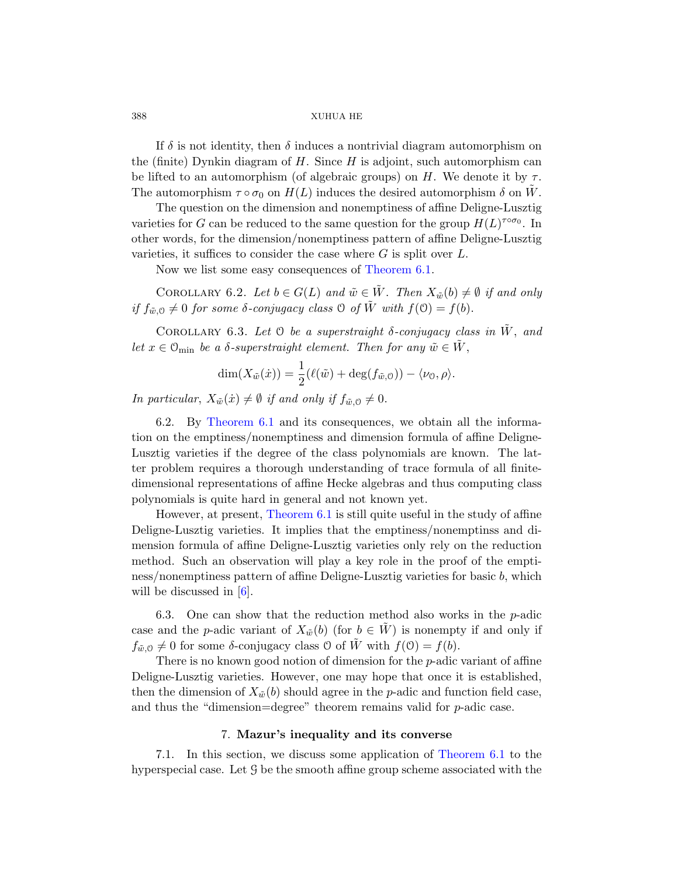If  $\delta$  is not identity, then  $\delta$  induces a nontrivial diagram automorphism on the (finite) Dynkin diagram of  $H$ . Since  $H$  is adjoint, such automorphism can be lifted to an auto[morphism \(of a](#page-20-0)lgebraic groups) on H. We denote it by  $\tau$ . The automorphism  $\tau \circ \sigma_0$  on  $H(L)$  induces the desired automorphism  $\delta$  on W.

<span id="page-21-0"></span>The question on the dimension and nonemptiness of affine Deligne-Lusztig varieties for G can be reduced to the same question for the group  $H(L)^{\tau \circ \sigma_0}$ . In other words, for the dimension/nonemptiness pattern of affine Deligne-Lusztig varieties, it suffices to consider the case where  $G$  is split over  $L$ .

Now we list some easy consequences of Theorem 6.1.

COROLLARY 6.2. Let  $b \in G(L)$  and  $\tilde{w} \in \tilde{W}$ . Then  $X_{\tilde{w}}(b) \neq \emptyset$  if and only if  $f_{\tilde{w},0} \neq 0$  for some  $\delta$ -conjugacy class  $\Theta$  of  $\tilde{W}$  with  $f(\Theta) = f(b)$ .

COROLLARY 6.3. Let  $\mathcal O$  be a superstraight  $\delta$ -conjugacy class in  $\tilde W$ , and let  $x \in \mathcal{O}_{\text{min}}$  be a  $\delta$ -superstraight element. Then for any  $\tilde{w} \in \tilde{W}$ ,

$$
\dim(X_{\tilde{w}}(\dot{x})) = \frac{1}{2}(\ell(\tilde{w}) + \deg(f_{\tilde{w},0})) - \langle \nu_0, \rho \rangle.
$$

In particular,  $X_{\tilde{w}}(\dot{x}) \neq \emptyset$  if and only if  $f_{\tilde{w},0} \neq 0$ .

[6.2. By](#page-20-0) Theorem 6.1 and its consequences, we obtain all the information on the emptiness/nonemptiness and dimension formula of affine Deligne-Lusztig varieties if the degree of the class polynomials are known. The latter problem requires a thorough understanding of trace formula of all finitedimensional representations of affine Hecke algebras and thus computing class polynomials is quite hard in general and not known yet.

However, at present, Theorem 6.1 is still quite useful in the study of affine Deligne-Lusztig varieties. It implies that the emptiness/nonemptinss and dimension formula of affine Deligne-Lusztig varieties only rely on the reduction method. Such an observation will play a key role in the proof of the emptiness/nonemptiness pattern of affine Deligne-Lusztig varieties for basic b, which will be discussed in [6].

6.3. One can show that the reduction method also works in the  $p$ -adic case and the p-adic variant of  $X_{\tilde{w}}(b)$  (for  $b \in \tilde{W}$ ) is nonempty if and only if  $f_{\tilde{w},0} \neq 0$  for some  $\delta$ -conjugacy class  $\mathcal O$  of  $\tilde{W}$  with  $f(\mathcal{O}) = f(b)$ .

There is no known good notio[n of dimension](#page-20-0) for the p-adic variant of affine Deligne-Lusztig varieties. However, one may hope that once it is established, then the dimension of  $X_{\tilde{w}}(b)$  should agree in the p-adic and function field case, and thus the "dimension=degree" theorem remains valid for  $p$ -adic case.

## 7. Mazur's inequality and its converse

7.1. In this section, we discuss some application of Theorem 6.1 to the hyperspecial case. Let G be the smooth affine group scheme associated with the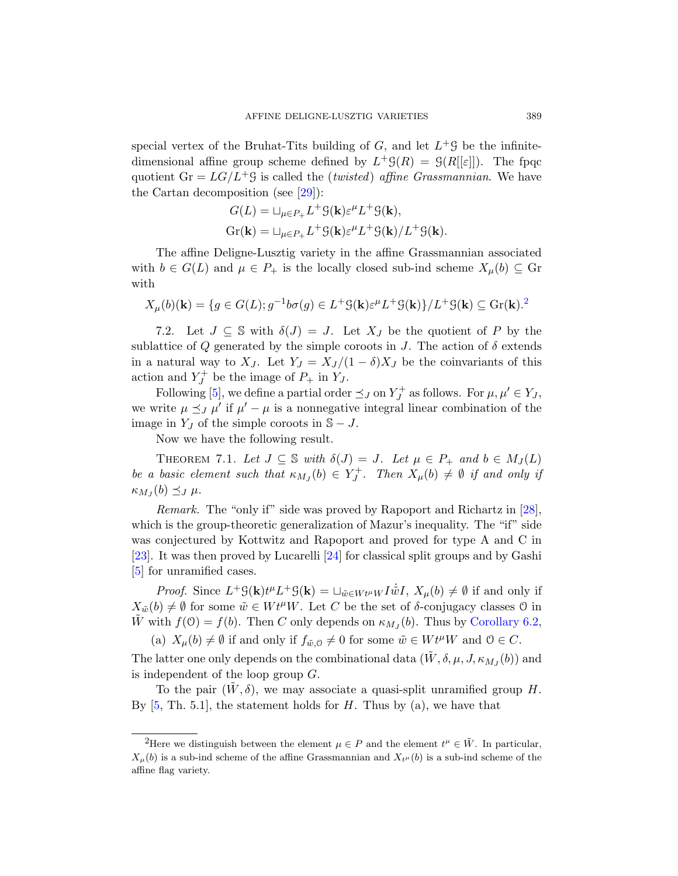special vertex of the Bruhat-Tits building of  $G$ , and let  $L^+$  s be the infinitedimensional affine group scheme defined by  $L^+ \mathcal{G}(R) = \mathcal{G}(R[[\varepsilon]])$ . The fpqc quotient  $Gr = LG/L^+G$  is called the (*twisted*) affine *Grassmannian*. We have the Cartan decomposition (see  $[29]$ ):

$$
G(L) = \sqcup_{\mu \in P_+} L^+ \mathcal{G}(\mathbf{k}) \varepsilon^{\mu} L^+ \mathcal{G}(\mathbf{k}),
$$
  
Gr(**k**) =  $\sqcup_{\mu \in P_+} L^+ \mathcal{G}(\mathbf{k}) \varepsilon^{\mu} L^+ \mathcal{G}(\mathbf{k}) / L^+ \mathcal{G}(\mathbf{k}).$ 

The affine Deligne-Lusztig variety in the affine Grassmannian associated with  $b \in G(L)$  and  $\mu \in P_+$  is the locally closed sub-ind scheme  $X_\mu(b) \subseteq$  Gr with

$$
X_{\mu}(b)(\mathbf{k}) = \{ g \in G(L) ; g^{-1}b\sigma(g) \in L^{+} \mathcal{G}(\mathbf{k}) \varepsilon^{\mu} L^{+} \mathcal{G}(\mathbf{k}) \} / L^{+} \mathcal{G}(\mathbf{k}) \subseteq \text{Gr}(\mathbf{k}).^{2}
$$

7.2. Let  $J \subseteq \mathbb{S}$  with  $\delta(J) = J$ . Let  $X_J$  be the quotient of P by the sublattice of Q generated by the simple coroots in J. The action of  $\delta$  extends in a natural way to  $X_J$ . Let  $Y_J = X_J/(1-\delta)X_J$  be the coinvariants of this action and  $Y_J^+$  be the image of  $P_+$  in  $Y_J$ .

Following [5], we define a partial order  $\preceq_J$  on  $Y_J^+$  as follows. For  $\mu, \mu' \in Y_J$ , we write  $\mu \preceq_J \mu'$  if  $\mu' - \mu$  is a nonnegative integr[al li](#page-36-5)near combination of the image in  $Y_J$  of the simple coroots in  $\mathbb{S} - J$ .

Now we have the following result.

THEOREM 7.1. Let  $J \subseteq \mathbb{S}$  with  $\delta(J) = J$ . Let  $\mu \in P_+$  and  $b \in M_J(L)$ be a basic element such that  $\kappa_{M_J}(b) \in Y_J^+$ . Then  $X_\mu(b) \neq \emptyset$  if and only if  $\kappa_{M_J}(b) \preceq_J \mu$ .

Remark. The "only if" side was proved by Rapoport and Richartz in [28], which is the group-theoretic generalizatio[n of Mazur's i](#page-21-0)nequality. The "if" side was conjectured by Kottwitz and Rapoport and proved for type A and C in [23]. It was then proved by Lucarelli [24] for classical split groups and by Gashi [5] for unramified cases.

*Proof.* Since  $L^+G(\mathbf{k})t^{\mu}L^+G(\mathbf{k}) = \sqcup_{\tilde{w}\in W t^{\mu}W} I\dot{\tilde{w}}I$ ,  $X_{\mu}(b) \neq \emptyset$  if and only if  $X_{\tilde{w}}(b) \neq \emptyset$  for some  $\tilde{w} \in W t^{\mu}W$ . Let C be the set of  $\delta$ -conjugacy classes 0 in  $\tilde{W}$  with  $f(0) = f(b)$ . Then C only depends on  $\kappa_{M_J}(b)$ . Thus by Corollary 6.2,

(a)  $X_\mu(b) \neq \emptyset$  if and only if  $f_{\tilde{w},0} \neq 0$  for some  $\tilde{w} \in W t^\mu W$  and  $0 \in C$ .

<span id="page-22-0"></span>The latter one only depends on the combinational data  $(\tilde{W}, \delta, \mu, J, \kappa_{M_J}(b))$  and is independent of the loop group G.

To the pair  $(W, \delta)$ , we may associate a quasi-split unramified group H. By  $[5, Th. 5.1]$ , the statement holds for H. Thus by  $(a)$ , we have that

<sup>&</sup>lt;sup>2</sup>Here we distinguish between the element  $\mu \in P$  and the element  $t^{\mu} \in \tilde{W}$ . In particular,  $X_{\mu}(b)$  is a sub-ind scheme of the affine Grassmannian and  $X_{t\mu}(b)$  is a sub-ind scheme of the affine flag variety.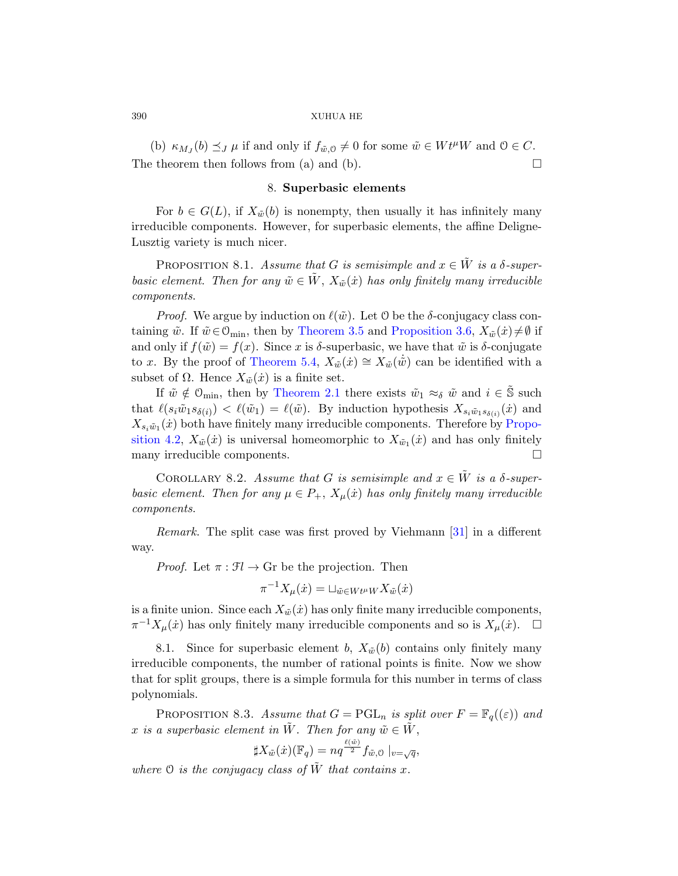(b)  $\kappa_{M_J}(b) \preceq_J \mu$  if and only if  $f_{\tilde{w},0} \neq 0$  for some  $\tilde{w} \in W t^{\mu}W$  and  $0 \in C$ . The theorem then follows from (a) and (b).  $\Box$ 

# 8. Superbasic elements

For  $b \in G(L)$ , if  $X_{\tilde{w}}(b)$  is nonempty, then usually it has infinitely many irreducible components. [However, for sup](#page-12-0)erbasic elements, the affine Deligne-Lusztig [variety is muc](#page-11-1)h nicer.

PROPOSITION 8.1. Assume that G is semisimple and  $x \in \tilde{W}$  is a  $\delta$ -superbasic element. Then for any  $\tilde{w} \in \tilde{W}$ ,  $X_{\tilde{w}}(\dot{x})$  has only finitely many irreducible co[mponents](#page-7-0).

*Proof.* We argue by induction on  $\ell(\tilde{w})$ . Let O be the δ-conjugacy class containing  $\tilde{w}$ . If  $\tilde{w} \in \mathcal{O}_{\text{min}}$ , then by Theorem 3.5 and [Propo](#page-14-0)sition 3.6,  $X_{\tilde{w}}(\tilde{x}) \neq \emptyset$  if and only if  $f(\tilde{w}) = f(x)$ . Since x is  $\delta$ -superbasic, we have that  $\tilde{w}$  is  $\delta$ -conjugate to x. By the proof of Theorem 5.4,  $X_{\tilde{w}}(\dot{x}) \cong X_{\tilde{w}}(\dot{\tilde{w}})$  can be identified with a subset of  $\Omega$ . Hence  $X_{\tilde{w}}(\dot{x})$  is a finite set.

If  $\tilde{w} \notin \mathcal{O}_{\text{min}}$ , then by Theorem 2.1 there exists  $\tilde{w}_1 \approx_{\delta} \tilde{w}$  and  $i \in \mathbb{S}$  such that  $\ell(s_i\tilde{w}_1s_{\delta(i)}) < \ell(\tilde{w}_1) = \ell(\tilde{w})$ . By induction hypothesis  $X_{s_i\tilde{w}_1s_{\delta(i)}}(x)$  and  $X_{s_i\tilde{w}_1}(\dot{x})$  both have finitely many irreducible components. Therefore by Proposition 4.2,  $X_{\tilde{w}}(\dot{x})$  is universal homeo[mor](#page-37-2)phic to  $X_{\tilde{w}_1}(\dot{x})$  and has only finitely many irreducible components.

COROLLARY 8.2. Assume that G is semisimple and  $x \in \tilde{W}$  is a  $\delta$ -superbasic element. Then for any  $\mu \in P_+$ ,  $X_{\mu}(\dot{x})$  has only finitely many irreducible components.

Remark. The split case was first proved by Viehmann [31] in a different way.

*Proof.* Let  $\pi : \mathfrak{F} \to \mathbb{G}$  be the projection. Then

$$
\pi^{-1}X_{\mu}(\dot{x}) = \sqcup_{\tilde{w}\in W}u_{\mu}W X_{\tilde{w}}(\dot{x})
$$

is a finite union. Since each  $X_{\tilde{w}}(\dot{x})$  has only finite many irreducible components,  $\pi^{-1}X_{\mu}(\dot{x})$  has only finitely many irreducible components and so is  $X_{\mu}(\dot{x})$ .  $\Box$ 

8.1. Since for superbasic element b,  $X_{\tilde{w}}(b)$  contains only finitely many irreducible components, the number of rational points is finite. Now we show that for split groups, there is a simple formula for this number in terms of class polynomials.

PROPOSITION 8.3. Assume that  $G = \text{PGL}_n$  is split over  $F = \mathbb{F}_q((\varepsilon))$  and x is a superbasic element in  $\tilde{W}$ . Then for any  $\tilde{w} \in \tilde{W}$ ,

$$
\sharp X_{\tilde{w}}(\dot{x})(\mathbb{F}_q) = n q^{\frac{\ell(\tilde{w})}{2}} f_{\tilde{w},0} \mid_{v=\sqrt{q}},
$$

where  $\mathcal O$  is the conjugacy class of  $\tilde{W}$  that contains x.

<span id="page-23-0"></span>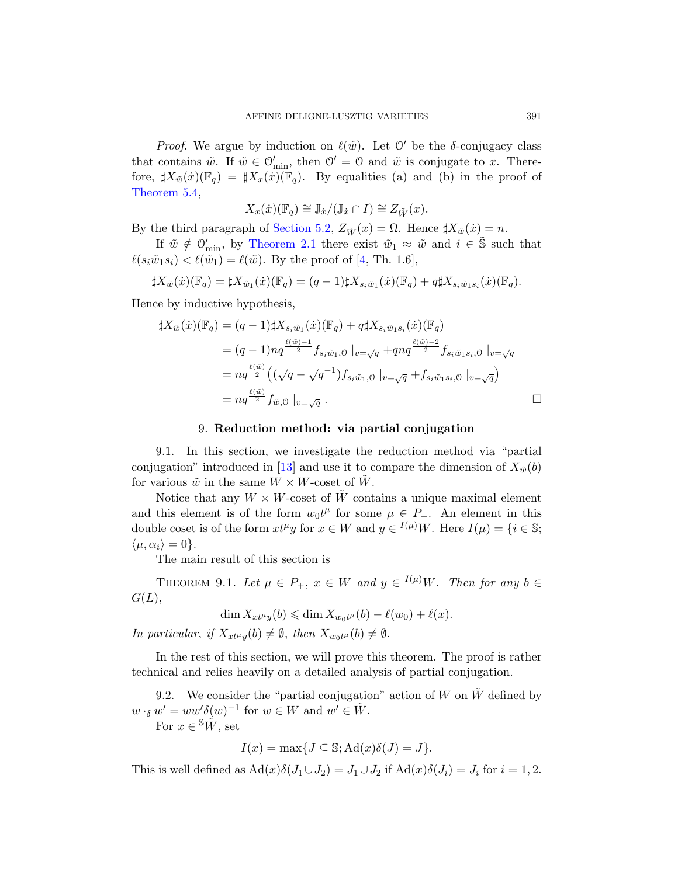*[Proof](#page-7-0).* We argue by induction on  $\ell(\tilde{w})$ . Let  $\mathcal{O}'$  be the  $\delta$ -conjugacy class that contains  $\tilde{w}$ . If  $\tilde{w} \in \mathcal{O}'_{\text{min}}$ , then  $\mathcal{O}' = \mathcal{O}$  and  $\tilde{w}$  is conjugate to x. Therefore,  $\sharp X_{\tilde{w}}(\dot{x})(\mathbb{F}_q) = \sharp X_x(\dot{x})(\mathbb{F}_q)$ . By equalities (a) and (b) in the proof of Theorem 5.4,

$$
X_x(\dot{x})(\mathbb{F}_q) \cong \mathbb{J}_{\dot{x}}/(\mathbb{J}_{\dot{x}} \cap I) \cong Z_{\tilde{W}}(x).
$$

By the third paragraph of Section 5.2,  $Z_{\tilde{W}}(x) = \Omega$ . Hence  $\sharp X_{\tilde{w}}(x) = n$ .

If  $\tilde{w} \notin \mathcal{O}'_{\min}$ , by Theorem 2.1 there exist  $\tilde{w}_1 \approx \tilde{w}$  and  $i \in \tilde{\mathbb{S}}$  such that  $\ell(s_i\tilde{w}_1s_i) < \ell(\tilde{w}_1) = \ell(\tilde{w})$ . By the proof of [4, Th. 1.6],

$$
\sharp X_{\tilde{w}}(\dot{x})(\mathbb{F}_q) = \sharp X_{\tilde{w}_1}(\dot{x})(\mathbb{F}_q) = (q-1)\sharp X_{s_i\tilde{w}_1}(\dot{x})(\mathbb{F}_q) + q\sharp X_{s_i\tilde{w}_1s_i}(\dot{x})(\mathbb{F}_q).
$$

Hence by inductive hypothesis,

$$
\sharp X_{\tilde{w}}(\dot{x})(\mathbb{F}_q) = (q-1)\sharp X_{s_i\tilde{w}_1}(\dot{x})(\mathbb{F}_q) + q\sharp X_{s_i\tilde{w}_1s_i}(\dot{x})(\mathbb{F}_q)
$$
  
\n
$$
= (q-1)nq^{\frac{\ell(\tilde{w})-1}{2}} f_{s_i\tilde{w}_1,0} \mid_{v=\sqrt{q}} + qnq^{\frac{\ell(\tilde{w})-2}{2}} f_{s_i\tilde{w}_1s_i,0} \mid_{v=\sqrt{q}}
$$
  
\n
$$
= nq^{\frac{\ell(\tilde{w})}{2}} ((\sqrt{q}-\sqrt{q}^{-1})f_{s_i\tilde{w}_1,0} \mid_{v=\sqrt{q}} + f_{s_i\tilde{w}_1s_i,0} \mid_{v=\sqrt{q}})
$$
  
\n
$$
= nq^{\frac{\ell(\tilde{w})}{2}} f_{\tilde{w},0} \mid_{v=\sqrt{q}}.
$$

### 9. Reduction method: via partial conjugation

9.1. In this section, we investigate the reduction method via "partial conjugation" introduced in [13] and use it to compare the dimension of  $X_{\tilde{w}}(b)$ for various  $\tilde{w}$  in the same  $W \times W$ -coset of W.

<span id="page-24-0"></span>Notice that any  $W \times W$ -coset of  $\tilde{W}$  contains a unique maximal element and this element is of the form  $w_0 t^{\mu}$  for some  $\mu \in P_+$ . An element in this double coset is of the form  $xt^{\mu}y$  for  $x \in W$  and  $y \in {}^{I(\mu)}W$ . Here  $I(\mu) = \{i \in \mathbb{S};$  $\langle \mu, \alpha_i \rangle = 0$ .

The main result of this section is

THEOREM 9.1. Let  $\mu \in P_+$ ,  $x \in W$  and  $y \in {}^{I(\mu)}W$ . Then for any  $b \in$  $G(L),$ 

$$
\dim X_{xt^{\mu}y}(b) \leq \dim X_{w_0t^{\mu}}(b) - \ell(w_0) + \ell(x).
$$

In particular, if  $X_{xt^{\mu}y}(b) \neq \emptyset$ , then  $X_{w_0t^{\mu}}(b) \neq \emptyset$ .

In the rest of this section, we will prove this theorem. The proof is rather technical and relies heavily on a detailed analysis of partial conjugation.

9.2. We consider the "partial conjugation" action of W on  $\tilde{W}$  defined by  $w \cdot_{\delta} w' = ww'\delta(w)^{-1}$  for  $w \in W$  and  $w' \in \tilde{W}$ . For  $x \in {}^{\mathbb{S}}\tilde{W}$ , set

$$
I(x) = \max\{J \subseteq \mathbb{S}; \mathrm{Ad}(x)\delta(J) = J\}.
$$

This is well defined as  $\text{Ad}(x)\delta(J_1\cup J_2)=J_1\cup J_2$  if  $\text{Ad}(x)\delta(J_i)=J_i$  for  $i=1,2$ .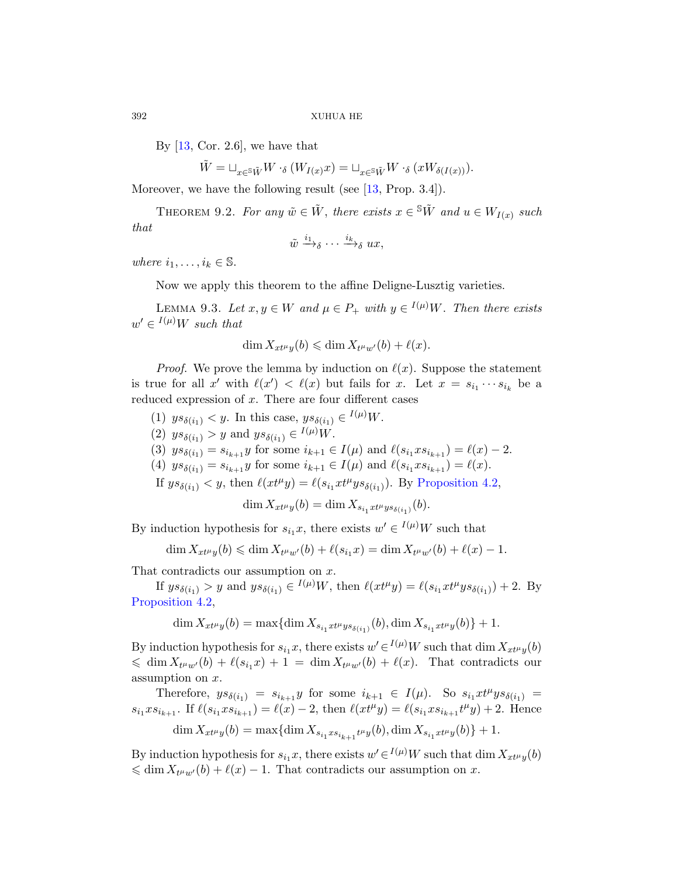By  $[13, \text{Cor. } 2.6]$ , we have that

$$
\tilde{W} = \sqcup_{x \in {}^{\mathbb{S}} \tilde{W}} W \cdot_{\delta} (W_{I(x)} x) = \sqcup_{x \in {}^{\mathbb{S}} \tilde{W}} W \cdot_{\delta} (x W_{\delta(I(x))}).
$$

Moreover, we have the following result (see [13, Prop. 3.4]).

<span id="page-25-0"></span>THEOREM 9.2. For any  $\tilde{w} \in \tilde{W}$ , there exists  $x \in {}^S \tilde{W}$  and  $u \in W_{I(x)}$  such that

$$
\tilde{w} \xrightarrow{i_1}_{\delta} \cdots \xrightarrow{i_k}_{\delta} ux,
$$

where  $i_1, \ldots, i_k \in \mathbb{S}$ .

Now we apply this theorem to the affine Deligne-Lusztig varieties.

LEMMA 9.3. Let  $x, y \in W$  and  $\mu \in P_+$  with  $y \in {}^{I(\mu)}W$ . Then there exists  $w' \in {}^{I(\mu)}W$  such that

$$
\dim X_{xt^{\mu}y}(b) \leq \dim X_{t^{\mu}w'}(b) + \ell(x).
$$

*Proof.* We prove the lemma by induction on  $\ell(x)$ . Suppose the statement is true for all x' with  $\ell(x') < \ell(x)$  but fails for x. Let  $x = s_{i_1} \cdots s_{i_k}$  be a reduced expression of  $x$ . There are four different cases

- (1)  $ys_{\delta(i_1)} < y$ . In this case,  $ys_{\delta(i_1)} \in {}^{I(\mu)}W$ .
- (2)  $ys_{\delta(i_1)} > y$  and  $ys_{\delta(i_1)} \in {}^{I(\mu)}W$ .

(3)  $ys_{\delta(i_1)} = s_{i_{k+1}}y$  for some  $i_{k+1} \in I(\mu)$  and  $\ell(s_{i_1}xs_{i_{k+1}}) = \ell(x) - 2$ .

- (4)  $ys_{\delta(i_1)} = s_{i_{k+1}}y$  for some  $i_{k+1} \in I(\mu)$  and  $\ell(s_{i_1}xs_{i_{k+1}}) = \ell(x)$ .
- If  $ys_{\delta(i_1)} < y$ , then  $\ell(x t^{\mu} y) = \ell(s_{i_1} x t^{\mu} y s_{\delta(i_1)})$ . By Proposition 4.2,

$$
\dim X_{xt^{\mu}y}(b) = \dim X_{s_{i_1}xt^{\mu}y s_{\delta(i_1)}}(b).
$$

By induction hypothesis for  $s_{i_1}x$ , there exists  $w' \in I^{(\mu)}W$  such that

$$
\dim X_{xt^{\mu}y}(b) \leq \dim X_{t^{\mu}w'}(b) + \ell(s_{i_1}x) = \dim X_{t^{\mu}w'}(b) + \ell(x) - 1.
$$

That contradicts our assumption on  $x$ .

If  $ys_{\delta(i_1)} > y$  and  $ys_{\delta(i_1)} \in {}^{I(\mu)}W$ , then  $\ell(xt^{\mu}y) = \ell(s_{i_1}xt^{\mu}ys_{\delta(i_1)}) + 2$ . By Proposition 4.2,

 $\dim X_{xt\mu y}(b) = \max \{ \dim X_{s_{i_1}xt\mu y s_{\delta(i_1)}}(b), \dim X_{s_{i_1}xt\mu y}(b) \} + 1.$ 

By induction hypothesis for  $s_{i_1}x$ , there exists  $w' \in I^{(\mu)}W$  such that dim  $X_{xt^{\mu}y}(b)$  $\leq \dim X_{t^{\mu}w^{\prime}}(b) + \ell(s_{i_1}x) + 1 = \dim X_{t^{\mu}w^{\prime}}(b) + \ell(x).$  That contradicts our assumption on x.

Therefore,  $ys_{\delta(i_1)} = s_{i_{k+1}}y$  for some  $i_{k+1} \in I(\mu)$ . So  $s_{i_1}xt^{\mu}ys_{\delta(i_1)} =$  $s_{i_1} s_{i_k+1}$ . If  $\ell(s_{i_1} s_{i_{k+1}}) = \ell(x) - 2$ , then  $\ell(xt^{\mu}y) = \ell(s_{i_1} s_{i_{k+1}} t^{\mu}y) + 2$ . Hence  $\dim X_{xt\mu y}(b) = \max \{ \dim X_{s_{i_1}xs_{i_{k+1}}t^{\mu}y}(b), \dim X_{s_{i_1}xt^{\mu}y}(b) \} + 1.$ 

By induction hypothesis for  $s_{i_1}x$ , there exists  $w' \in I^{(\mu)}W$  such that  $\dim X_{xt^{\mu}y}(b)$  $\leq \dim X_{t^{\mu}w^{\prime}}(b) + \ell(x) - 1$ . That contradicts our assumption on x.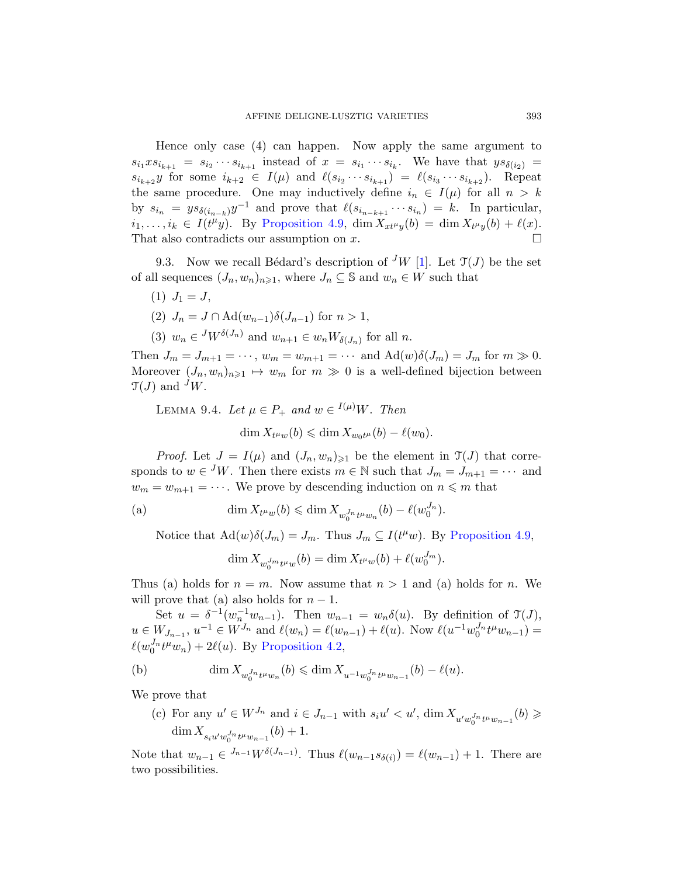<span id="page-26-0"></span>Hence only case (4) can happen. Now apply the same argument to  $s_{i_1}xs_{i_{k+1}} = s_{i_2}\cdots s_{i_{k+1}}$  $s_{i_1}xs_{i_{k+1}} = s_{i_2}\cdots s_{i_{k+1}}$  $s_{i_1}xs_{i_{k+1}} = s_{i_2}\cdots s_{i_{k+1}}$  instead of  $x = s_{i_1}\cdots s_{i_k}$ . We have that  $ys_{\delta(i_2)} =$  $s_{i_{k+2}}y$  for some  $i_{k+2} \in I(\mu)$  and  $\ell(s_{i_2}\cdots s_{i_{k+1}}) = \ell(s_{i_3}\cdots s_{i_{k+2}})$ . Repeat the same procedure. One may inductively define  $i_n \in I(\mu)$  for all  $n > k$ by  $s_{i_n} = y s_{\delta(i_{n-k})} y^{-1}$  and prove that  $\ell(s_{i_{n-k+1}} \cdots s_{i_n}) = k$ . In particular,  $i_1, \ldots, i_k \in I(t^{\mu}y)$ . By Proposition 4.9, dim  $X_{xt^{\mu}y}(b) = \dim X_{t^{\mu}y}(b) + \ell(x)$ . That also contradicts our assumption on  $x$ .

9.3. Now we recall Bédard's description of <sup>J</sup>W [1]. Let  $\mathfrak{I}(J)$  be the set of all sequences  $(J_n, w_n)_{n \geq 1}$ , where  $J_n \subseteq \mathbb{S}$  and  $w_n \in W$  such that

- $(1)$   $J_1 = J$ ,
- (2)  $J_n = J \cap \text{Ad}(w_{n-1})\delta(J_{n-1})$  for  $n > 1$ ,
- (3)  $w_n \in {}^J W^{\delta(J_n)}$  and  $w_{n+1} \in w_n W_{\delta(J_n)}$  for all n.

<span id="page-26-1"></span>Then  $J_m = J_{m+1} = \cdots$ ,  $w_m = w_{m+1} = \cdots$  and  $\text{Ad}(w)\delta(J_m) = J_m$  for  $m \gg 0$ . Moreover  $(J_n, w_n)_{n \geq 1} \mapsto w_m$  for  $m \geq 0$  is a well-defined bijection between  $\mathfrak{T}(J)$  and  $\mathfrak{I}W$ .

LEMMA 9.4. Let  $\mu \in P_+$  and  $w \in {}^{I(\mu)}W$ . Then

 $\dim X_{t^{\mu}w}(b) \leq \dim X_{w_0t^{\mu}}(b) - \ell(w_0).$  $\dim X_{t^{\mu}w}(b) \leq \dim X_{w_0t^{\mu}}(b) - \ell(w_0).$  $\dim X_{t^{\mu}w}(b) \leq \dim X_{w_0t^{\mu}}(b) - \ell(w_0).$ 

*Proof.* Let  $J = I(\mu)$  and  $(J_n, w_n)_{\geq 1}$  be the element in  $\mathfrak{T}(J)$  that corresponds to  $w \in {}^J W$ . Then there exists  $m \in \mathbb{N}$  such that  $J_m = J_{m+1} = \cdots$  and  $w_m = w_{m+1} = \cdots$ . We prove by descending induction on  $n \leq m$  that

(a) 
$$
\dim X_{t^{\mu}w}(b) \leq \dim X_{w_0^{J_n}t^{\mu}w_n}(b) - \ell(w_0^{J_n}).
$$

Notice that  $\text{Ad}(w)\delta(J_m) = J_m$ . Thus  $J_m \subseteq I(t^{\mu}w)$ . By Proposition 4.9,

$$
\dim X_{w_0^J m_t \mu_w}(b) = \dim X_{t^{\mu}w}(b) + \ell(w_0^{J_m}).
$$

Thus (a) holds for  $n = m$ . Now assume that  $n > 1$  and (a) holds for n. We will prove that (a) also holds for  $n-1$ .

Set  $u = \delta^{-1}(w_n^{-1}w_{n-1})$ . Then  $w_{n-1} = w_n\delta(u)$ . By definition of  $\mathfrak{T}(J)$ ,  $u \in W_{J_{n-1}}, u^{-1} \in W^{J_n}$  and  $\ell(w_n) = \ell(w_{n-1}) + \ell(u)$ . Now  $\ell(u^{-1}w_0^{J_n}t^{\mu}w_{n-1}) =$  $\ell(w_0^{J_n} t^{\mu} w_n) + 2\ell(u)$ . By Proposition 4.2,

(b) 
$$
\dim X_{w_0^{J_n} t^{\mu} w_n}(b) \leq \dim X_{u^{-1} w_0^{J_n} t^{\mu} w_{n-1}}(b) - \ell(u).
$$

We prove that

(c) For any  $u' \in W^{J_n}$  and  $i \in J_{n-1}$  with  $s_i u' < u'$ ,  $\dim X_{u'w_0^{J_n} t^{\mu} w_{n-1}}(b) \geq$  $\dim X_{s_iu'w_0^{J_n}t^{\mu}w_{n-1}}(b) + 1.$ 

Note that  $w_{n-1} \in {}^{J_{n-1}}W^{\delta(J_{n-1})}$ . Thus  $\ell(w_{n-1}s_{\delta(i)}) = \ell(w_{n-1}) + 1$ . There are two possibilities.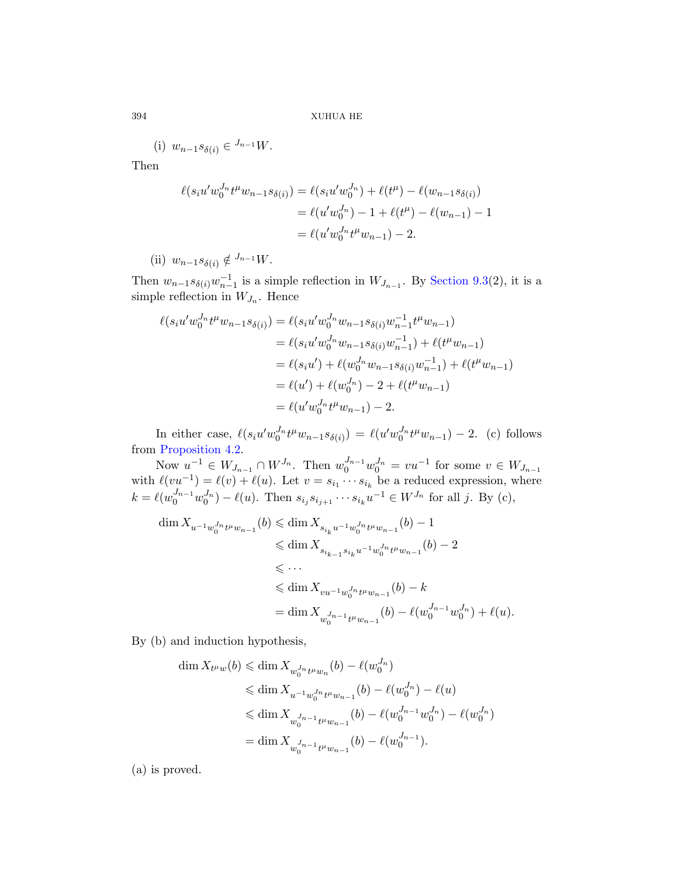(i)  $w_{n-1} s_{\delta(i)} \in {}^{J_{n-1}} W$ .

Then

$$
\ell(s_i u' w_0^{J_n} t^{\mu} w_{n-1} s_{\delta(i)}) = \ell(s_i u' w_0^{J_n}) + \ell(t^{\mu}) - \ell(w_{n-1} s_{\delta(i)})
$$
  
=  $\ell(u' w_0^{J_n}) - 1 + \ell(t^{\mu}) - \ell(w_{n-1}) - 1$   
=  $\ell(u' w_0^{J_n} t^{\mu} w_{n-1}) - 2$ .

(ii)  $w_{n-1} s_{\delta(i)} \notin {}^{J_{n-1}} W$ .

Then  $w_{n-1} s_{\delta(i)} w_{n-1}^{-1}$  is a simple reflection in  $W_{J_{n-1}}$ . By Section 9.3(2), it is a simple reflection in  $W_{J_n}$ . Hence

$$
\ell(s_i u' w_0^{J_n} t^{\mu} w_{n-1} s_{\delta(i)}) = \ell(s_i u' w_0^{J_n} w_{n-1} s_{\delta(i)} w_{n-1}^{-1} t^{\mu} w_{n-1})
$$
  
\n
$$
= \ell(s_i u' w_0^{J_n} w_{n-1} s_{\delta(i)} w_{n-1}^{-1}) + \ell(t^{\mu} w_{n-1})
$$
  
\n
$$
= \ell(s_i u') + \ell(w_0^{J_n} w_{n-1} s_{\delta(i)} w_{n-1}^{-1}) + \ell(t^{\mu} w_{n-1})
$$
  
\n
$$
= \ell(u') + \ell(w_0^{J_n}) - 2 + \ell(t^{\mu} w_{n-1})
$$
  
\n
$$
= \ell(u' w_0^{J_n} t^{\mu} w_{n-1}) - 2.
$$

In either case,  $\ell(s_i u' w_0^{J_n} t^{\mu} w_{n-1} s_{\delta(i)}) = \ell(u' w_0^{J_n} t^{\mu} w_{n-1}) - 2$ . (c) follows from Proposition 4.2.

Now  $u^{-1} \in W_{J_{n-1}} \cap W^{J_n}$ . Then  $w_0^{J_{n-1}} w_0^{J_n} = vu^{-1}$  for some  $v \in W_{J_{n-1}}$ with  $\ell(vu^{-1}) = \ell(v) + \ell(u)$ . Let  $v = s_{i_1} \cdots s_{i_k}$  be a reduced expression, where  $k = \ell(w_0^{J_{n-1}}w_0^{J_n}) - \ell(u)$ . Then  $s_{i_j}s_{i_{j+1}}\cdots s_{i_k}u^{-1} \in W^{J_n}$  for all j. By (c),

$$
\begin{aligned} \dim X_{u^{-1}w_0^{J_n}t^\mu w_{n-1}}(b)&\leqslant \dim X_{s_{i_k}u^{-1}w_0^{J_n}t^\mu w_{n-1}}(b)-1\\ &\leqslant \dim X_{s_{i_{k-1}}s_{i_k}u^{-1}w_0^{J_n}t^\mu w_{n-1}}(b)-2\\ &\leqslant \cdots\\ &\leqslant \dim X_{vu^{-1}w_0^{J_n}t^\mu w_{n-1}}(b)-k\\ &=\dim X_{w_0^{J_{n-1}}t^\mu w_{n-1}}(b)-\ell(w_0^{J_{n-1}}w_0^{J_n})+\ell(u).\end{aligned}
$$

By (b) and induction hypothesis,

$$
\begin{split} \dim X_{t^{\mu}w}(b) &\leqslant \dim X_{w_0^{J_n}t^{\mu}w_n}(b) - \ell(w_0^{J_n}) \\ &\leqslant \dim X_{u^{-1}w_0^{J_n}t^{\mu}w_{n-1}}(b) - \ell(w_0^{J_n}) - \ell(u) \\ &\leqslant \dim X_{w_0^{J_{n-1}}t^{\mu}w_{n-1}}(b) - \ell(w_0^{J_{n-1}}w_0^{J_n}) - \ell(w_0^{J_n}) \\ &\quad= \dim X_{w_0^{J_{n-1}}t^{\mu}w_{n-1}}(b) - \ell(w_0^{J_{n-1}}). \end{split}
$$

(a) is proved.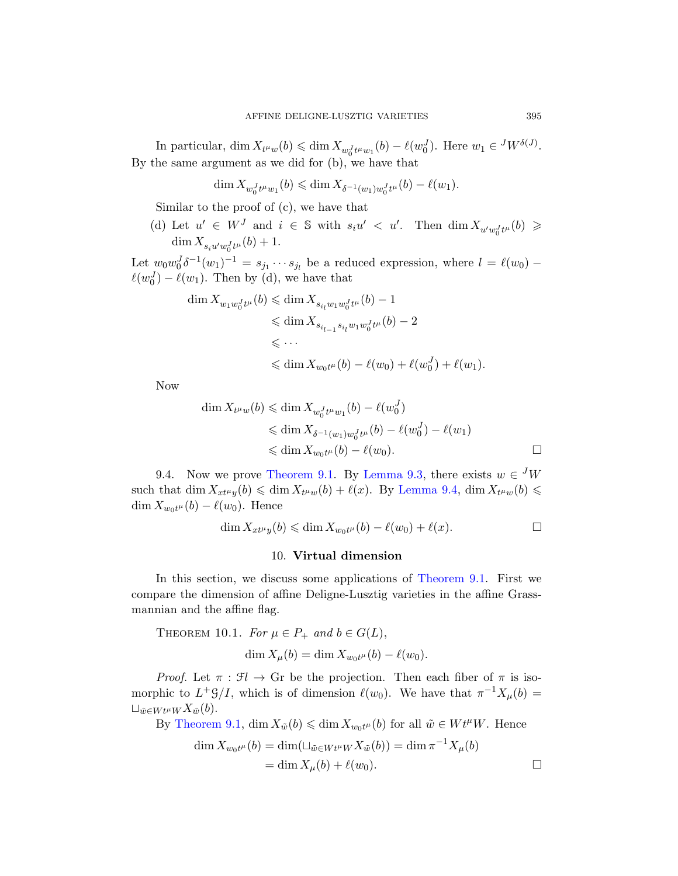In particular,  $\dim X_{t^{\mu}w}(b) \leq \dim X_{w_0^J t^{\mu}w_1}(b) - \ell(w_0^J)$ . Here  $w_1 \in {}^J W^{\delta(J)}$ . By the same argument as we did for (b), we have that

$$
\dim X_{w_0^J t^{\mu} w_1}(b) \leq \dim X_{\delta^{-1}(w_1) w_0^J t^{\mu}}(b) - \ell(w_1).
$$

Similar to the proof of (c), we have that

(d) Let  $u' \in W^J$  and  $i \in \mathbb{S}$  with  $s_i u' < u'$ . Then  $\dim X_{u'w_0^J t^{\mu}}(b) \geq$  $\dim X_{s_iu'w_0^J t^{\mu}}(b) + 1.$ 

Let  $w_0 w_0^J \delta^{-1}(w_1)^{-1} = s_{j_1} \cdots s_{j_l}$  be a reduced expression, where  $l = \ell(w_0) - \ell(w_1)$  $\ell(w_0^J) - \ell(w_1)$ . Then by (d), we have that

$$
\dim X_{w_1w_0^J t^{\mu}}(b) \leq \dim X_{s_{i_l}w_1w_0^J t^{\mu}}(b) - 1
$$
  
\n
$$
\leq \dim X_{s_{i_{l-1}}s_{i_l}w_1w_0^J t^{\mu}}(b) - 2
$$
  
\n
$$
\leq \cdots
$$
  
\n
$$
\leq \dim X_{w_0t^{\mu}}(b) - \ell(w_0) + \ell(w_0^J) + \ell(w_1).
$$

[Now](#page-24-0)

$$
\dim X_{t^{\mu}w}(b) \leq \dim X_{w_0^J t^{\mu}w_1}(b) - \ell(w_0^J)
$$
  
\$\leq\$ 
$$
\dim X_{\delta^{-1}(w_1)w_0^J t^{\mu}}(b) - \ell(w_0^J) - \ell(w_1)
$$
  
\$\leq\$ 
$$
\dim X_{w_0 t^{\mu}}(b) - \ell(w_0).
$$

9.4. Now we prove Theo[rem 9.1. By](#page-24-0) Lemma 9.3, there exists  $w \in {}^{J}W$ such that  $\dim X_{x t^{\mu} y}(b) \leq \dim X_{t^{\mu} w}(b) + \ell(x)$ . By Lemma 9.4,  $\dim X_{t^{\mu} w}(b) \leq$  $\dim X_{w_0 t^{\mu}}(b) - \ell(w_0)$ . Hence

$$
\dim X_{xt^{\mu}y}(b) \leq \dim X_{w_0t^{\mu}}(b) - \ell(w_0) + \ell(x).
$$

# 10. Virtual dimension

<span id="page-28-0"></span>In this section, we discuss some applications of Theorem 9.1. First we compare the dimension of affine Deligne-Lusztig varieties in the affine Grassmannian and the affine flag.

THEOREM 10.1. For  $\mu \in P_+$  and  $b \in G(L)$ ,

$$
\dim X_{\mu}(b) = \dim X_{w_0 t^{\mu}}(b) - \ell(w_0).
$$

*Proof.* Let  $\pi : \mathcal{F} \to \mathbb{G}$ r be the projection. Then each fiber of  $\pi$  is isomorphic to  $L^+G/I$ , which is of dimension  $\ell(w_0)$ . We have that  $\pi^{-1}X_\mu(b) =$  $\sqcup_{\tilde{w}\in W}$ t<sup>µ</sup>W  $X_{\tilde{w}}(b)$ .

By Theorem 9.1,  $\dim X_{\tilde{w}}(b) \leq \dim X_{w_0 t^{\mu}}(b)$  for all  $\tilde{w} \in W t^{\mu} W$ . Hence

$$
\dim X_{w_0 t^{\mu}}(b) = \dim(\sqcup_{\tilde{w} \in W t^{\mu} W} X_{\tilde{w}}(b)) = \dim \pi^{-1} X_{\mu}(b)
$$

$$
= \dim X_{\mu}(b) + \ell(w_0).
$$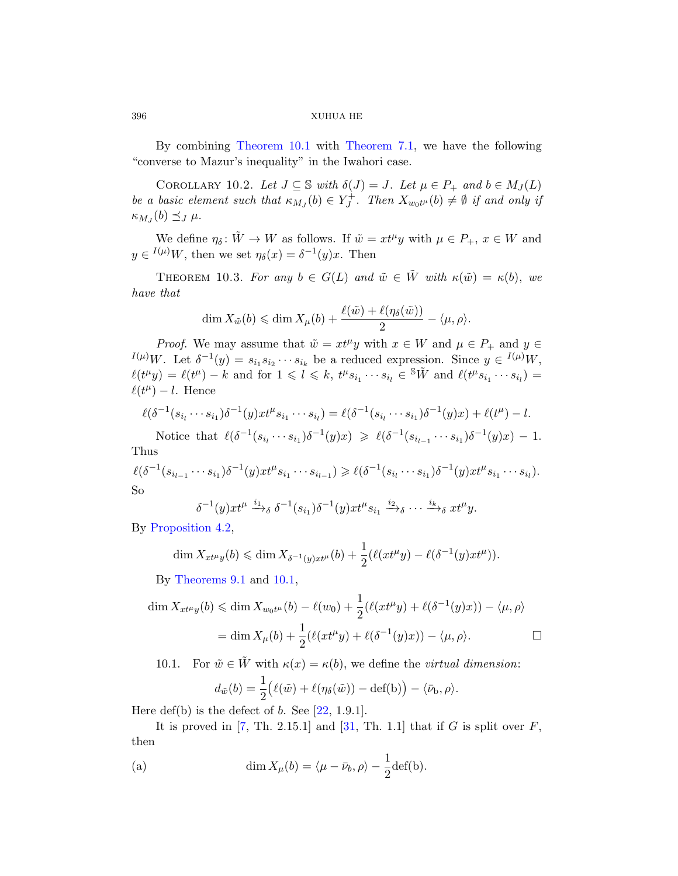By combining Theorem 10.1 with Theorem 7.1, we have the following "converse to Mazur's inequality" in the Iwahori case.

COROLLARY 10.2. Let  $J \subseteq \mathbb{S}$  with  $\delta(J) = J$ . Let  $\mu \in P_+$  and  $b \in M_J(L)$ be a basic element such that  $\kappa_{M_J}(b) \in Y_J^+$ . Then  $X_{w_0 t^{\mu}}(b) \neq \emptyset$  if and only if  $\kappa_{M_J}(b) \preceq_J \mu$ .

We define  $\eta_{\delta} \colon \tilde{W} \to W$  as follows. If  $\tilde{w} = xt^{\mu}y$  with  $\mu \in P_+, x \in W$  and  $y \in I^{(\mu)}W$ , then we set  $\eta_{\delta}(x) = \delta^{-1}(y)x$ . Then

THEOREM 10.3. For any  $b \in G(L)$  and  $\tilde{w} \in \tilde{W}$  with  $\kappa(\tilde{w}) = \kappa(b)$ , we have that

$$
\dim X_{\tilde{w}}(b) \leqslant \dim X_{\mu}(b) + \frac{\ell(\tilde{w}) + \ell(\eta_{\delta}(\tilde{w}))}{2} - \langle \mu, \rho \rangle.
$$

*Proof.* We may assume that  $\tilde{w} = xt^{\mu}y$  with  $x \in W$  and  $\mu \in P_+$  and  $y \in$  $I^{(\mu)}W$ . Let  $\delta^{-1}(y) = s_{i_1} s_{i_2} \cdots s_{i_k}$  be a reduced expression. Since  $y \in I^{(\mu)}W$ ,  $\ell(t^{\mu}y) = \ell(t^{\mu}) - k$  and for  $1 \leqslant l \leqslant k$ ,  $t^{\mu}s_{i_1} \cdots s_{i_l} \in {}^{\mathbb{S}}\tilde{W}$  and  $\ell(t^{\mu}s_{i_1} \cdots s_{i_l}) =$  $\ell(t^{\mu}) - l$ . Hence

$$
\ell(\delta^{-1}(s_{i_1}\cdots s_{i_1})\delta^{-1}(y)xt^{\mu}s_{i_1}\cdots s_{i_l})=\ell(\delta^{-1}(s_{i_l}\cdots s_{i_1})\delta^{-1}(y)x)+\ell(t^{\mu})-l.
$$

Notice that  $\ell(\delta^{-1}(s_{i_1}\cdots s_{i_1})\delta^{-1}(y)x) \geq \ell(\delta^{-1}(s_{i_{l-1}}\cdots s_{i_1})\delta^{-1}(y)x) - 1.$ Thus

$$
\ell(\delta^{-1}(s_{i_{l-1}}\cdots s_{i_1})\delta^{-1}(y)xt^{\mu}s_{i_1}\cdots s_{i_{l-1}}) \geq \ell(\delta^{-1}(s_{i_l}\cdots s_{i_1})\delta^{-1}(y)xt^{\mu}s_{i_1}\cdots s_{i_l}).
$$
  
So

$$
\delta^{-1}(y)xt^{\mu}\xrightarrow{i_1}\delta^{-1}(s_{i_1})\delta^{-1}(y)xt^{\mu}s_{i_1}\xrightarrow{i_2}\delta\cdots\xrightarrow{i_k}\delta xt^{\mu}y.
$$

By Proposition 4.2,

$$
\dim X_{xt^{\mu}y}(b) \leq \dim X_{\delta^{-1}(y)xt^{\mu}}(b) + \frac{1}{2}(\ell(xt^{\mu}y) - \ell(\delta^{-1}(y)xt^{\mu})).
$$

By Theorems 9.1 and 10.1,

$$
\dim X_{xt^{\mu}y}(b) \leq \dim X_{w_0t^{\mu}}(b) - \ell(w_0) + \frac{1}{2}(\ell(xt^{\mu}y) + \ell(\delta^{-1}(y)x)) - \langle \mu, \rho \rangle
$$

$$
= \dim X_{\mu}(b) + \frac{1}{2}(\ell(xt^{\mu}y) + \ell(\delta^{-1}(y)x)) - \langle \mu, \rho \rangle.
$$

10.1. For  $\tilde{w} \in \tilde{W}$  with  $\kappa(x) = \kappa(b)$ , we define the *virtual dimension*:

$$
d_{\tilde{w}}(b) = \frac{1}{2} (\ell(\tilde{w}) + \ell(\eta_{\delta}(\tilde{w})) - \det(b)) - \langle \bar{\nu}_b, \rho \rangle.
$$

Here def(b) is the defect of  $b$ . See [22, 1.9.1].

It is proved in [7, Th. 2.15.1] and  $[31, Th. 1.1]$  that if G is split over F, then

(a) 
$$
\dim X_{\mu}(b) = \langle \mu - \bar{\nu}_b, \rho \rangle - \frac{1}{2} \text{def}(b).
$$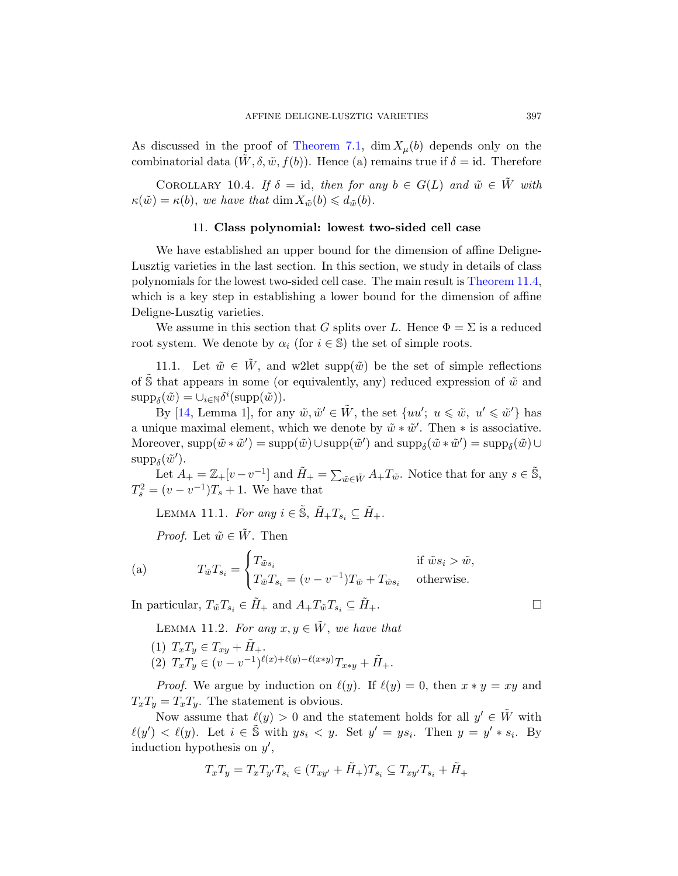<span id="page-30-0"></span>As discussed in the proof of Theorem 7.1, dim  $X<sub>u</sub>(b)$  depends only on the combinatorial data  $(W, \delta, \tilde{w}, f(b))$ . Hence (a) remains true if  $\delta = id$ . Therefore

COROLLARY 10.4. If  $\delta = id$ , then [for any](#page-31-0)  $b \in G(L)$  and  $\tilde{w} \in \tilde{W}$  with  $\kappa(\tilde{w}) = \kappa(b)$ , we have that dim  $X_{\tilde{w}}(b) \leq d_{\tilde{w}}(b)$ .

### 11. Class polynomial: lowest two-sided cell case

We have established an upper bound for the dimension of affine Deligne-Lusztig varieties in the last section. In this section, we study in details of class polynomials for the lowest two-sided cell case. The main result is Theorem 11.4, which is a key step in establishing a lower bound for the dimension of affine Deligne-Lusztig varieties.

We assume in this section that G splits over L. Hence  $\Phi = \Sigma$  is a reduced root system. We denote by  $\alpha_i$  (for  $i \in \mathbb{S}$ ) the set of simple roots.

11.1. Let  $\tilde{w} \in W$ , and w2let supp $(\tilde{w})$  be the set of simple reflections of S that appears in some (or equivalently, any) reduced expression of  $\tilde{w}$  and  $\text{supp}_{\delta}(\tilde{w}) = \cup_{i \in \mathbb{N}} \delta^i(\text{supp}(\tilde{w})).$ 

By [14, Lemma 1], for any  $\tilde{w}, \tilde{w}' \in \tilde{W}$ , the set  $\{uu'; u \leq \tilde{w}, u' \leq \tilde{w}'\}$  has a unique maximal element, which we denote by  $\tilde{w} * \tilde{w}'$ . Then  $*$  is associative. Moreover,  $\text{supp}(\tilde{w} * \tilde{w}') = \text{supp}(\tilde{w}) \cup \text{supp}(\tilde{w}')$  and  $\text{supp}_{\delta}(\tilde{w} * \tilde{w}') = \text{supp}_{\delta}(\tilde{w}) \cup$  $\text{supp}_{\delta}(\tilde{w}')$ .

Let  $A_+ = \mathbb{Z}_+[v-v^{-1}]$  and  $\tilde{H}_+ = \sum_{\tilde{w} \in \tilde{W}} A_+ T_{\tilde{w}}$ . Notice that for any  $s \in \tilde{\mathbb{S}}$ ,  $T_s^2 = (v - v^{-1})T_s + 1$ . We have that

LEMMA 11.1. For any  $i \in \tilde{\mathbb{S}}, \tilde{H}_+T_{s_i} \subseteq \tilde{H}_+$ .

*Proof.* Let  $\tilde{w} \in \tilde{W}$ . Then

(a) 
$$
T_{\tilde{w}}T_{s_i} = \begin{cases} T_{\tilde{w}s_i} & \text{if } \tilde{w}s_i > \tilde{w}, \\ T_{\tilde{w}}T_{s_i} = (v - v^{-1})T_{\tilde{w}} + T_{\tilde{w}s_i} & \text{otherwise.} \end{cases}
$$

In particular,  $T_{\tilde{w}}T_{s_i} \in \tilde{H}_+$  and  $A_+T_{\tilde{w}}T_{s_i} \subseteq \tilde{H}_+$ .

LEMMA 11.2. For any  $x, y \in \tilde{W}$ , we have that

(1)  $T_xT_y \in T_{xy} + \tilde{H}_+.$ (2)  $T_xT_y \in (v-v^{-1})^{\ell(x)+\ell(y)-\ell(x*y)}T_{x*y} + \tilde{H}_+.$ 

*Proof.* We argue by induction on  $\ell(y)$ . If  $\ell(y) = 0$ , then  $x * y = xy$  and  $T_xT_y = T_xT_y$ . The statement is obvious.

Now assume that  $\ell(y) > 0$  and the statement holds for all  $y' \in \tilde{W}$  with  $\ell(y') < \ell(y)$ . Let  $i \in \tilde{S}$  with  $ys_i < y$ . Set  $y' = ys_i$ . Then  $y = y' * s_i$ . By induction hypothesis on  $y'$ ,

$$
T_xT_y = T_xT_{y'}T_{s_i} \in (T_{xy'} + \tilde{H}_+)T_{s_i} \subseteq T_{xy'}T_{s_i} + \tilde{H}_+
$$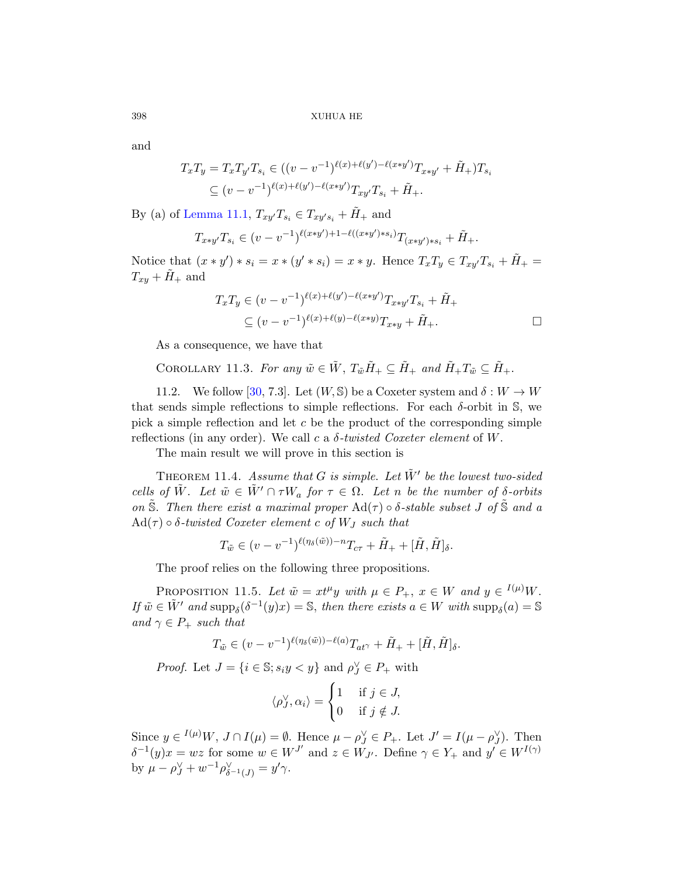and

$$
T_xT_y = T_xT_{y'}T_{s_i} \in ((v - v^{-1})^{\ell(x) + \ell(y') - \ell(x*y')}T_{x*y'} + \tilde{H}_+)T_{s_i}
$$
  

$$
\subseteq (v - v^{-1})^{\ell(x) + \ell(y') - \ell(x*y')}T_{xy'}T_{s_i} + \tilde{H}_+.
$$

By (a) of Lemma 11.1,  $T_{xy}T_{s_i} \in T_{xy's_i} + \tilde{H}_{+}$  and

$$
T_{x*y'}T_{s_i} \in (v-v^{-1})^{\ell(x*y')+1-\ell((x*y')*s_i)}T_{(x*y')*s_i} + \tilde{H}_+.
$$

<span id="page-31-1"></span>Notice that  $(x * y') * s_i = x * (y' * s_i) = x * y$ . Hence  $T_xT_y \in T_{xy}T_{s_i} + \tilde{H}_+ =$  $T_{xy} + \tilde{H}_{+}$  and

$$
T_x T_y \in (v - v^{-1})^{\ell(x) + \ell(y') - \ell(x \ast y')} T_{x \ast y'} T_{s_i} + \tilde{H}_+ \n\subseteq (v - v^{-1})^{\ell(x) + \ell(y) - \ell(x \ast y)} T_{x \ast y} + \tilde{H}_+.
$$

As a consequence, we have that

COROLLARY 11.3. For any  $\tilde{w} \in \tilde{W}$ ,  $T_{\tilde{w}} \tilde{H}_+ \subseteq \tilde{H}_+$  and  $\tilde{H}_+ T_{\tilde{w}} \subseteq \tilde{H}_+$ .

<span id="page-31-0"></span>11.2. We follow [30, 7.3]. Let  $(W, \mathbb{S})$  be a Coxeter system and  $\delta : W \to W$ that sends simple reflections to simple reflections. For each  $\delta$ -orbit in  $\mathbb{S}$ , we pick a simple reflection and let  $c$  be the product of the corresponding simple reflections (in any order). We call c a  $\delta$ -twisted Coxeter element of W.

The main result we will prove in this section is

<span id="page-31-2"></span>THEOREM 11.4. Assume that G is simple. Let  $\tilde{W}'$  be the lowest two-sided cells of  $\tilde{W}$ . Let  $\tilde{w} \in \tilde{W}' \cap \tau W_a$  for  $\tau \in \Omega$ . Let n be the number of  $\delta$ -orbits on  $\tilde{S}$ . Then there exist a maximal proper  $\text{Ad}(\tau) \circ \delta$ -stable subset J of  $\tilde{S}$  and a  $\text{Ad}(\tau) \circ \delta$ -twisted Coxeter element c of W<sub>J</sub> such that

$$
T_{\tilde{w}} \in (v - v^{-1})^{\ell(\eta_{\delta}(\tilde{w})) - n} T_{c\tau} + \tilde{H}_{+} + [\tilde{H}, \tilde{H}]_{\delta}.
$$

The proof relies on the following three propositions.

PROPOSITION 11.5. Let  $\tilde{w} = xt^{\mu}y$  with  $\mu \in P_+$ ,  $x \in W$  and  $y \in {}^{I(\mu)}W$ . If  $\tilde{w} \in \tilde{W}'$  and  $\text{supp}_{\delta}(\delta^{-1}(y)x) = \mathbb{S}$ , then there exists  $a \in W$  with  $\text{supp}_{\delta}(a) = \mathbb{S}$ and  $\gamma \in P_+$  such that

$$
T_{\tilde{w}} \in (v - v^{-1})^{\ell(\eta_{\delta}(\tilde{w})) - \ell(a)} T_{at^{\gamma}} + \tilde{H}_{+} + [\tilde{H}, \tilde{H}]_{\delta}.
$$

*Proof.* Let  $J = \{i \in \mathbb{S}; s_i y < y\}$  and  $\rho_J^{\vee} \in P_+$  with

$$
\langle \rho_J^{\vee}, \alpha_i \rangle = \begin{cases} 1 & \text{if } j \in J, \\ 0 & \text{if } j \notin J. \end{cases}
$$

Since  $y \in {}^{I(\mu)}W$ ,  $J \cap I(\mu) = \emptyset$ . Hence  $\mu - \rho_J^{\vee} \in P_+$ . Let  $J' = I(\mu - \rho_J^{\vee})$ . Then  $\delta^{-1}(y)x = wz$  for some  $w \in W^{J'}$  and  $z \in W_{J'}$ . Define  $\gamma \in Y_+$  and  $y' \in W^{I(\gamma)}$ by  $\mu - \rho_{J}^{\vee} + w^{-1} \rho_{\delta^{-1}(J)}^{\vee} = y' \gamma$ .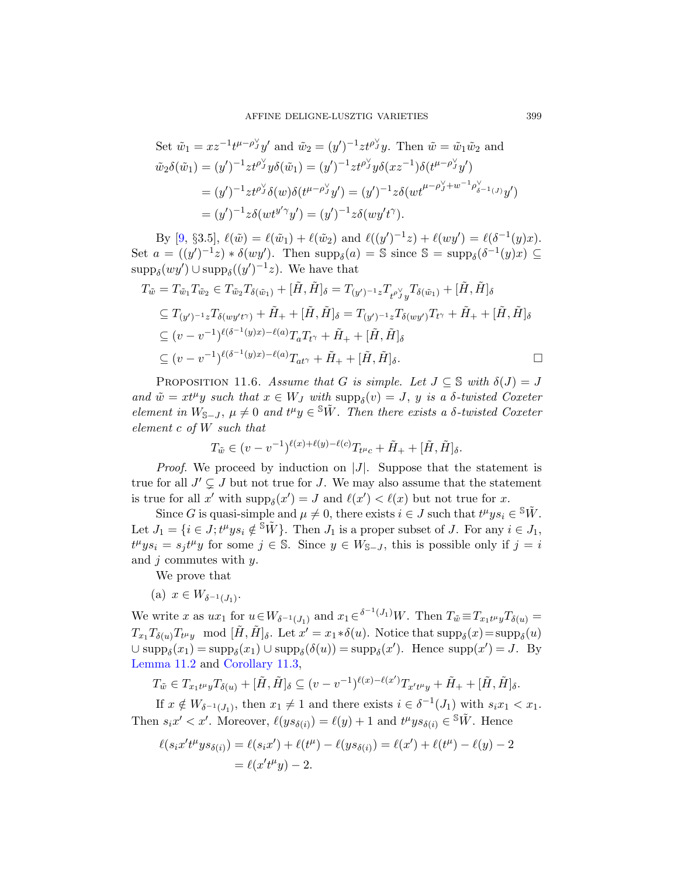Set 
$$
\tilde{w}_1 = xz^{-1}t^{\mu-\rho_{J}^{V}}y'
$$
 and  $\tilde{w}_2 = (y')^{-1}zt^{\rho_{J}^{V}}y$ . Then  $\tilde{w} = \tilde{w}_1\tilde{w}_2$  and  
\n $\tilde{w}_2\delta(\tilde{w}_1) = (y')^{-1}zt^{\rho_{J}^{V}}y\delta(\tilde{w}_1) = (y')^{-1}zt^{\rho_{J}^{V}}y\delta(xz^{-1})\delta(t^{\mu-\rho_{J}^{V}}y')$   
\n $= (y')^{-1}zt^{\rho_{J}^{V}}\delta(w)\delta(t^{\mu-\rho_{J}^{V}}y') = (y')^{-1}z\delta(wt^{\mu-\rho_{J}^{V}+w^{-1}\rho_{\delta-1(J)}^{V}}y')$   
\n $= (y')^{-1}z\delta(wt^{y'\gamma}y') = (y')^{-1}z\delta(wy't^{\gamma}).$ 

By [9, §3.5],  $\ell(\tilde{w}) = \ell(\tilde{w}_1) + \ell(\tilde{w}_2)$  and  $\ell((y')^{-1}z) + \ell(wy') = \ell(\delta^{-1}(y)x)$ . Set  $a = ((y')^{-1}z) * \delta(wy')$ . Then  $supp_{\delta}(a) = \mathbb{S}$  since  $\mathbb{S} = supp_{\delta}(\delta^{-1}(y)x) \subseteq$  $\text{supp}_{\delta}(wy') \cup \text{supp}_{\delta}((y')^{-1}z)$ . We have that

$$
T_{\tilde{w}} = T_{\tilde{w}_1} T_{\tilde{w}_2} \in T_{\tilde{w}_2} T_{\delta(\tilde{w}_1)} + [\tilde{H}, \tilde{H}]_{\delta} = T_{(y')^{-1}z} T_{t^{\rho} y} T_{\delta(\tilde{w}_1)} + [\tilde{H}, \tilde{H}]_{\delta}
$$
  
\n
$$
\subseteq T_{(y')^{-1}z} T_{\delta(wy't^{\gamma})} + \tilde{H}_+ + [\tilde{H}, \tilde{H}]_{\delta} = T_{(y')^{-1}z} T_{\delta(wy')} T_{t^{\gamma}} + \tilde{H}_+ + [\tilde{H}, \tilde{H}]_{\delta}
$$
  
\n
$$
\subseteq (v - v^{-1})^{\ell(\delta^{-1}(y)x) - \ell(a)} T_a T_{t^{\gamma}} + \tilde{H}_+ + [\tilde{H}, \tilde{H}]_{\delta}
$$
  
\n
$$
\subseteq (v - v^{-1})^{\ell(\delta^{-1}(y)x) - \ell(a)} T_{at^{\gamma}} + \tilde{H}_+ + [\tilde{H}, \tilde{H}]_{\delta}.
$$

PROPOSITION 11.6. Assume that G is simple. Let  $J \subseteq \mathbb{S}$  with  $\delta(J) = J$ and  $\tilde{w} = xt^{\mu}y$  such that  $x \in W_J$  with  $\text{supp}_{\delta}(v) = J$ , y is a  $\delta$ -twisted Coxeter element in  $W_{S-J}$ ,  $\mu \neq 0$  and  $t^{\mu}y \in {}^S \tilde{W}$ . Then there exists a  $\delta$ -twisted Coxeter element c of W such that

$$
T_{\tilde{w}} \in (v - v^{-1})^{\ell(x) + \ell(y) - \ell(c)} T_{t^{\mu}c} + \tilde{H}_+ + [\tilde{H}, \tilde{H}]_{\delta}.
$$

*Proof.* We proceed by induction on  $|J|$ . Suppose that the statement is true for all  $J' \subsetneq J$  but not true for J. We may also assume that the statement is true for all x' with  $\text{supp}_{\delta}(x') = J$  and  $\ell(x') < \ell(x)$  but not true for x.

Since G is quasi-simple and  $\mu \neq 0$ , there exists  $i \in J$  such that  $t^{\mu}ys_i \in {}^{\mathcal{S}}\tilde{W}$ . Let  $J_1 = \{i \in J; t^{\mu}ys_i \notin \mathbb{S}\tilde{W}\}\$ . Then  $J_1$  is a proper subset of J. For any  $i \in J_1$ ,  $t^{\mu}ys_i = s_j t^{\mu}y$  for some  $j \in \mathbb{S}$ . Since  $y \in W_{\mathbb{S}-J}$ , this is possible only if  $j = i$ and  $j$  commutes with  $y$ .

[We p](#page-31-1)rove that

$$
(a) \ x \in W_{\delta^{-1}(J_1)}.
$$

We write x as  $ux_1$  for  $u \in W_{\delta^{-1}(J_1)}$  and  $x_1 \in \delta^{-1}(J_1)$  W. Then  $T_{\tilde{w}} \equiv T_{x_1 t^{\mu} y} T_{\delta(u)} =$  $T_{x_1}T_{\delta(u)}T_{t^{\mu}y} \mod [\tilde{H}, \tilde{H}]_{\delta}$ . Let  $x' = x_1 * \delta(u)$ . Notice that  $\text{supp}_{\delta}(x) = \text{supp}_{\delta}(u)$  $\cup \text{supp}_{\delta}(x_1) = \text{supp}_{\delta}(x_1) \cup \text{supp}_{\delta}(\delta(u)) = \text{supp}_{\delta}(x')$ . Hence  $\text{supp}(x') = J$ . By Lemma 11.2 and Corollary 11.3,

$$
T_{\tilde{w}} \in T_{x_1 t^\mu y} T_{\delta(u)} + [\tilde{H}, \tilde{H}]_\delta \subseteq (v - v^{-1})^{\ell(x) - \ell(x')} T_{x' t^\mu y} + \tilde{H}_+ + [\tilde{H}, \tilde{H}]_\delta.
$$

If  $x \notin W_{\delta^{-1}(J_1)}$ , then  $x_1 \neq 1$  and there exists  $i \in \delta^{-1}(J_1)$  with  $s_i x_1 < x_1$ . Then  $s_i x' < x'$ . Moreover,  $\ell(ys_{\delta(i)}) = \ell(y) + 1$  and  $t^{\mu}ys_{\delta(i)} \in \mathbb{S}\tilde{W}$ . Hence

$$
\ell(s_i x' t^{\mu} y s_{\delta(i)}) = \ell(s_i x') + \ell(t^{\mu}) - \ell(y s_{\delta(i)}) = \ell(x') + \ell(t^{\mu}) - \ell(y) - 2
$$
  
=  $\ell(x' t^{\mu} y) - 2$ .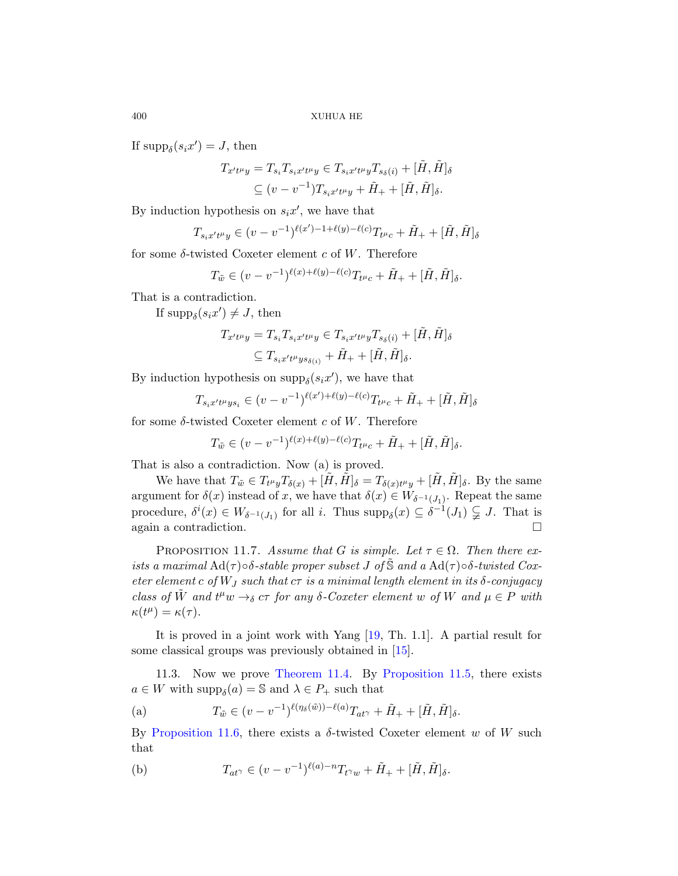If  $\text{supp}_{\delta}(s_i x') = J$ , then

$$
T_{x't\mu y} = T_{s_i} T_{s_i x't\mu y} \in T_{s_i x't\mu y} T_{s_\delta(i)} + [\tilde{H}, \tilde{H}]_\delta
$$
  

$$
\subseteq (v - v^{-1}) T_{s_i x't\mu y} + \tilde{H}_+ + [\tilde{H}, \tilde{H}]_\delta.
$$

By induction hypothesis on  $s_i x'$ , we have that

$$
T_{s_i x' t^\mu y} \in (v - v^{-1})^{\ell(x') - 1 + \ell(y) - \ell(c)} T_{t^\mu c} + \tilde{H}_+ + [\tilde{H}, \tilde{H}]_{\delta}
$$

for some  $\delta$ -twisted Coxeter element c of W. Therefore

$$
T_{\tilde{w}} \in (v - v^{-1})^{\ell(x) + \ell(y) - \ell(c)} T_{t^{\mu}c} + \tilde{H}_+ + [\tilde{H}, \tilde{H}]_{\delta}.
$$

That is a contradiction.

If  $\text{supp}_{\delta}(s_i x') \neq J$ , then

$$
T_{x't^{\mu}y} = T_{s_i}T_{s_ix't^{\mu}y} \in T_{s_ix't^{\mu}y}T_{s_{\delta}(i)} + [\tilde{H}, \tilde{H}]_{\delta}
$$
  

$$
\subseteq T_{s_ix't^{\mu}ys_{\delta(i)}} + \tilde{H}_+ + [\tilde{H}, \tilde{H}]_{\delta}.
$$

By induction hypothesis on  $\text{supp}_{\delta}(s_i x')$ , we have that

$$
T_{s_i x' t^{\mu} y s_i} \in (v - v^{-1})^{\ell(x') + \ell(y) - \ell(c)} T_{t^{\mu} c} + \tilde{H}_+ + [\tilde{H}, \tilde{H}]_{\delta}
$$

for some  $\delta$ -twisted Coxeter element c of W. Therefore

$$
T_{\tilde{w}} \in (v - v^{-1})^{\ell(x) + \ell(y) - \ell(c)} T_{t^{\mu}c} + \tilde{H}_+ + [\tilde{H}, \tilde{H}]_{\delta}.
$$

That is also a contradiction. Now (a) is proved.

We have that  $T_{\tilde{w}} \in T_{t^{\mu}y}T_{\delta(x)} + [\tilde{H}, \tilde{H}]_{\delta} = T_{\delta(x)t^{\mu}y} + [\tilde{H}, \tilde{H}]_{\delta}$ . By the same argument for  $\delta(x)$  instead of x, we have that  $\delta(x) \in W_{\delta^{-1}(J_1)}$ . Repeat the same procedure,  $\delta^{i}(x) \in W_{\delta^{-1}(J_1)}$  for all i. Thus  $\text{supp}_{\delta}(x) \subseteq \delta^{-1}(J_1) \subsetneq J$ . That is again a contradiction.

PROPOSITION 1[1.7.](#page-36-9) [Assu](#page-35-11)me that G is simple. Let  $\tau \in \Omega$ . Then there exists a maximal  $\text{Ad}(\tau) \circ \delta$ -stable proper subset J of  $\tilde{\mathbb{S}}$  and a  $\text{Ad}(\tau) \circ \delta$ -twisted Coxete[r element](#page-31-0) c of  $W_J$  such that  $c\tau$  [is a mini](#page-31-2)mal length element in its  $\delta$ -conjugacy class of  $\tilde{W}$  and  $t^{\mu}w \rightarrow_{\delta} c\tau$  for any  $\delta$ -Coxeter element w of W and  $\mu \in P$  with  $\kappa(t^{\mu}) = \kappa(\tau).$ 

It is proved in a joint work with Yang [19, Th. 1.1]. A partial result for some classical groups was previously obtained in [15].

11.3. Now we prove Theorem 11.4. By Proposition 11.5, there exists  $a \in W$  with  $\text{supp}_{\delta}(a) = \mathbb{S}$  and  $\lambda \in P_+$  such that

(a) 
$$
T_{\tilde{w}} \in (v - v^{-1})^{\ell(\eta_{\delta}(\tilde{w})) - \ell(a)} T_{at} + \tilde{H}_{+} + [\tilde{H}, \tilde{H}]_{\delta}.
$$

By Proposition 11.6, there exists a  $\delta$ -twisted Coxeter element w of W such that

(b) 
$$
T_{at^{\gamma}} \in (v - v^{-1})^{\ell(a) - n} T_{t^{\gamma}w} + \tilde{H}_+ + [\tilde{H}, \tilde{H}]_{\delta}.
$$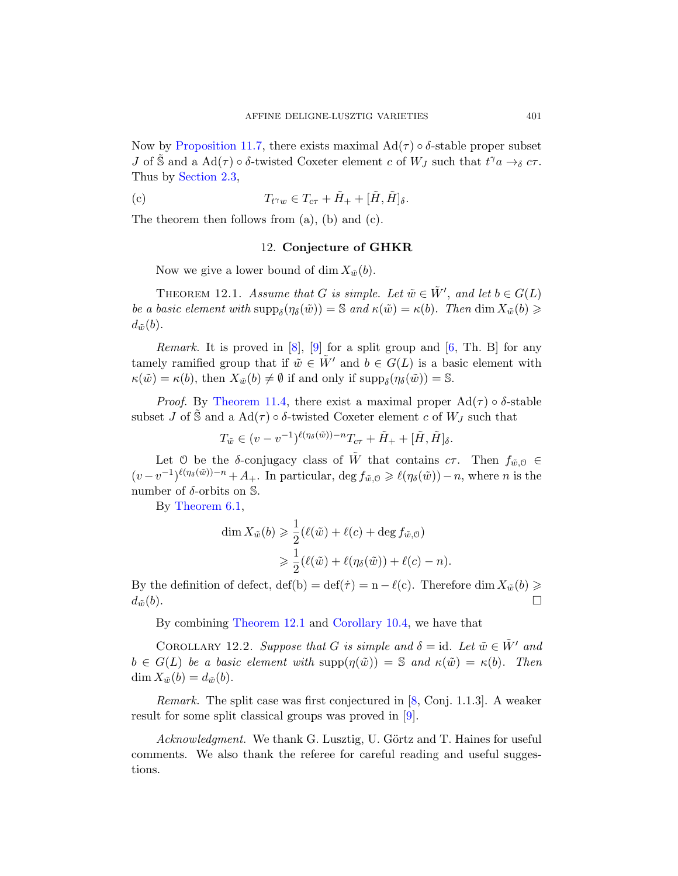Now by Proposition 11.7, there exists maximal  $\text{Ad}(\tau) \circ \delta$ -stable proper subset *J* of  $\tilde{S}$  and a Ad( $\tau$ )  $\circ$   $\delta$ -twisted Coxeter element c of  $W_J$  such that  $t^{\gamma}a \rightarrow_{\delta} c\tau$ . Thus by Section 2.3,

(c) 
$$
T_{t^{\gamma}w} \in T_{c\tau} + \tilde{H}_{+} + [\tilde{H}, \tilde{H}]_{\delta}.
$$

The theorem then follows from (a), (b) and (c).

# 12. Conjec[tu](#page-35-3)re of GHKR

Now we give a lower bound of dim  $X_{\tilde{w}}(b)$ .

THEOREM 12.1. Assume that G is simple. Let  $\tilde{w} \in \tilde{W}'$ , and let  $b \in G(L)$ [be a ba](#page-31-0)sic element with  $\text{supp}_{\delta}(\eta_{\delta}(\tilde{w})) = \mathbb{S}$  and  $\kappa(\tilde{w}) = \kappa(b)$ . Then  $\dim X_{\tilde{w}}(b) \geq$  $d_{\tilde{w}}(b)$ .

*Remark.* It is proved in  $[8]$ ,  $[9]$  for a split group and  $[6, Th. B]$  for any tamely ramified group that if  $\tilde{w} \in W'$  and  $b \in G(L)$  is a basic element with  $\kappa(\tilde{w}) = \kappa(b)$ , then  $X_{\tilde{w}}(b) \neq \emptyset$  if and only if  $\text{supp}_{\delta}(\eta_{\delta}(\tilde{w})) = \mathbb{S}$ .

*Proof.* By Theorem 11.4, there exist a maximal proper  $\text{Ad}(\tau) \circ \delta$ -stable subset J of S and a  $\text{Ad}(\tau) \circ \delta$ -twisted Coxeter element c of  $W_J$  such that

$$
T_{\tilde{w}} \in (v - v^{-1})^{\ell(\eta_{\delta}(\tilde{w})) - n} T_{c\tau} + \tilde{H}_{+} + [\tilde{H}, \tilde{H}]_{\delta}.
$$

Let 0 be the δ-conjugacy class of  $\tilde{W}$  that contains  $c\tau$ . Then  $f_{\tilde{w},0} \in$  $(v-v^{-1})^{\ell(\eta_{\delta}(\tilde{w}))-n}+A_{+}$ . In particular, deg  $f_{\tilde{w},0}\geqslant\ell(\eta_{\delta}(\tilde{w}))-n$ , where n is the number of  $\delta$ -orbits on  $\mathbb{S}$ .

By Theorem 6.1,

$$
\dim X_{\tilde{w}}(b) \geq \frac{1}{2} (\ell(\tilde{w}) + \ell(c) + \deg f_{\tilde{w},0})
$$
  

$$
\geq \frac{1}{2} (\ell(\tilde{w}) + \ell(\eta_{\delta}(\tilde{w})) + \ell(c) - n).
$$

By the definition of defect,  $\det(b) = \det(\tau) = n - \ell(c)$ . Therefore  $\dim X_{\tilde{w}}(b) \geq$  $d_{\tilde{w}}(b).$ 

By combining Theorem [12](#page-35-9).1 and Corollary 10.4, we have that

COROLLARY 12.2. Suppose that G is simple and  $\delta = id$ . Let  $\tilde{w} \in \tilde{W}'$  and  $b \in G(L)$  be a basic element with  $\text{supp}(\eta(\tilde{w})) = \mathbb{S}$  and  $\kappa(\tilde{w}) = \kappa(b)$ . Then  $\dim X_{\tilde{w}}(b) = d_{\tilde{w}}(b).$ 

*Remark.* The split case was first conjectured in  $[8, Conj. 1.1.3]$ . A weaker result for some split classical groups was proved in [9].

Acknowledgment. We thank G. Lusztig, U. Görtz and T. Haines for useful comments. We also thank the referee for careful reading and useful suggestions.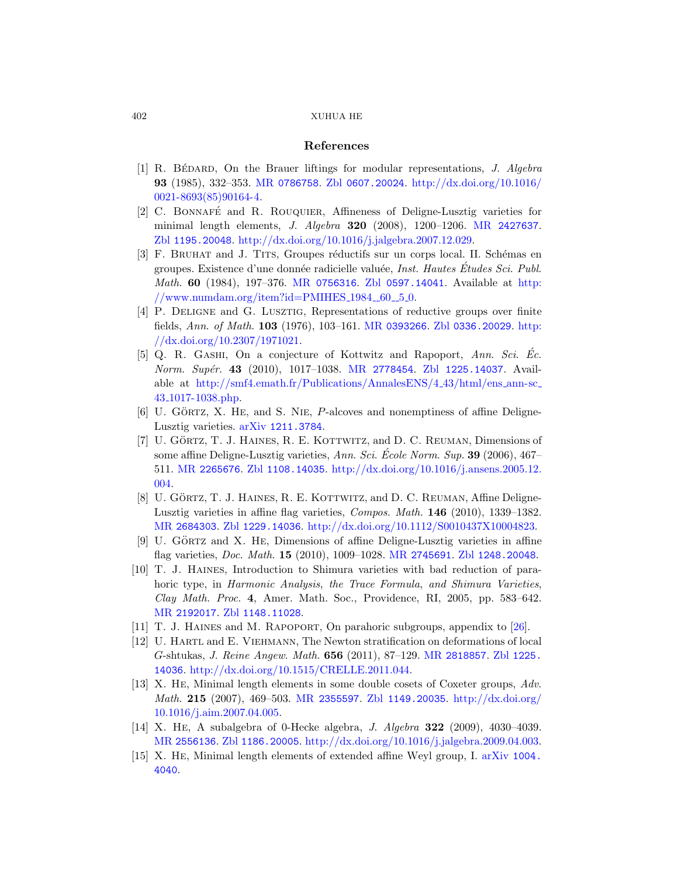# [Referen](http://dx.doi.org/10.1016/j.jalgebra.2007.12.029)ces

- <span id="page-35-10"></span><span id="page-35-7"></span><span id="page-35-5"></span>[1] R. BÉDARD, On the Brauer liftings for modular representations, J. Algebra 93 [\(1985\), 332–3](http://www.ams.org/mathscinet-getitem?mr=0756316)53. MR [0786758](http://www.zentralblatt-math.org/zmath/en/search/?q=an:0597.14041). Zbl 0607.200[24](http://www.numdam.org/item?id=PMIHES_1984__60__5_0). http://dx.doi.org/10.1016/ [0021-8693\(85\)90164-4.](http://www.numdam.org/item?id=PMIHES_1984__60__5_0)
- <span id="page-35-8"></span>[2] C. Bonnafe´ and R. Rouquier, Affineness of Deligne-Lusztig varieties for minimal length [elements,](http://www.ams.org/mathscinet-getitem?mr=0393266) J. Algebra 320 (200[8\), 12](http://dx.doi.org/10.2307/1971021)00–1206. MR 2427637. Zbl 1195.20048. http://dx.doi.[org/10.1016/j.jalg](http://www.zentralblatt-math.org/zmath/en/search/?q=an:0336.20029)ebra.2007.12.029.
- <span id="page-35-4"></span>[3] [F. B](http://dx.doi.org/10.2307/1971021)RUHAT and J. TITS, Groupes réductifs sur un corps local. II. Schémas en groupes. Exist[ence d'une don](http://www.ams.org/mathscinet-getitem?mr=2778454)née radicielle valuée, *Inst. Hautes Études Sci. Publ.* Math. 60 [\(1984\), 197–376.](http://smf4.emath.fr/Publications/AnnalesENS/4_43/html/ens_ann-sc_43_1017-1038.php) MR 0756316. Zbl 0597.14041. Available at http:  $//www.numdam.org/item?id=PMIHES_1984_60_50.$
- <span id="page-35-3"></span>[4] P. Deligne and G. Lusztig, Representations of reductive groups over finite [fields,](http://www.arxiv.org/abs/1211.3784) Ann. of Math. 103 (1976), 103–161. MR 0393266. Zbl 0336.20029. http: //dx.doi.org/10.2307/1971021.
- [5] Q. R. GASHI, On a conjecture of Kottwitz and Rapoport, Ann. Sci. Ec. [Norm](http://www.zentralblatt-math.org/zmath/en/search/?q=an:1108.14035). Supér. 43 (2010), 1017-1038. MR 2778454. Zbl 1225.14037. Available at http://smf4.emath.fr/Publications/AnnalesENS/4 43/html/ens ann-sc 43 1017-1038.php.
- <span id="page-35-2"></span>[6] U. GÖRTZ, X. HE, and S. NIE, P-alcoves and nonemptiness of affine Deligne-[Luszt](http://www.zentralblatt-math.org/zmath/en/search/?q=an:1229.14036)ig varieties. arXiv [1211.3784](http://dx.doi.org/10.1112/S0010437X10004823).
- <span id="page-35-9"></span> $[7]$  U. GÖRTZ, T. J. HAINES, R. E. KOTTWITZ, and D. C. REUMAN, Dimensions of some affine Deligne-Lus[ztig varieties,](http://www.ams.org/mathscinet-getitem?mr=2745691)  $Ann. Sci. École Norm. Sup. 39 (2006), 467–$ 511. MR 2265676. Zbl 1108.14035. http://dx.doi.org/10.1016/j.ansens.2005.12. 004.
- <span id="page-35-0"></span>[8] U. GÖRTZ, T. J. HAINES, R. E. KOTTWITZ, and D. C. REUMAN, Affine Deligne-[Luszt](http://www.zentralblatt-math.org/zmath/en/search/?q=an:1148.11028)ig varieties in affine flag varieties, Compos. Math. 146 (2010), 1339–1382. MR 2684303. Zbl 1229.14036. http://dx.doi.org[/10](#page-36-7).1112/S0010437X10004823.
- <span id="page-35-6"></span>[9] U. GÖRTZ and X. HE, Dimensions of affine Deligne-Lusztig varieties in affine flag varieties, Doc. Math. 15 ([2010\), 1009–1](http://www.ams.org/mathscinet-getitem?mr=2818857)028. [MR](http://www.zentralblatt-math.org/zmath/en/search/?q=an:1225.14036) 2745691. Zbl 1248.20048.
- <span id="page-35-1"></span>[10] T. J. Haines[, Introduction](http://dx.doi.org/10.1515/CRELLE.2011.044) to Shimura varieties with bad reduction of parahoric type, in Harmonic Analysis, the Trace Formula, and Shimura Varieties, Cla[y Math](http://www.ams.org/mathscinet-getitem?mr=2355597). Proc. 4[, Amer. Math.](http://www.zentralblatt-math.org/zmath/en/search/?q=an:1149.20035) [Soc., Providence,](http://dx.doi.org/10.1016/j.aim.2007.04.005) RI, 2005, pp. 583–642. [M](http://dx.doi.org/10.1016/j.aim.2007.04.005)R 2192017. Zbl 1148.11028.
- [11] T. J. Haines and M. Rapoport, On parahoric subgroups, appendix to [26].
- <span id="page-35-11"></span>[\[12\]](http://www.zentralblatt-math.org/zmath/en/search/?q=an:1186.20005) U. Hartl and E. Viehmann[, The Newton stratificatio](http://dx.doi.org/10.1016/j.jalgebra.2009.04.003)n on deformations of local G-shtukas, J. Reine Angew. Math. 656 (2[011\), 87–129.](http://www.arxiv.org/abs/1004.4040) MR 2818857. Zbl 1225. 14036. http://dx.doi.org/10.1515/CRELLE.2011.044.
- [13] X. He, Minimal length elements in some double cosets of Coxeter groups, Adv. Math. 215 (2007), 469–503. MR 2355597. Zbl 1149.20035. http://dx.doi.org/ 10.1016/j.aim.2007.04.005.
- [14] X. He, A subalgebra of 0-Hecke algebra, J. Algebra 322 (2009), 4030–4039. MR 2556136. Zbl 1186.20005. http://dx.doi.org/10.1016/j.jalgebra.2009.04.003.
- [15] X. He, Minimal length elements of extended affine Weyl group, I. arXiv 1004. 4040.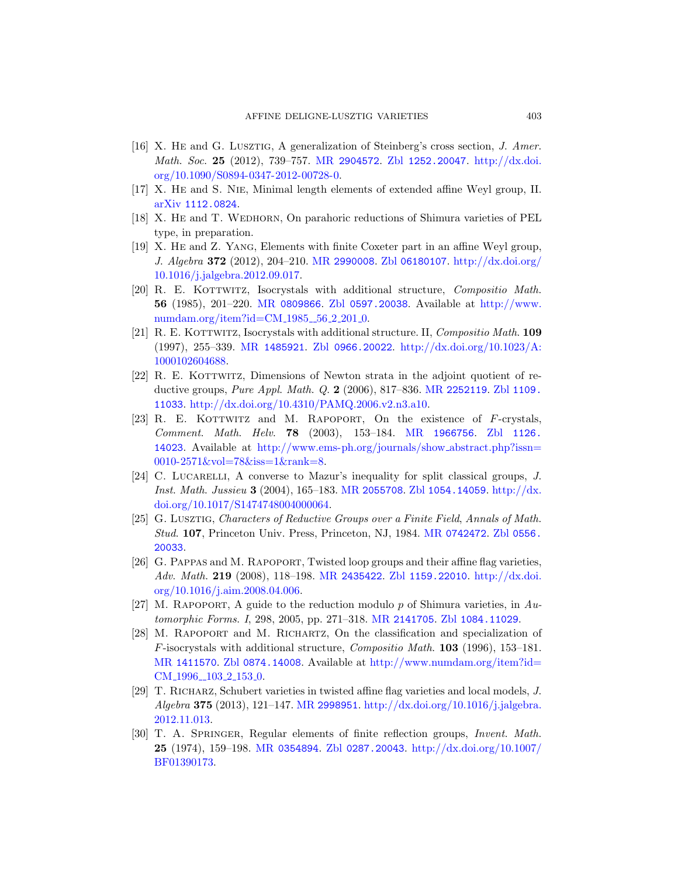- <span id="page-36-9"></span><span id="page-36-4"></span><span id="page-36-1"></span><span id="page-36-0"></span>[16] X. He and G. Lusztig, A generalization of Steinberg's cross section, J. Amer. Math. Soc. 25 [\(2012](http://www.ams.org/mathscinet-getitem?mr=2990008)[\), 739–757.](http://www.zentralblatt-math.org/zmath/en/search/?q=an:06180107) MR [2904572](http://dx.doi.org/10.1016/j.jalgebra.2012.09.017). Zbl 1252.20047. http://dx.doi. [org/1](http://dx.doi.org/10.1016/j.jalgebra.2012.09.017)0.1090/S0894-0347-2012-00728-0.
- <span id="page-36-2"></span>[17] X. He and S. Nie, Minimal length elements of extended affine Weyl group, II. [arXiv](http://www.ams.org/mathscinet-getitem?mr=0809866) 1112.0824.
- [18] X. HE and T. WEDHORN, On parahoric [reductions of S](http://www.numdam.org/item?id=CM_1985__56_2_201_0)himura varieties of PEL [type, in preparation](http://www.numdam.org/item?id=CM_1985__56_2_201_0).
- <span id="page-36-3"></span>[19] [X. He](http://www.ams.org/mathscinet-getitem?mr=1485921) and [Z. Yang](http://www.zentralblatt-math.org/zmath/en/search/?q=an:0966.20022), Ele[ments with finite Coxeter part](http://dx.doi.org/10.1023/A:1000102604688) in an affine Weyl group, J. Algebra 372 (2012), 204–210. MR 2990008. Zbl 06180107. http://dx.doi.org/ 10.1016/j.jalgebra.2012.09.017.
- <span id="page-36-8"></span>[20] R. E. KOTTWITZ, Isocrysta[ls with addit](http://www.ams.org/mathscinet-getitem?mr=2252119)[ional struc](http://www.zentralblatt-math.org/zmath/en/search/?q=an:1109.11033)ture, *Compositio Math.* 56 [\(1985\), 201–220.](http://dx.doi.org/10.4310/PAMQ.2006.v2.n3.a10) MR 0809866. Zbl 0597.20038. Available at http://www. numdam.org/item?id= $CM_{1985}$  56.2.201.0.
- [21] R. E. KOTTWITZ, Isocryst[als with additio](http://www.ams.org/mathscinet-getitem?mr=1966756)n[al structure.](http://www.zentralblatt-math.org/zmath/en/search/?q=an:1126.14023) II, *Compositio Math.* 109 [\(1997\), 255–339.](http://www.ems-ph.org/journals/show_abstract.php?issn=0010-2571&vol=78&iss=1&rank=8) MR 1485921. Zbl 0966.20022. http://dx.doi.org/10.1023/A: [100010260](http://www.ems-ph.org/journals/show_abstract.php?issn=0010-2571&vol=78&iss=1&rank=8)4688.
- <span id="page-36-6"></span>[22] R. E. KOTTWITZ, Dimensions of Newton strata in the adjoint quotient of reductive groups, [Pure Appl](http://www.ams.org/mathscinet-getitem?mr=2055708). [Math](http://www.zentralblatt-math.org/zmath/en/search/?q=an:1054.14059). Q. 2 (2006[\), 817–836.](http://dx.doi.org/10.1017/S1474748004000064) MR 2252119. Zbl 1109. 11033. http://dx.doi.org/10.4310/PAMQ.2006.v2.n3.a10.
- [23] R. E. KOTTWITZ and M. RAPOPORT, On the existence of  $F$ -crystals, Comment. Math. Helv. 78 [\(2003\), 153](http://www.ams.org/mathscinet-getitem?mr=0742472)[–184.](http://www.zentralblatt-math.org/zmath/en/search/?q=an:0556.20033) MR 1966756. Zbl 1126. 14023. Available at http://www.ems-ph.org/journals/show abstract.php?issn= 0010-2571&vol=78&iss=1&rank=8.
- <span id="page-36-7"></span>[24] C. LUCARELLI[, A con](http://www.ams.org/mathscinet-getitem?mr=2435422)[verse to Mazur's](http://www.zentralblatt-math.org/zmath/en/search/?q=an:1159.22010) [inequality for](http://dx.doi.org/10.1016/j.aim.2008.04.006) split classical groups, J. [Inst](http://dx.doi.org/10.1016/j.aim.2008.04.006). Math. Jussieu 3 (2004), 165–183. MR 2055708. Zbl 1054.14059. http://dx. doi.org/10.1017/S1474748004000064.
- <span id="page-36-5"></span>[25] G. Lusztig, Chara[cters of Reduc](http://www.ams.org/mathscinet-getitem?mr=2141705)t[ive Groups over a](http://www.zentralblatt-math.org/zmath/en/search/?q=an:1084.11029) Finite Field, Annals of Math. Stud. 107, Princeton Univ. Press, Princeton, NJ, 1984. MR 0742472. Zbl 0556. 20033.
- [26] [G. Pa](http://www.zentralblatt-math.org/zmath/en/search/?q=an:0874.14008)ppas and M. Rapoport[, Twisted loop groups and](http://www.numdam.org/item?id=CM_1996__103_2_153_0) their affine flag varieties, Adv. Math. 219 (2008), 118–198. MR 2435422. Zbl 1159.22010. http://dx.doi. org/10.1016/j.aim.2008.04.006.
- [27] M. RAPOPORT, [A guide to the reduction modulo](http://dx.doi.org/10.1016/j.jalgebra.2012.11.013) p of Shimura varieties, in  $Au$ tomorphic Forms. I, 298, 2005, pp. 271–318. MR 2141705. Zbl 1084.11029.
- [28] M. Rapoport and M. Richartz, On the classification and specialization of F[-isocrys](http://www.ams.org/mathscinet-getitem?mr=0354894)t[als with addition](http://www.zentralblatt-math.org/zmath/en/search/?q=an:0287.20043)al structure, [Compositio Ma](http://dx.doi.org/10.1007/BF01390173)th. 103 (1996), 153–181. MR 1411570. Zbl 0874.14008. Available at http://www.numdam.org/item?id=  $CM\_1996\_103\_2\_153\_0.$
- [29] T. Richarz, Schubert varieties in twisted affine flag varieties and local models, J. Algebra 375 (2013), 121–147. MR 2998951. http://dx.doi.org/10.1016/j.jalgebra. 2012.11.013.
- [30] T. A. SPRINGER, Regular elements of finite reflection groups, Invent. Math. 25 (1974), 159–198. MR 0354894. Zbl 0287.20043. http://dx.doi.org/10.1007/ BF01390173.